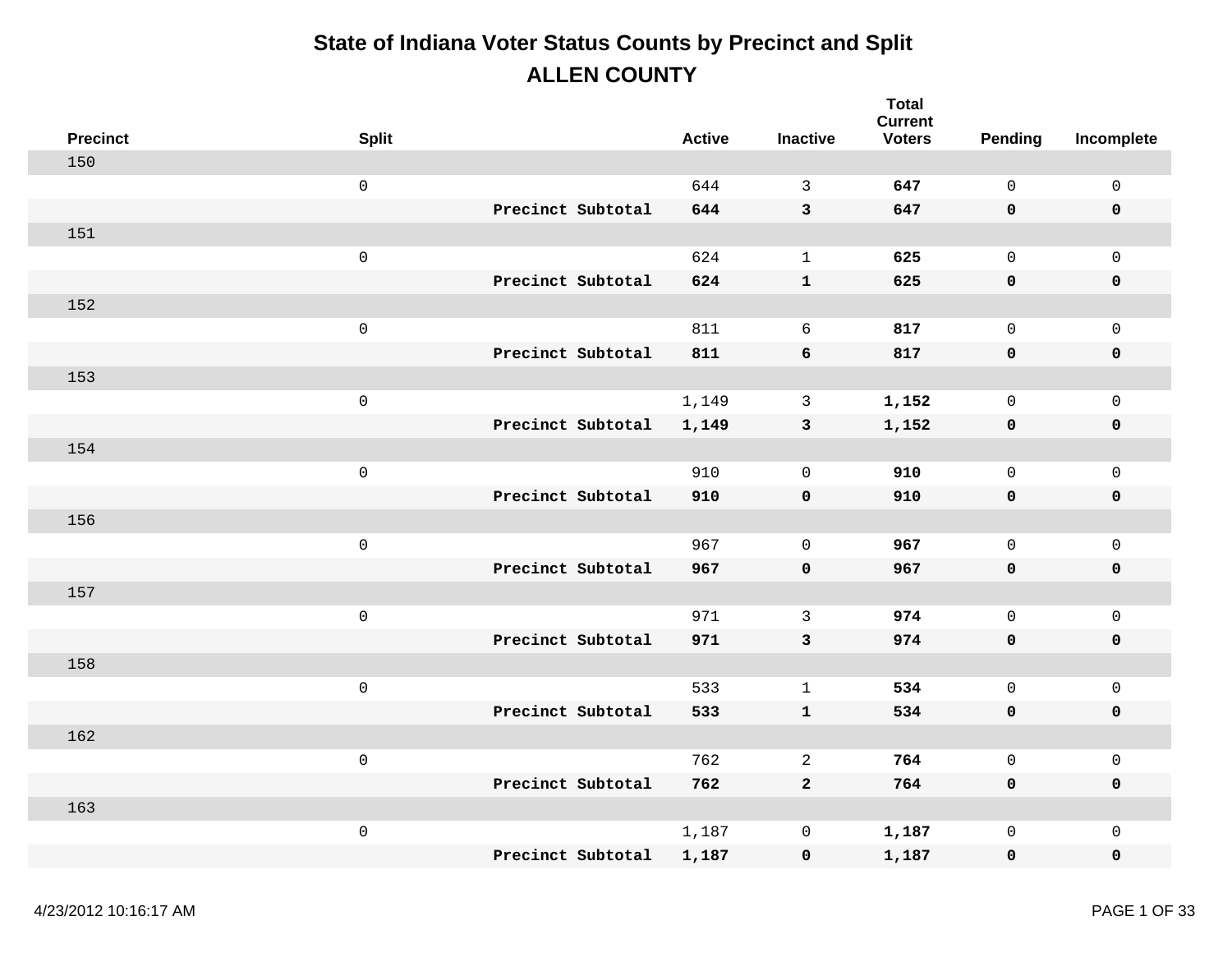| <b>Precinct</b> | <b>Split</b>        |                   | <b>Active</b> | <b>Inactive</b> | <b>Total</b><br><b>Current</b><br><b>Voters</b> | Pending      | Incomplete          |
|-----------------|---------------------|-------------------|---------------|-----------------|-------------------------------------------------|--------------|---------------------|
| 150             |                     |                   |               |                 |                                                 |              |                     |
|                 | $\mathsf{O}\xspace$ |                   | 644           | $\mathbf{3}$    | 647                                             | $\mathbf 0$  | $\mathsf{O}\xspace$ |
|                 |                     | Precinct Subtotal | 644           | $\mathbf{3}$    | 647                                             | 0            | $\pmb{0}$           |
| 151             |                     |                   |               |                 |                                                 |              |                     |
|                 | $\mathsf{O}\xspace$ |                   | 624           | $\mathbf{1}$    | 625                                             | $\mathsf{O}$ | $\mathbf 0$         |
|                 |                     | Precinct Subtotal | 624           | ${\bf 1}$       | 625                                             | 0            | $\pmb{0}$           |
| 152             |                     |                   |               |                 |                                                 |              |                     |
|                 | $\mathbf 0$         |                   | 811           | 6               | 817                                             | $\mathbf 0$  | $\mathbf 0$         |
|                 |                     | Precinct Subtotal | 811           | 6               | 817                                             | 0            | $\pmb{0}$           |
| 153             |                     |                   |               |                 |                                                 |              |                     |
|                 | $\mathsf 0$         |                   | 1,149         | 3               | 1,152                                           | $\mathsf{O}$ | $\mathbf 0$         |
|                 |                     | Precinct Subtotal | 1,149         | $\mathbf{3}$    | 1,152                                           | 0            | $\pmb{0}$           |
| 154             |                     |                   |               |                 |                                                 |              |                     |
|                 | $\mathsf 0$         |                   | 910           | $\Omega$        | 910                                             | $\mathsf{O}$ | $\mathsf{O}\xspace$ |
|                 |                     | Precinct Subtotal | 910           | $\mathbf 0$     | 910                                             | 0            | $\pmb{0}$           |
| 156             |                     |                   |               |                 |                                                 |              |                     |
|                 | $\mathsf{O}\xspace$ |                   | 967           | $\mathbf 0$     | 967                                             | $\mathsf{O}$ | $\mathsf{O}\xspace$ |
|                 |                     | Precinct Subtotal | 967           | $\pmb{0}$       | 967                                             | $\mathbf 0$  | $\pmb{0}$           |
| 157             |                     |                   |               |                 |                                                 |              |                     |
|                 | $\mathsf 0$         |                   | 971           | 3               | 974                                             | $\mathsf{O}$ | $\mathsf{O}\xspace$ |
|                 |                     | Precinct Subtotal | 971           | $\mathbf{3}$    | 974                                             | 0            | $\mathbf 0$         |
| 158             |                     |                   |               |                 |                                                 |              |                     |
|                 | $\mathbf 0$         |                   | 533           | $\mathbf{1}$    | 534                                             | $\mathsf{O}$ | $\mathsf{O}\xspace$ |
|                 |                     | Precinct Subtotal | 533           | $\mathbf{1}$    | 534                                             | 0            | $\pmb{0}$           |
| 162             |                     |                   |               |                 |                                                 |              |                     |
|                 | $\mathsf 0$         |                   | 762           | $\overline{a}$  | 764                                             | $\mathsf{O}$ | $\mathsf{O}\xspace$ |
|                 |                     | Precinct Subtotal | 762           | $\mathbf{2}$    | 764                                             | 0            | $\mathbf 0$         |
| 163             |                     |                   |               |                 |                                                 |              |                     |
|                 | $\mathbf 0$         |                   | 1,187         | $\mathsf{O}$    | 1,187                                           | $\mathsf{O}$ | $\mathsf{O}\xspace$ |
|                 |                     | Precinct Subtotal | 1,187         | $\pmb{0}$       | 1,187                                           | 0            | $\mathbf 0$         |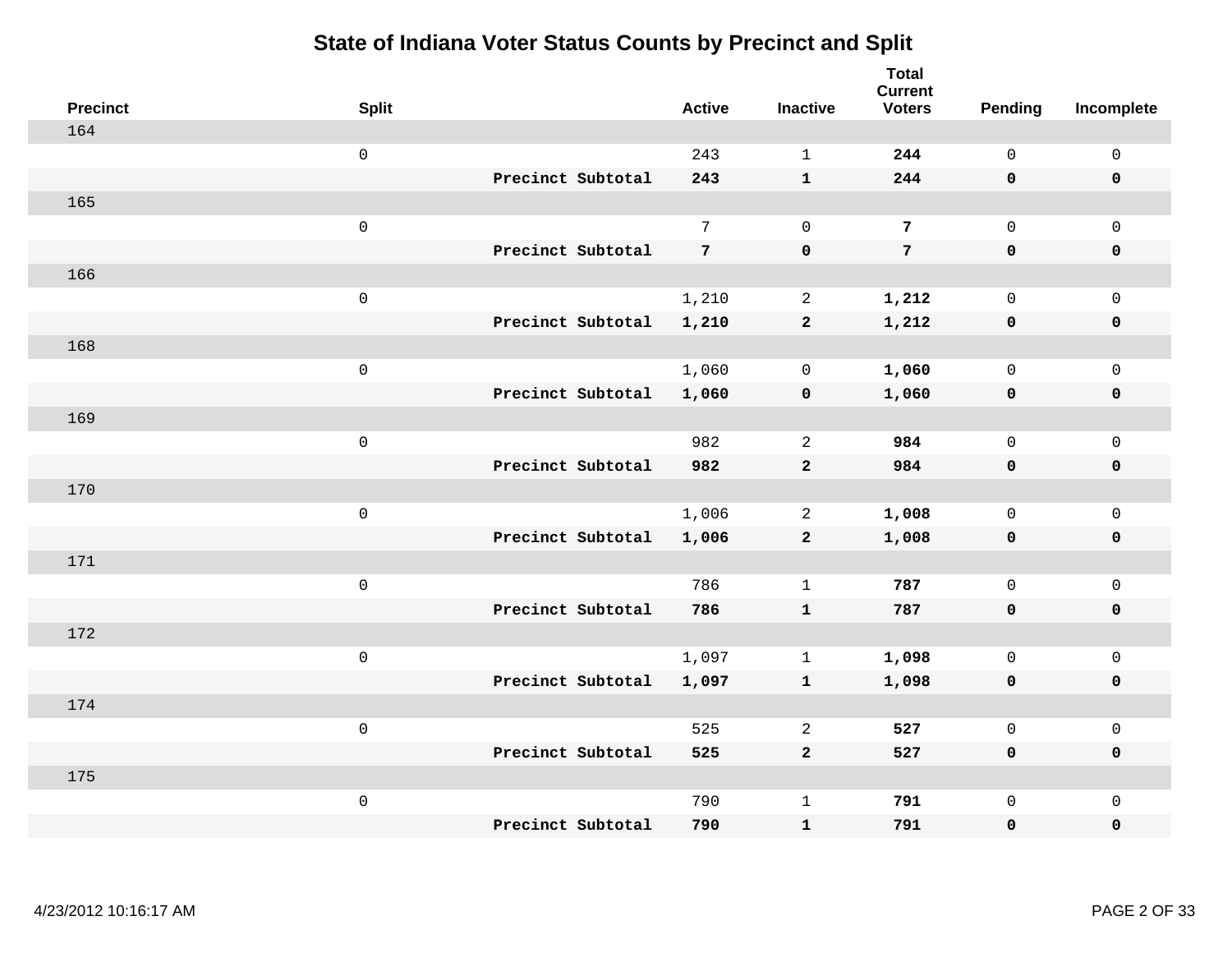| <b>Precinct</b> | <b>Split</b> |                   | <b>Active</b>   | <b>Inactive</b> | <b>Total</b><br><b>Current</b><br><b>Voters</b> | <b>Pending</b> | Incomplete  |
|-----------------|--------------|-------------------|-----------------|-----------------|-------------------------------------------------|----------------|-------------|
| 164             |              |                   |                 |                 |                                                 |                |             |
|                 | $\mathsf 0$  |                   | 243             | $\mathbf{1}$    | 244                                             | $\mathsf{O}$   | $\mathsf 0$ |
|                 |              | Precinct Subtotal | 243             | $\mathbf{1}$    | 244                                             | $\mathbf 0$    | $\mathbf 0$ |
| 165             |              |                   |                 |                 |                                                 |                |             |
|                 | $\mathsf 0$  |                   | $7\overline{ }$ | $\mathbf 0$     | 7                                               | $\mathsf{O}$   | $\mathsf 0$ |
|                 |              | Precinct Subtotal | $7\phantom{.0}$ | $\mathbf 0$     | $\overline{7}$                                  | $\mathbf 0$    | $\pmb{0}$   |
| 166             |              |                   |                 |                 |                                                 |                |             |
|                 | $\mathsf 0$  |                   | 1,210           | $\overline{a}$  | 1,212                                           | $\mathsf{O}$   | $\mathsf 0$ |
|                 |              | Precinct Subtotal | 1,210           | $\mathbf{2}$    | 1,212                                           | 0              | $\mathbf 0$ |
| 168             |              |                   |                 |                 |                                                 |                |             |
|                 | $\mathsf 0$  |                   | 1,060           | $\mathbf 0$     | 1,060                                           | $\mathsf{O}$   | $\mathsf 0$ |
|                 |              | Precinct Subtotal | 1,060           | $\pmb{0}$       | 1,060                                           | $\mathbf 0$    | $\pmb{0}$   |
| 169             |              |                   |                 |                 |                                                 |                |             |
|                 | $\mathsf 0$  |                   | 982             | 2               | 984                                             | $\mathsf{O}$   | $\mathsf 0$ |
|                 |              | Precinct Subtotal | 982             | $\mathbf{2}$    | 984                                             | 0              | $\mathbf 0$ |
| 170             |              |                   |                 |                 |                                                 |                |             |
|                 | $\mathsf 0$  |                   | 1,006           | $\overline{a}$  | 1,008                                           | $\mathsf{O}$   | $\mathsf 0$ |
|                 |              | Precinct Subtotal | 1,006           | $\mathbf{2}$    | 1,008                                           | $\mathbf 0$    | $\mathbf 0$ |
| 171             |              |                   |                 |                 |                                                 |                |             |
|                 | $\mathsf 0$  |                   | 786             | $\mathbf{1}$    | 787                                             | $\mathbf 0$    | $\mathbf 0$ |
|                 |              | Precinct Subtotal | 786             | $\mathbf{1}$    | 787                                             | 0              | $\mathbf 0$ |
| 172             |              |                   |                 |                 |                                                 |                |             |
|                 | $\mathsf 0$  |                   | 1,097           | $\mathbf 1$     | 1,098                                           | $\mathsf{O}$   | $\mathsf 0$ |
|                 |              | Precinct Subtotal | 1,097           | $\mathbf{1}$    | 1,098                                           | 0              | $\mathbf 0$ |
| 174             |              |                   |                 |                 |                                                 |                |             |
|                 | $\mathsf 0$  |                   | 525             | 2               | 527                                             | $\mathbf 0$    | $\mathsf 0$ |
|                 |              | Precinct Subtotal | 525             | $\overline{a}$  | 527                                             | $\mathbf 0$    | $\mathbf 0$ |
| 175             |              |                   |                 |                 |                                                 |                |             |
|                 | $\mathsf 0$  |                   | 790             | $\mathbf{1}$    | 791                                             | $\mathsf{O}$   | $\mathbf 0$ |
|                 |              | Precinct Subtotal | 790             | ${\bf 1}$       | 791                                             | 0              | $\pmb{0}$   |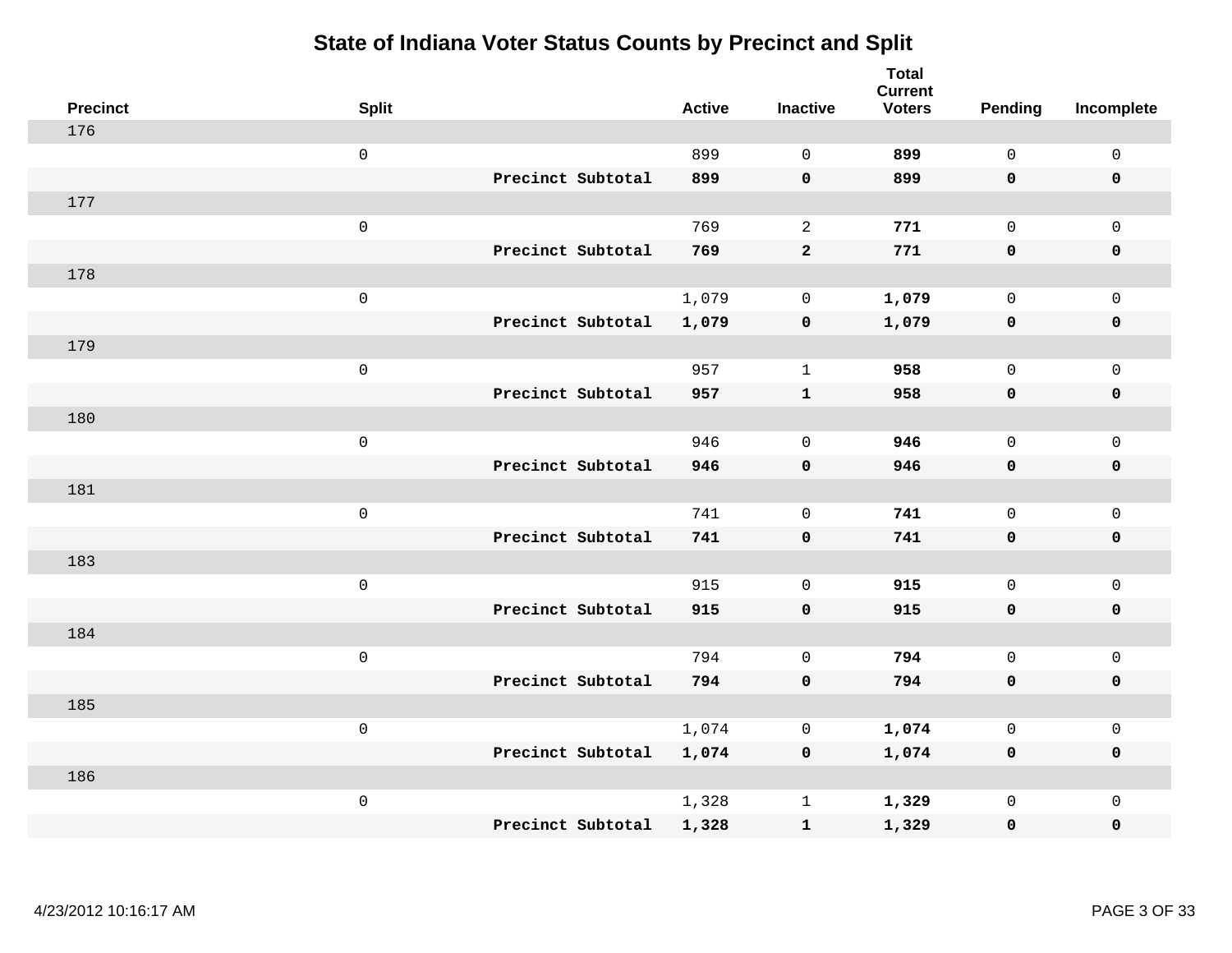| <b>Precinct</b> | <b>Split</b>        |                   | <b>Active</b> | <b>Inactive</b> | <b>Total</b><br><b>Current</b><br><b>Voters</b> | Pending      | Incomplete          |
|-----------------|---------------------|-------------------|---------------|-----------------|-------------------------------------------------|--------------|---------------------|
| 176             |                     |                   |               |                 |                                                 |              |                     |
|                 | $\mathsf 0$         |                   | 899           | $\Omega$        | 899                                             | $\mathbf{0}$ | $\mathsf{O}\xspace$ |
|                 |                     | Precinct Subtotal | 899           | $\mathbf 0$     | 899                                             | $\mathbf 0$  | $\mathbf 0$         |
| 177             |                     |                   |               |                 |                                                 |              |                     |
|                 | $\mathsf 0$         |                   | 769           | $\overline{a}$  | 771                                             | $\mathbf 0$  | $\mathsf{O}$        |
|                 |                     | Precinct Subtotal | 769           | $\mathbf{2}$    | 771                                             | $\mathbf 0$  | 0                   |
| 178             |                     |                   |               |                 |                                                 |              |                     |
|                 | $\mathsf 0$         |                   | 1,079         | $\mathbf 0$     | 1,079                                           | $\mathbf 0$  | $\mathsf{O}$        |
|                 |                     | Precinct Subtotal | 1,079         | $\mathbf 0$     | 1,079                                           | $\mathbf 0$  | $\pmb{0}$           |
| 179             |                     |                   |               |                 |                                                 |              |                     |
|                 | $\mathsf 0$         |                   | 957           | $\mathbf{1}$    | 958                                             | $\mathsf{O}$ | $\mathsf{O}\xspace$ |
|                 |                     | Precinct Subtotal | 957           | ${\bf 1}$       | 958                                             | $\mathbf 0$  | $\pmb{0}$           |
| 180             |                     |                   |               |                 |                                                 |              |                     |
|                 | $\mathsf 0$         |                   | 946           | $\Omega$        | 946                                             | $\mathbf 0$  | $\mathsf 0$         |
|                 |                     | Precinct Subtotal | 946           | $\mathbf 0$     | 946                                             | 0            | $\mathbf 0$         |
| 181             |                     |                   |               |                 |                                                 |              |                     |
|                 | $\,0\,$             |                   | 741           | $\mathbf 0$     | 741                                             | $\mathbf 0$  | $\mathsf{O}\xspace$ |
|                 |                     | Precinct Subtotal | 741           | $\mathbf 0$     | 741                                             | $\mathbf 0$  | 0                   |
| 183             |                     |                   |               |                 |                                                 |              |                     |
|                 | $\mathbf 0$         |                   | 915           | $\overline{0}$  | 915                                             | $\mathbf 0$  | $\mathsf{O}\xspace$ |
|                 |                     | Precinct Subtotal | 915           | $\mathbf 0$     | 915                                             | 0            | 0                   |
| 184             |                     |                   |               |                 |                                                 |              |                     |
|                 | $\mathsf{O}\xspace$ |                   | 794           | $\mathbf 0$     | 794                                             | $\mathbf 0$  | $\mathsf{O}\xspace$ |
|                 |                     | Precinct Subtotal | 794           | $\mathbf 0$     | 794                                             | 0            | 0                   |
| 185             |                     |                   |               |                 |                                                 |              |                     |
|                 | $\mathbf 0$         |                   | 1,074         | $\mathbf 0$     | 1,074                                           | $\mathbf 0$  | $\mathsf 0$         |
|                 |                     | Precinct Subtotal | 1,074         | $\mathbf 0$     | 1,074                                           | 0            | 0                   |
| 186             |                     |                   |               |                 |                                                 |              |                     |
|                 | $\mathbf 0$         |                   | 1,328         | $\mathbf 1$     | 1,329                                           | $\mathsf{O}$ | $\mathsf{O}$        |
|                 |                     | Precinct Subtotal | 1,328         | ${\bf 1}$       | 1,329                                           | 0            | $\pmb{0}$           |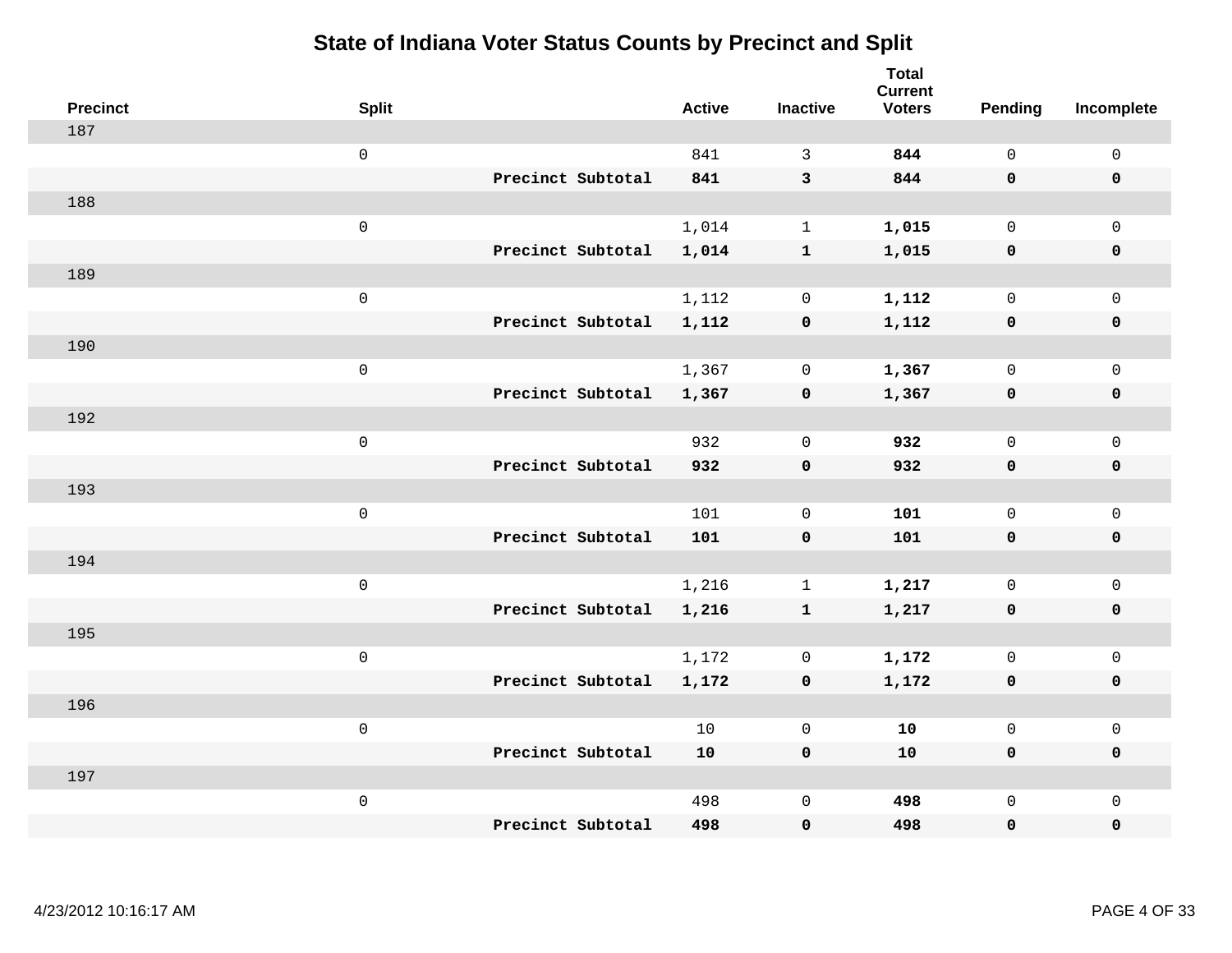| <b>Precinct</b> | <b>Split</b>        |                   | <b>Active</b> | <b>Inactive</b>     | <b>Total</b><br><b>Current</b><br><b>Voters</b> | Pending      | Incomplete  |
|-----------------|---------------------|-------------------|---------------|---------------------|-------------------------------------------------|--------------|-------------|
| 187             |                     |                   |               |                     |                                                 |              |             |
|                 | $\mathsf{O}\xspace$ |                   | 841           | 3                   | 844                                             | $\mathsf{O}$ | $\mathsf 0$ |
|                 |                     | Precinct Subtotal | 841           | $\mathbf{3}$        | 844                                             | $\mathbf 0$  | $\mathbf 0$ |
| 188             |                     |                   |               |                     |                                                 |              |             |
|                 | $\mathsf{O}\xspace$ |                   | 1,014         | $\mathbf{1}$        | 1,015                                           | $\mathsf{O}$ | $\mathbf 0$ |
|                 |                     | Precinct Subtotal | 1,014         | $\mathbf{1}$        | 1,015                                           | $\mathbf 0$  | $\mathbf 0$ |
| 189             |                     |                   |               |                     |                                                 |              |             |
|                 | $\mathsf{O}\xspace$ |                   | 1,112         | $\mathbf 0$         | 1,112                                           | $\mathbf 0$  | $\mathsf 0$ |
|                 |                     | Precinct Subtotal | 1,112         | $\pmb{0}$           | 1,112                                           | $\mathbf 0$  | $\mathbf 0$ |
| 190             |                     |                   |               |                     |                                                 |              |             |
|                 | $\mathbf 0$         |                   | 1,367         | 0                   | 1,367                                           | $\mathsf{O}$ | $\mathbf 0$ |
|                 |                     | Precinct Subtotal | 1,367         | $\pmb{0}$           | 1,367                                           | $\mathbf 0$  | $\mathbf 0$ |
| 192             |                     |                   |               |                     |                                                 |              |             |
|                 | $\mathbf 0$         |                   | 932           | $\mathbf 0$         | 932                                             | $\mathbf 0$  | $\mathsf 0$ |
|                 |                     | Precinct Subtotal | 932           | $\mathbf 0$         | 932                                             | 0            | $\mathbf 0$ |
| 193             |                     |                   |               |                     |                                                 |              |             |
|                 | $\mathbf 0$         |                   | 101           | 0                   | 101                                             | $\mathbf 0$  | $\mathsf 0$ |
|                 |                     | Precinct Subtotal | 101           | $\pmb{0}$           | 101                                             | $\mathbf 0$  | $\mathbf 0$ |
| 194             |                     |                   |               |                     |                                                 |              |             |
|                 | $\mathbf 0$         |                   | 1,216         | $\mathbf{1}$        | 1,217                                           | 0            | $\mathbf 0$ |
|                 |                     | Precinct Subtotal | 1,216         | $\mathbf{1}$        | 1,217                                           | 0            | 0           |
| 195             |                     |                   |               |                     |                                                 |              |             |
|                 | $\mathbf 0$         |                   | 1,172         | $\mathbf 0$         | 1,172                                           | $\mathsf{O}$ | $\mathbf 0$ |
|                 |                     | Precinct Subtotal | 1,172         | $\mathbf 0$         | 1,172                                           | 0            | $\pmb{0}$   |
| 196             |                     |                   |               |                     |                                                 |              |             |
|                 | $\mathbf 0$         |                   | 10            | 0                   | 10                                              | $\mathbf 0$  | $\mathbf 0$ |
|                 |                     | Precinct Subtotal | 10            | $\mathbf 0$         | 10                                              | $\mathbf 0$  | $\mathbf 0$ |
| 197             |                     |                   |               |                     |                                                 |              |             |
|                 | $\mathbf 0$         |                   | 498           | $\mathsf{O}\xspace$ | 498                                             | $\mathsf{O}$ | $\mathbf 0$ |
|                 |                     | Precinct Subtotal | 498           | $\pmb{0}$           | 498                                             | 0            | $\pmb{0}$   |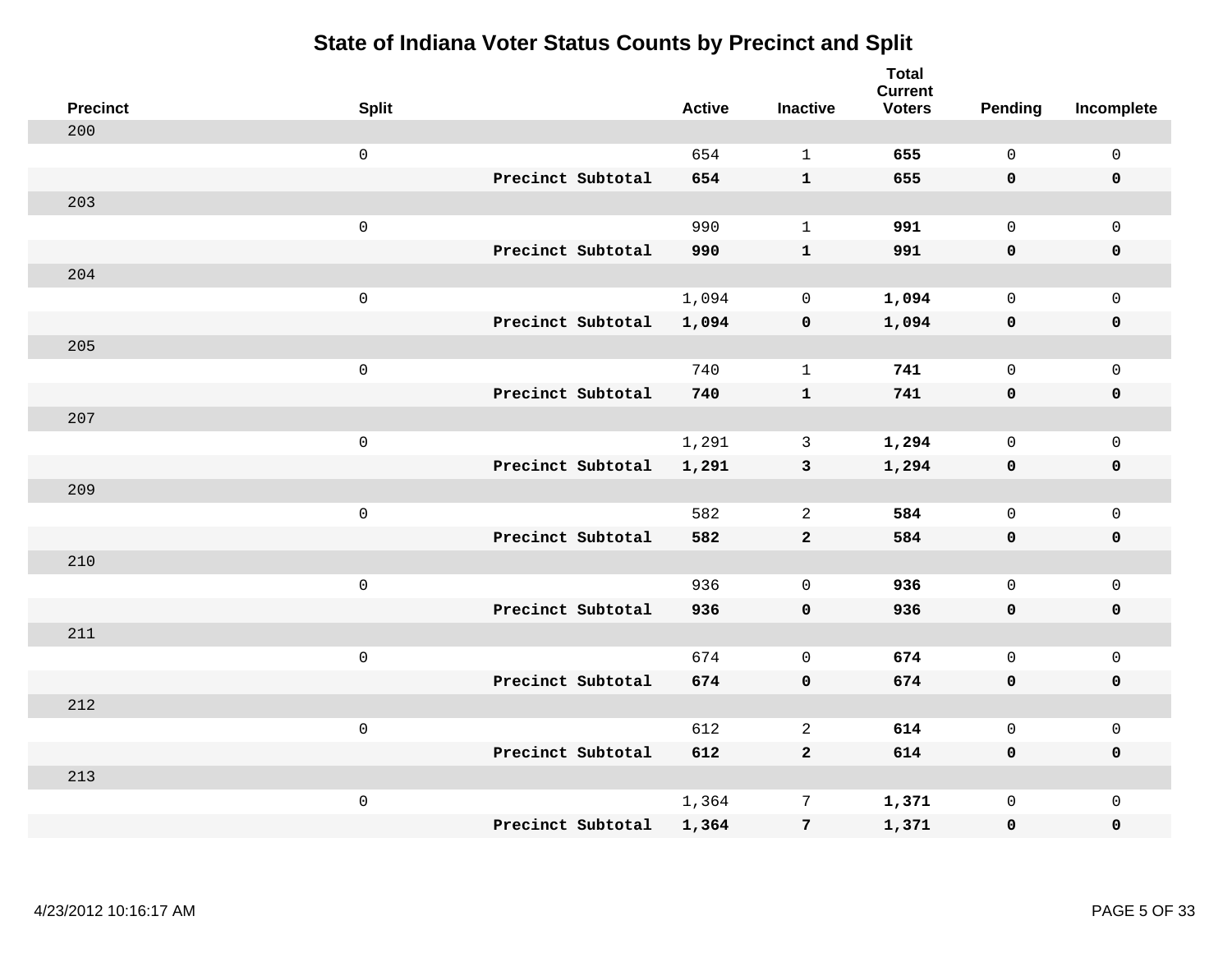| <b>Precinct</b> | <b>Split</b>        |                   | <b>Active</b> | <b>Inactive</b> | <b>Total</b><br><b>Current</b><br><b>Voters</b> | Pending      | Incomplete          |
|-----------------|---------------------|-------------------|---------------|-----------------|-------------------------------------------------|--------------|---------------------|
| 200             |                     |                   |               |                 |                                                 |              |                     |
|                 | $\mathsf 0$         |                   | 654           | $\mathbf{1}$    | 655                                             | $\mathbf{0}$ | $\mathsf{O}\xspace$ |
|                 |                     | Precinct Subtotal | 654           | $\mathbf{1}$    | 655                                             | $\mathbf 0$  | $\mathbf 0$         |
| 203             |                     |                   |               |                 |                                                 |              |                     |
|                 | $\mathsf 0$         |                   | 990           | $\mathbf{1}$    | 991                                             | $\mathbf 0$  | $\mathsf{O}$        |
|                 |                     | Precinct Subtotal | 990           | ${\bf 1}$       | 991                                             | $\mathbf 0$  | 0                   |
| 204             |                     |                   |               |                 |                                                 |              |                     |
|                 | $\mathsf{O}\xspace$ |                   | 1,094         | $\mathbf 0$     | 1,094                                           | $\mathbf 0$  | $\mathsf{O}$        |
|                 |                     | Precinct Subtotal | 1,094         | $\mathbf 0$     | 1,094                                           | $\mathbf 0$  | 0                   |
| 205             |                     |                   |               |                 |                                                 |              |                     |
|                 | $\mathsf 0$         |                   | 740           | $\mathbf{1}$    | 741                                             | $\mathbf 0$  | $\mathsf{O}\xspace$ |
|                 |                     | Precinct Subtotal | 740           | ${\bf 1}$       | 741                                             | $\mathbf 0$  | $\pmb{0}$           |
| 207             |                     |                   |               |                 |                                                 |              |                     |
|                 | $\mathsf 0$         |                   | 1,291         | 3               | 1,294                                           | $\mathbf 0$  | $\mathsf{O}\xspace$ |
|                 |                     | Precinct Subtotal | 1,291         | $\mathbf{3}$    | 1,294                                           | 0            | $\pmb{0}$           |
| 209             |                     |                   |               |                 |                                                 |              |                     |
|                 | $\,0\,$             |                   | 582           | 2               | 584                                             | $\mathbf 0$  | $\mathsf{O}\xspace$ |
|                 |                     | Precinct Subtotal | 582           | $\mathbf{2}$    | 584                                             | $\mathbf 0$  | 0                   |
| 210             |                     |                   |               |                 |                                                 |              |                     |
|                 | $\mathbf 0$         |                   | 936           | $\mathbf 0$     | 936                                             | $\mathbf 0$  | $\mathsf{O}\xspace$ |
|                 |                     | Precinct Subtotal | 936           | $\mathbf 0$     | 936                                             | 0            | 0                   |
| 211             |                     |                   |               |                 |                                                 |              |                     |
|                 | $\mathsf{O}\xspace$ |                   | 674           | $\mathbf 0$     | 674                                             | $\mathbf 0$  | $\mathsf{O}\xspace$ |
|                 |                     | Precinct Subtotal | 674           | $\mathbf 0$     | 674                                             | 0            | 0                   |
| 212             |                     |                   |               |                 |                                                 |              |                     |
|                 | $\mathsf 0$         |                   | 612           | $\mathbf{2}$    | 614                                             | $\mathbf 0$  | $\mathsf{O}\xspace$ |
|                 |                     | Precinct Subtotal | 612           | $\overline{2}$  | 614                                             | 0            | 0                   |
| 213             |                     |                   |               |                 |                                                 |              |                     |
|                 | $\mathbf 0$         |                   | 1,364         | $7\phantom{.0}$ | 1,371                                           | $\mathsf{O}$ | $\mathsf{O}$        |
|                 |                     | Precinct Subtotal | 1,364         | $\overline{7}$  | 1,371                                           | 0            | 0                   |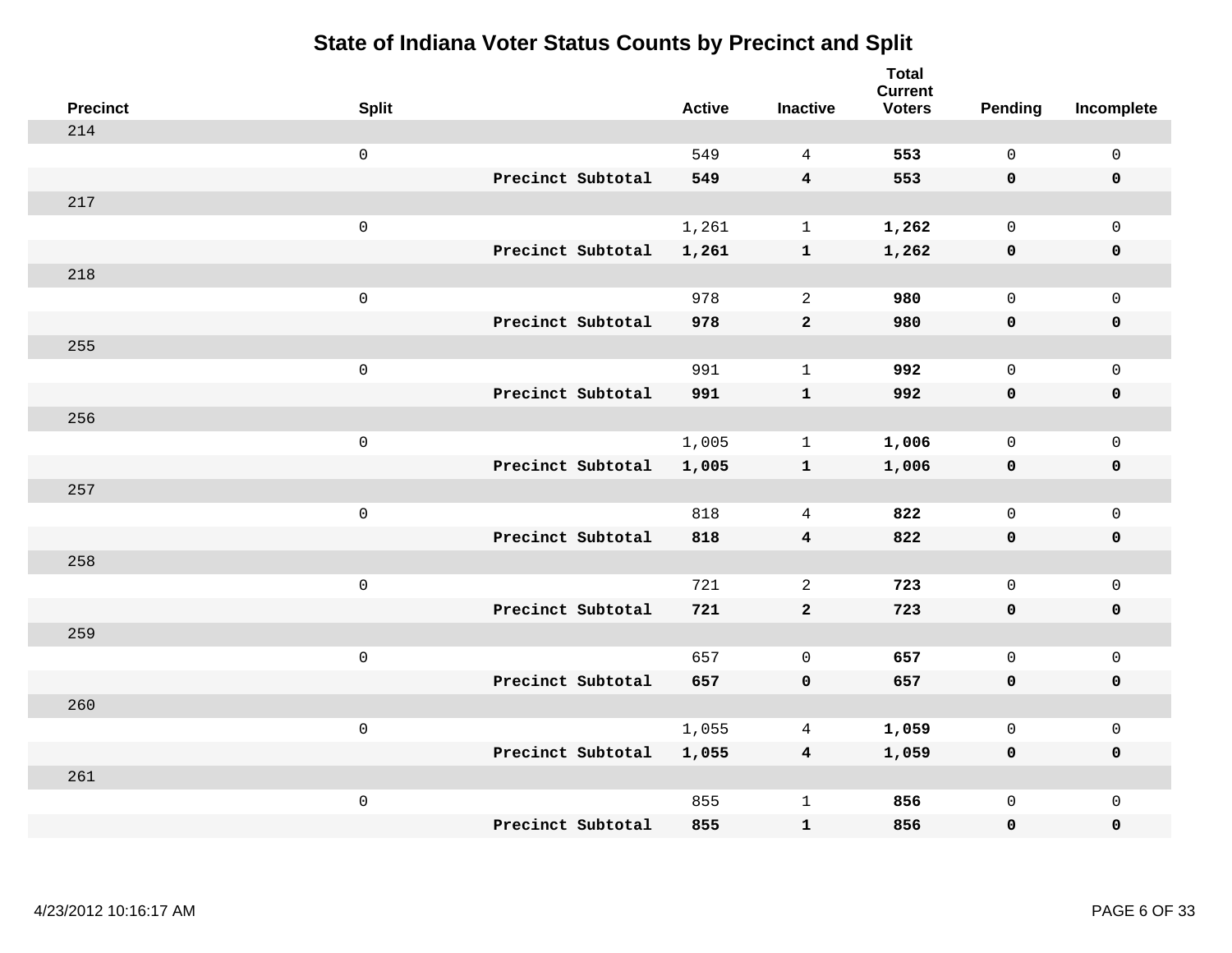| <b>Precinct</b> | <b>Split</b>        |                   | <b>Active</b> | <b>Inactive</b>         | <b>Total</b><br><b>Current</b><br><b>Voters</b> | <b>Pending</b> | Incomplete          |
|-----------------|---------------------|-------------------|---------------|-------------------------|-------------------------------------------------|----------------|---------------------|
| 214             |                     |                   |               |                         |                                                 |                |                     |
|                 | $\mathsf{O}\xspace$ |                   | 549           | $\overline{4}$          | 553                                             | $\mathbf 0$    | $\mathsf 0$         |
|                 |                     | Precinct Subtotal | 549           | $\overline{\mathbf{4}}$ | 553                                             | $\mathbf 0$    | $\mathbf 0$         |
| 217             |                     |                   |               |                         |                                                 |                |                     |
|                 | $\mathsf 0$         |                   | 1,261         | $\mathbf{1}$            | 1,262                                           | $\mathsf{O}$   | $\mathbf 0$         |
|                 |                     | Precinct Subtotal | 1,261         | $\mathbf{1}$            | 1,262                                           | 0              | $\pmb{0}$           |
| 218             |                     |                   |               |                         |                                                 |                |                     |
|                 | $\mathsf 0$         |                   | 978           | 2                       | 980                                             | $\mathbf 0$    | $\mathsf{O}\xspace$ |
|                 |                     | Precinct Subtotal | 978           | $\overline{a}$          | 980                                             | 0              | $\mathbf 0$         |
| 255             |                     |                   |               |                         |                                                 |                |                     |
|                 | $\mathsf 0$         |                   | 991           | $\mathbf{1}$            | 992                                             | $\mathbf 0$    | $\mathbf 0$         |
|                 |                     | Precinct Subtotal | 991           | $\mathbf{1}$            | 992                                             | $\mathbf 0$    | $\pmb{0}$           |
| 256             |                     |                   |               |                         |                                                 |                |                     |
|                 | $\mathsf 0$         |                   | 1,005         | $\mathbf{1}$            | 1,006                                           | $\mathbf 0$    | $\mathbf{0}$        |
|                 |                     | Precinct Subtotal | 1,005         | $\mathbf{1}$            | 1,006                                           | $\mathbf 0$    | $\mathbf 0$         |
| 257             |                     |                   |               |                         |                                                 |                |                     |
|                 | $\mathsf 0$         |                   | 818           | $\overline{4}$          | 822                                             | $\mathsf{O}$   | $\mathsf{O}\xspace$ |
|                 |                     | Precinct Subtotal | 818           | $\boldsymbol{4}$        | 822                                             | $\mathbf 0$    | $\mathbf 0$         |
| 258             |                     |                   |               |                         |                                                 |                |                     |
|                 | $\mathsf 0$         |                   | 721           | 2                       | 723                                             | $\mathbf 0$    | $\mathsf{O}\xspace$ |
|                 |                     | Precinct Subtotal | 721           | $\mathbf{2}$            | 723                                             | 0              | $\mathbf 0$         |
| 259             |                     |                   |               |                         |                                                 |                |                     |
|                 | $\mathsf 0$         |                   | 657           | $\mathbf 0$             | 657                                             | $\mathbf 0$    | $\mathsf{O}\xspace$ |
|                 |                     | Precinct Subtotal | 657           | $\mathbf 0$             | 657                                             | $\mathbf 0$    | $\mathbf 0$         |
| 260             |                     |                   |               |                         |                                                 |                |                     |
|                 | $\mathbf 0$         |                   | 1,055         | 4                       | 1,059                                           | 0              | $\mathsf 0$         |
|                 |                     | Precinct Subtotal | 1,055         | $\overline{4}$          | 1,059                                           | $\mathbf 0$    | $\mathbf 0$         |
| 261             |                     |                   |               |                         |                                                 |                |                     |
|                 | $\mathsf 0$         |                   | 855           | $\mathbf{1}$            | 856                                             | $\mathsf{O}$   | $\mathbf 0$         |
|                 |                     | Precinct Subtotal | 855           | ${\bf 1}$               | 856                                             | 0              | $\pmb{0}$           |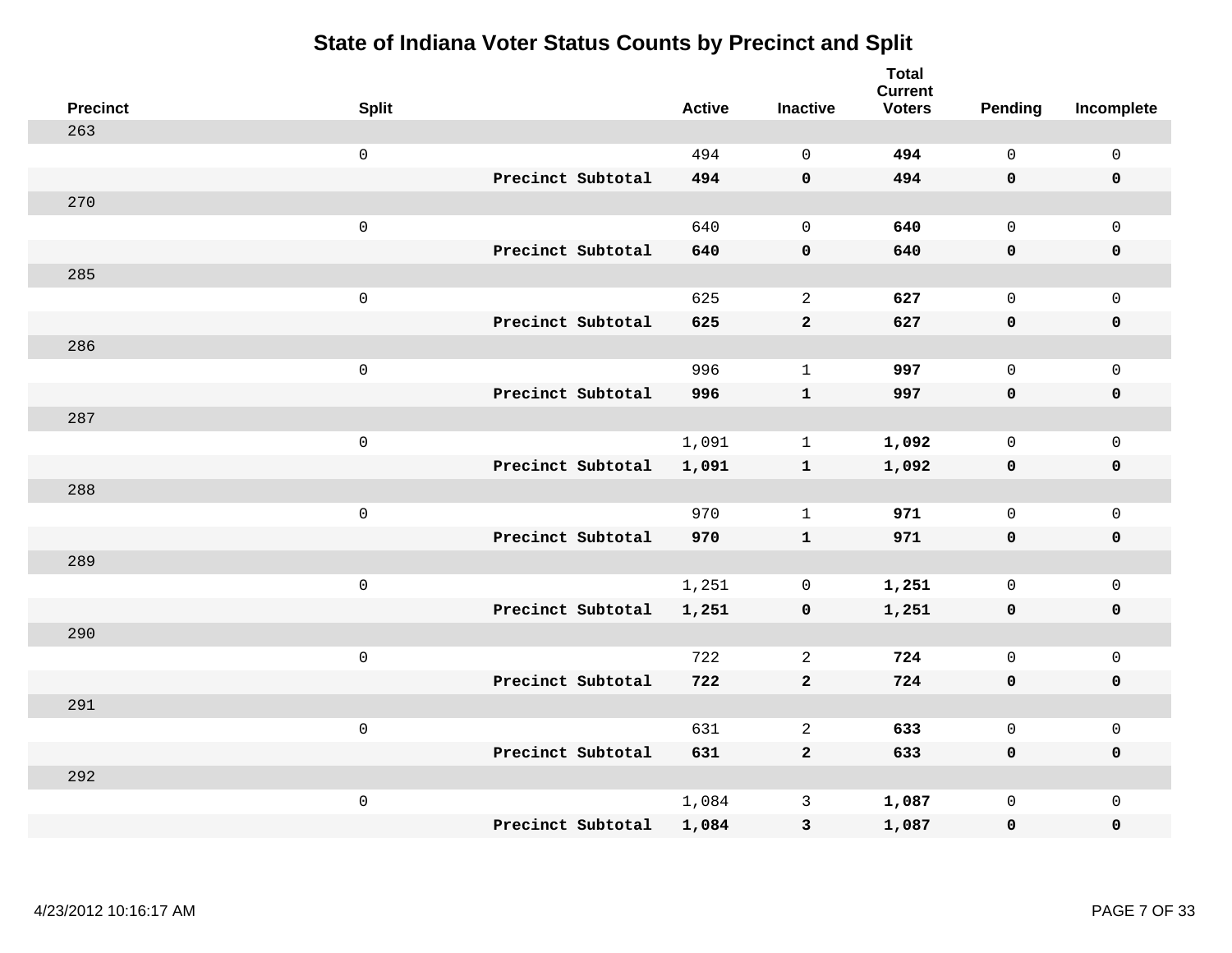| <b>Precinct</b> | <b>Split</b>        |                   | <b>Active</b> | <b>Inactive</b>     | <b>Total</b><br><b>Current</b><br><b>Voters</b> | <b>Pending</b> | Incomplete          |
|-----------------|---------------------|-------------------|---------------|---------------------|-------------------------------------------------|----------------|---------------------|
| 263             |                     |                   |               |                     |                                                 |                |                     |
|                 | $\mathsf 0$         |                   | 494           | $\mathbf 0$         | 494                                             | $\mathsf{O}$   | $\mathsf 0$         |
|                 |                     | Precinct Subtotal | 494           | $\pmb{\mathsf{O}}$  | 494                                             | $\mathbf 0$    | $\mathbf 0$         |
| 270             |                     |                   |               |                     |                                                 |                |                     |
|                 | $\mathsf{O}\xspace$ |                   | 640           | $\mathsf{O}\xspace$ | 640                                             | $\mathsf{O}$   | $\mathbf 0$         |
|                 |                     | Precinct Subtotal | 640           | $\pmb{\mathsf{O}}$  | 640                                             | $\mathbf 0$    | $\pmb{0}$           |
| 285             |                     |                   |               |                     |                                                 |                |                     |
|                 | $\mathsf{O}\xspace$ |                   | 625           | $\overline{2}$      | 627                                             | $\mathsf{O}$   | $\mathbf 0$         |
|                 |                     | Precinct Subtotal | 625           | $\mathbf{2}$        | 627                                             | $\mathbf 0$    | $\pmb{0}$           |
| 286             |                     |                   |               |                     |                                                 |                |                     |
|                 | $\mathsf 0$         |                   | 996           | $\mathbf{1}$        | 997                                             | $\mathsf{O}$   | $\mathbf 0$         |
|                 |                     | Precinct Subtotal | 996           | ${\bf 1}$           | 997                                             | $\mathbf 0$    | $\pmb{0}$           |
| 287             |                     |                   |               |                     |                                                 |                |                     |
|                 | $\mathsf 0$         |                   | 1,091         | $\mathbf{1}$        | 1,092                                           | $\mathbf 0$    | $\mathsf{O}\xspace$ |
|                 |                     | Precinct Subtotal | 1,091         | $\mathbf{1}$        | 1,092                                           | $\mathbf 0$    | $\mathbf 0$         |
| 288             |                     |                   |               |                     |                                                 |                |                     |
|                 | $\mathbf 0$         |                   | 970           | $\mathbf{1}$        | 971                                             | $\mathbf 0$    | $\mathbf{0}$        |
|                 |                     | Precinct Subtotal | 970           | $\mathbf{1}$        | 971                                             | $\mathbf 0$    | $\mathbf 0$         |
| 289             |                     |                   |               |                     |                                                 |                |                     |
|                 | $\mathsf 0$         |                   | 1,251         | 0                   | 1,251                                           | $\mathsf{O}$   | $\mathbf 0$         |
|                 |                     | Precinct Subtotal | 1,251         | $\pmb{0}$           | 1,251                                           | 0              | $\mathbf 0$         |
| 290             |                     |                   |               |                     |                                                 |                |                     |
|                 | $\mathbf 0$         |                   | 722           | $\overline{a}$      | 724                                             | $\mathbf 0$    | $\mathsf 0$         |
|                 |                     | Precinct Subtotal | 722           | $\mathbf 2$         | 724                                             | $\mathbf 0$    | $\mathbf 0$         |
| 291             |                     |                   |               |                     |                                                 |                |                     |
|                 | $\mathsf 0$         |                   | 631           | $\mathbf{2}$        | 633                                             | $\mathbf 0$    | $\mathsf 0$         |
|                 |                     | Precinct Subtotal | 631           | $\mathbf{2}$        | 633                                             | $\mathbf 0$    | $\mathbf 0$         |
| 292             |                     |                   |               |                     |                                                 |                |                     |
|                 | $\mathbf 0$         |                   | 1,084         | $\mathbf{3}$        | 1,087                                           | $\mathsf{O}$   | $\mathbf 0$         |
|                 |                     | Precinct Subtotal | 1,084         | $\mathsf 3$         | 1,087                                           | $\mathbf 0$    | $\pmb{0}$           |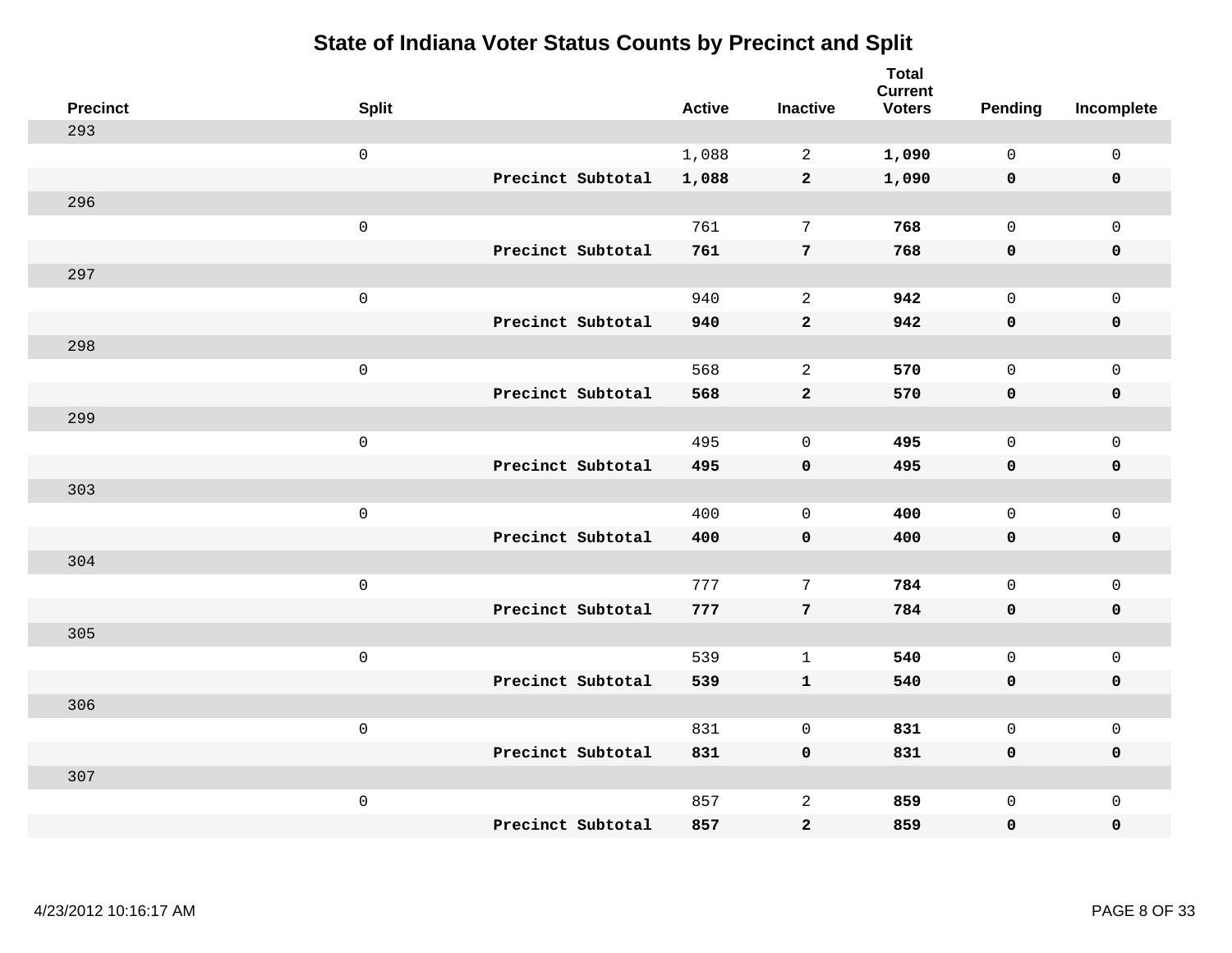| <b>Precinct</b> | <b>Split</b>        | <b>Active</b> | <b>Inactive</b> | <b>Total</b><br><b>Current</b><br><b>Voters</b> | <b>Pending</b> | Incomplete          |
|-----------------|---------------------|---------------|-----------------|-------------------------------------------------|----------------|---------------------|
| 293             |                     |               |                 |                                                 |                |                     |
|                 | $\mathsf 0$         | 1,088         | $\overline{2}$  | 1,090                                           | $\mathsf{O}$   | $\mathsf 0$         |
|                 | Precinct Subtotal   | 1,088         | $\overline{2}$  | 1,090                                           | $\mathbf 0$    | $\mathbf 0$         |
| 296             |                     |               |                 |                                                 |                |                     |
|                 | $\mathsf{O}\xspace$ | 761           | $\overline{7}$  | 768                                             | $\mathbf 0$    | $\mathsf{O}$        |
|                 | Precinct Subtotal   | 761           | $\overline{7}$  | 768                                             | $\mathbf 0$    | 0                   |
| 297             |                     |               |                 |                                                 |                |                     |
|                 | $\mathsf 0$         | 940           | $\overline{a}$  | 942                                             | $\mathbf{0}$   | $\mathsf{O}\xspace$ |
|                 | Precinct Subtotal   | 940           | $\mathbf{2}$    | 942                                             | 0              | $\pmb{0}$           |
| 298             |                     |               |                 |                                                 |                |                     |
|                 | $\mathsf{O}\xspace$ | 568           | 2               | 570                                             | $\mathbf 0$    | $\mathsf{O}$        |
|                 | Precinct Subtotal   | 568           | $\overline{a}$  | 570                                             | 0              | 0                   |
| 299             |                     |               |                 |                                                 |                |                     |
|                 | $\mathsf{O}\xspace$ | 495           | $\mathbf 0$     | 495                                             | $\mathbf{0}$   | $\mathsf{O}\xspace$ |
|                 | Precinct Subtotal   | 495           | $\mathbf 0$     | 495                                             | 0              | 0                   |
| 303             |                     |               |                 |                                                 |                |                     |
|                 | $\mathsf 0$         | 400           | $\mathbf 0$     | 400                                             | $\mathbf 0$    | $\mathsf{O}$        |
|                 | Precinct Subtotal   | 400           | $\mathbf 0$     | 400                                             | 0              | 0                   |
| 304             |                     |               |                 |                                                 |                |                     |
|                 | $\mathsf 0$         | 777           | 7               | 784                                             | $\mathsf{O}$   | $\mathsf{O}$        |
|                 | Precinct Subtotal   | 777           | $7\overline{ }$ | 784                                             | $\mathbf 0$    | 0                   |
| 305             |                     |               |                 |                                                 |                |                     |
|                 | $\mathsf 0$         | 539           | $\mathbf{1}$    | 540                                             | $\mathsf{O}$   | $\mathsf{O}$        |
|                 | Precinct Subtotal   | 539           | $\mathbf{1}$    | 540                                             | 0              | 0                   |
| 306             |                     |               |                 |                                                 |                |                     |
|                 | $\mathsf{O}\xspace$ | 831           | $\mathbf 0$     | 831                                             | $\mathbf 0$    | $\mathsf{O}$        |
|                 | Precinct Subtotal   | 831           | $\mathbf 0$     | 831                                             | 0              | 0                   |
| 307             |                     |               |                 |                                                 |                |                     |
|                 | $\mathsf 0$         | 857           | $\overline{c}$  | 859                                             | $\mathsf{O}$   | $\mathsf{O}$        |
|                 | Precinct Subtotal   | 857           | 2               | 859                                             | 0              | $\mathbf 0$         |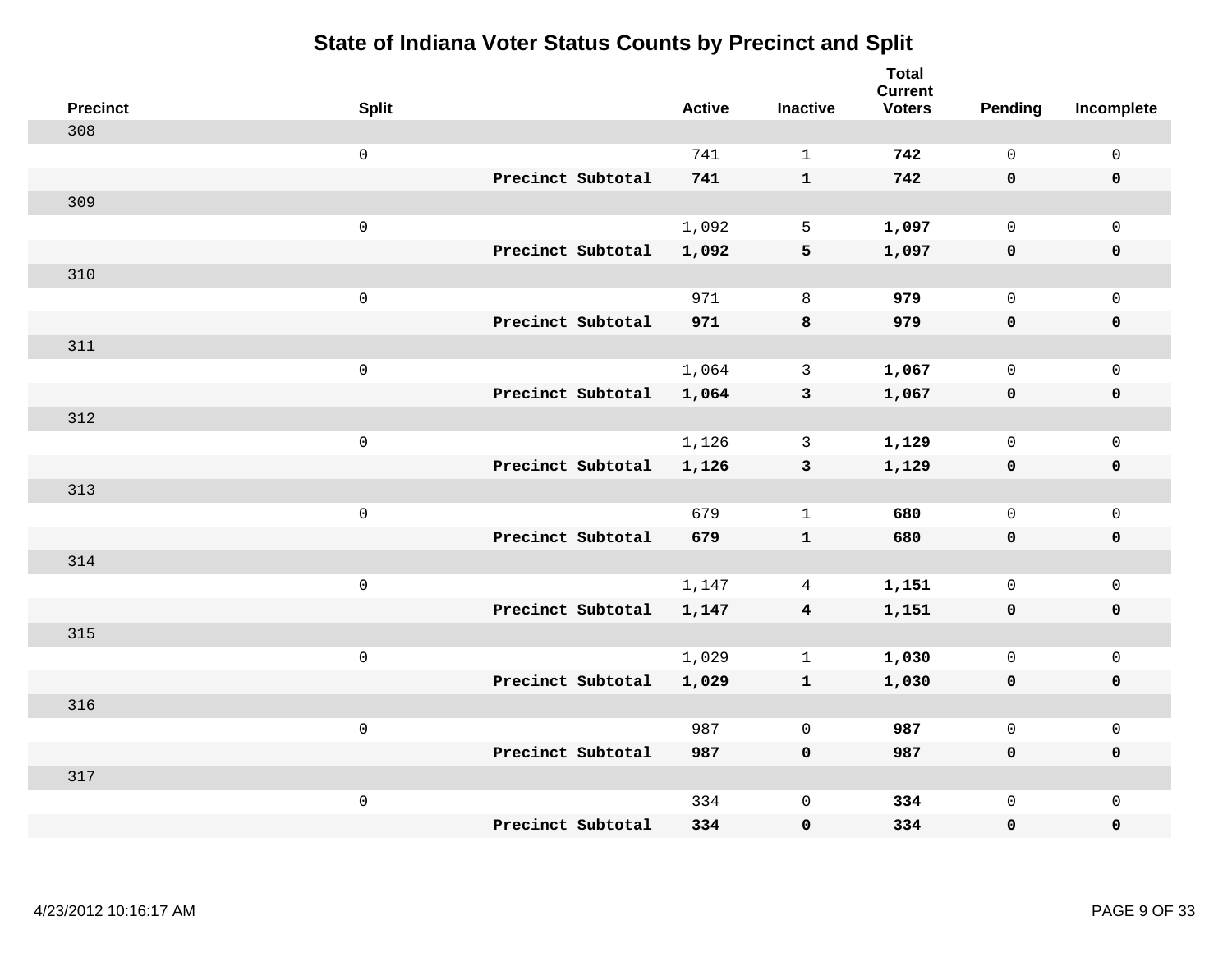| <b>Precinct</b> | <b>Split</b>        | <b>Active</b> | <b>Inactive</b>         | <b>Total</b><br><b>Current</b><br><b>Voters</b> | Pending      | Incomplete  |
|-----------------|---------------------|---------------|-------------------------|-------------------------------------------------|--------------|-------------|
| 308             |                     |               |                         |                                                 |              |             |
|                 | $\mathsf{O}\xspace$ | 741           | $\mathbf{1}$            | 742                                             | $\mathsf{O}$ | $\mathbf 0$ |
|                 | Precinct Subtotal   | 741           | $\mathbf{1}$            | 742                                             | $\mathbf 0$  | $\mathbf 0$ |
| 309             |                     |               |                         |                                                 |              |             |
|                 | $\mathsf 0$         | 1,092         | 5                       | 1,097                                           | $\mathbf 0$  | $\mathbf 0$ |
|                 | Precinct Subtotal   | 1,092         | 5                       | 1,097                                           | $\mathbf 0$  | $\pmb{0}$   |
| 310             |                     |               |                         |                                                 |              |             |
|                 | $\mathsf 0$         | 971           | 8                       | 979                                             | $\mathbf 0$  | $\mathbf 0$ |
|                 | Precinct Subtotal   | 971           | 8                       | 979                                             | $\mathbf 0$  | $\mathbf 0$ |
| 311             |                     |               |                         |                                                 |              |             |
|                 | $\mathsf 0$         | 1,064         | $\mathbf{3}$            | 1,067                                           | $\mathsf{O}$ | $\mathbf 0$ |
|                 | Precinct Subtotal   | 1,064         | $\mathbf{3}$            | 1,067                                           | $\mathbf 0$  | $\mathbf 0$ |
| 312             |                     |               |                         |                                                 |              |             |
|                 | $\mathsf 0$         | 1,126         | 3                       | 1,129                                           | $\mathbf 0$  | $\mathsf 0$ |
|                 | Precinct Subtotal   | 1,126         | $\mathbf{3}$            | 1,129                                           | 0            | $\mathbf 0$ |
| 313             |                     |               |                         |                                                 |              |             |
|                 | $\mathsf 0$         | 679           | $\mathbf{1}$            | 680                                             | $\mathbf 0$  | $\mathsf 0$ |
|                 | Precinct Subtotal   | 679           | $\mathbf{1}$            | 680                                             | $\mathbf 0$  | $\mathbf 0$ |
| 314             |                     |               |                         |                                                 |              |             |
|                 | $\mathbf 0$         | 1,147         | $\overline{4}$          | 1,151                                           | 0            | $\mathbf 0$ |
|                 | Precinct Subtotal   | 1,147         | $\overline{\mathbf{4}}$ | 1,151                                           | 0            | 0           |
| 315             |                     |               |                         |                                                 |              |             |
|                 | $\mathsf 0$         | 1,029         | $\mathbf{1}$            | 1,030                                           | $\mathbf 0$  | $\mathbf 0$ |
|                 | Precinct Subtotal   | 1,029         | $\mathbf{1}$            | 1,030                                           | 0            | $\pmb{0}$   |
| 316             |                     |               |                         |                                                 |              |             |
|                 | $\mathbf 0$         | 987           | $\mathbf 0$             | 987                                             | $\mathbf 0$  | $\mathbf 0$ |
|                 | Precinct Subtotal   | 987           | $\mathbf 0$             | 987                                             | 0            | $\mathbf 0$ |
| 317             |                     |               |                         |                                                 |              |             |
|                 | $\mathsf 0$         | 334           | $\mathsf 0$             | 334                                             | $\mathbf 0$  | $\mathbf 0$ |
|                 | Precinct Subtotal   | 334           | $\pmb{0}$               | 334                                             | 0            | 0           |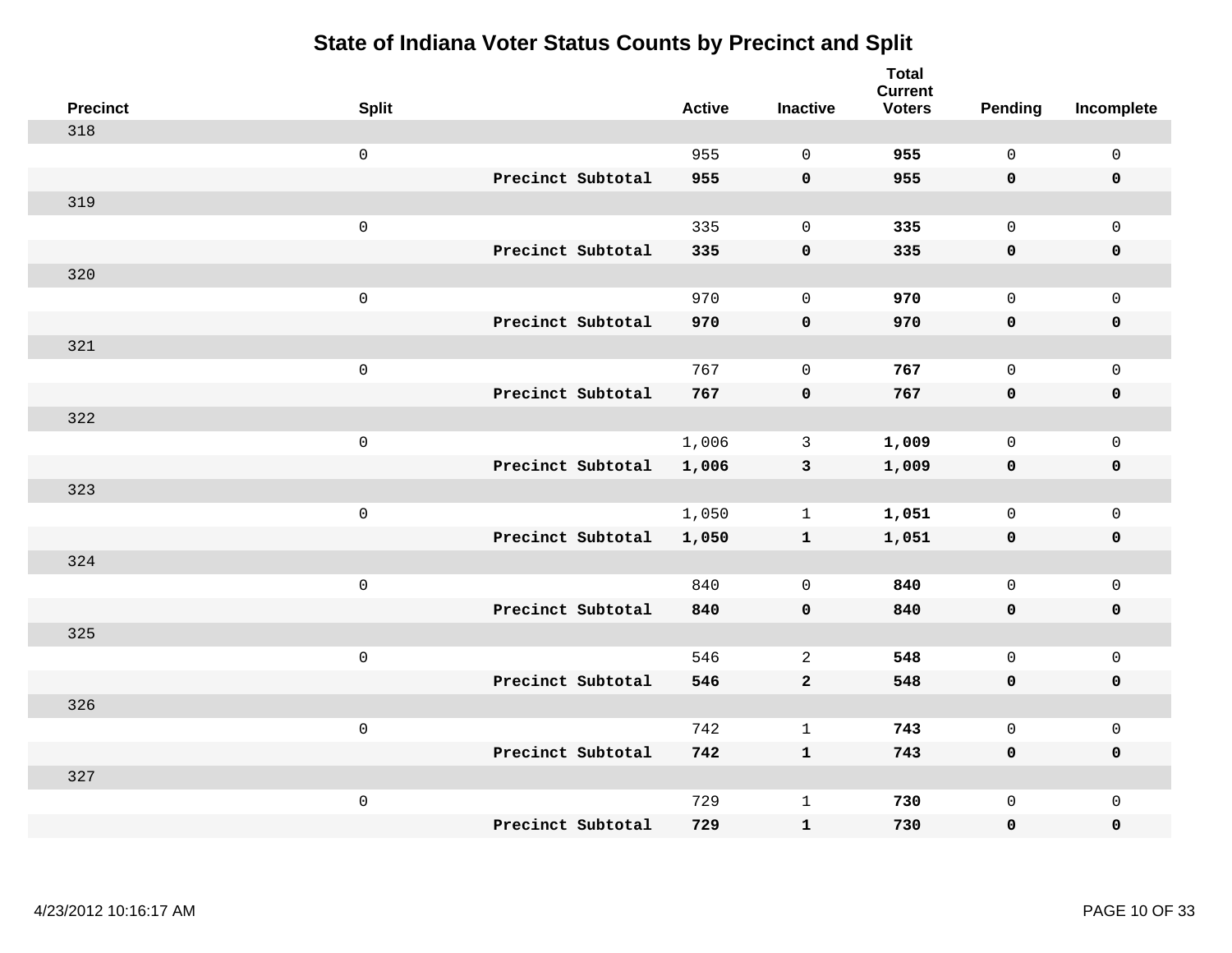| <b>Precinct</b> | <b>Split</b> |                   | <b>Active</b> | <b>Inactive</b> | <b>Total</b><br><b>Current</b><br><b>Voters</b> | <b>Pending</b>      | Incomplete          |
|-----------------|--------------|-------------------|---------------|-----------------|-------------------------------------------------|---------------------|---------------------|
| 318             |              |                   |               |                 |                                                 |                     |                     |
|                 | $\mathsf 0$  |                   | 955           | $\mathbf 0$     | 955                                             | $\mathbf 0$         | $\mathsf 0$         |
|                 |              | Precinct Subtotal | 955           | $\mathbf 0$     | 955                                             | $\mathbf 0$         | $\mathbf 0$         |
| 319             |              |                   |               |                 |                                                 |                     |                     |
|                 | $\mathsf 0$  |                   | 335           | $\mathbf 0$     | 335                                             | $\mathbf 0$         | $\mathbf 0$         |
|                 |              | Precinct Subtotal | 335           | $\pmb{0}$       | 335                                             | $\mathbf 0$         | $\pmb{0}$           |
| 320             |              |                   |               |                 |                                                 |                     |                     |
|                 | $\mbox{O}$   |                   | 970           | $\mathbf 0$     | 970                                             | $\mathbf 0$         | $\mathsf 0$         |
|                 |              | Precinct Subtotal | 970           | $\mathbf 0$     | 970                                             | $\mathbf 0$         | $\mathbf 0$         |
| 321             |              |                   |               |                 |                                                 |                     |                     |
|                 | $\mathsf 0$  |                   | 767           | $\mathbf 0$     | 767                                             | $\mathbf 0$         | $\mathsf 0$         |
|                 |              | Precinct Subtotal | 767           | $\pmb{0}$       | 767                                             | $\mathbf 0$         | $\mathbf 0$         |
| 322             |              |                   |               |                 |                                                 |                     |                     |
|                 | $\mathsf 0$  |                   | 1,006         | 3               | 1,009                                           | $\mathbf 0$         | $\mathbf{0}$        |
|                 |              | Precinct Subtotal | 1,006         | $\mathbf{3}$    | 1,009                                           | $\mathbf 0$         | $\mathbf 0$         |
| 323             |              |                   |               |                 |                                                 |                     |                     |
|                 | $\mathsf 0$  |                   | 1,050         | $\mathbf{1}$    | 1,051                                           | $\mathsf{O}$        | $\mathsf{O}\xspace$ |
|                 |              | Precinct Subtotal | 1,050         | $\mathbf{1}$    | 1,051                                           | 0                   | $\mathbf 0$         |
| 324             |              |                   |               |                 |                                                 |                     |                     |
|                 | $\mathsf 0$  |                   | 840           | $\mathbf 0$     | 840                                             | $\mathbf 0$         | $\mathbf 0$         |
|                 |              | Precinct Subtotal | 840           | $\mathbf 0$     | 840                                             | 0                   | $\mathbf 0$         |
| 325             |              |                   |               |                 |                                                 |                     |                     |
|                 | $\mathsf 0$  |                   | 546           | $\overline{c}$  | 548                                             | $\mathsf{O}$        | $\mathbf 0$         |
|                 |              | Precinct Subtotal | 546           | $\mathbf{2}$    | 548                                             | $\mathsf{O}\xspace$ | $\pmb{0}$           |
| 326             |              |                   | 742           |                 |                                                 |                     |                     |
|                 | $\mathbf 0$  |                   |               | $\mathbf{1}$    | 743                                             | $\mathbf 0$         | $\mathsf{O}\xspace$ |
| 327             |              | Precinct Subtotal | 742           | $\mathbf{1}$    | 743                                             | 0                   | $\pmb{0}$           |
|                 | $\mathbf 0$  |                   | 729           | $\mathbf{1}$    | 730                                             | $\mathsf{O}$        | $\mathbf 0$         |
|                 |              | Precinct Subtotal | 729           | ${\bf 1}$       | 730                                             | 0                   | 0                   |
|                 |              |                   |               |                 |                                                 |                     |                     |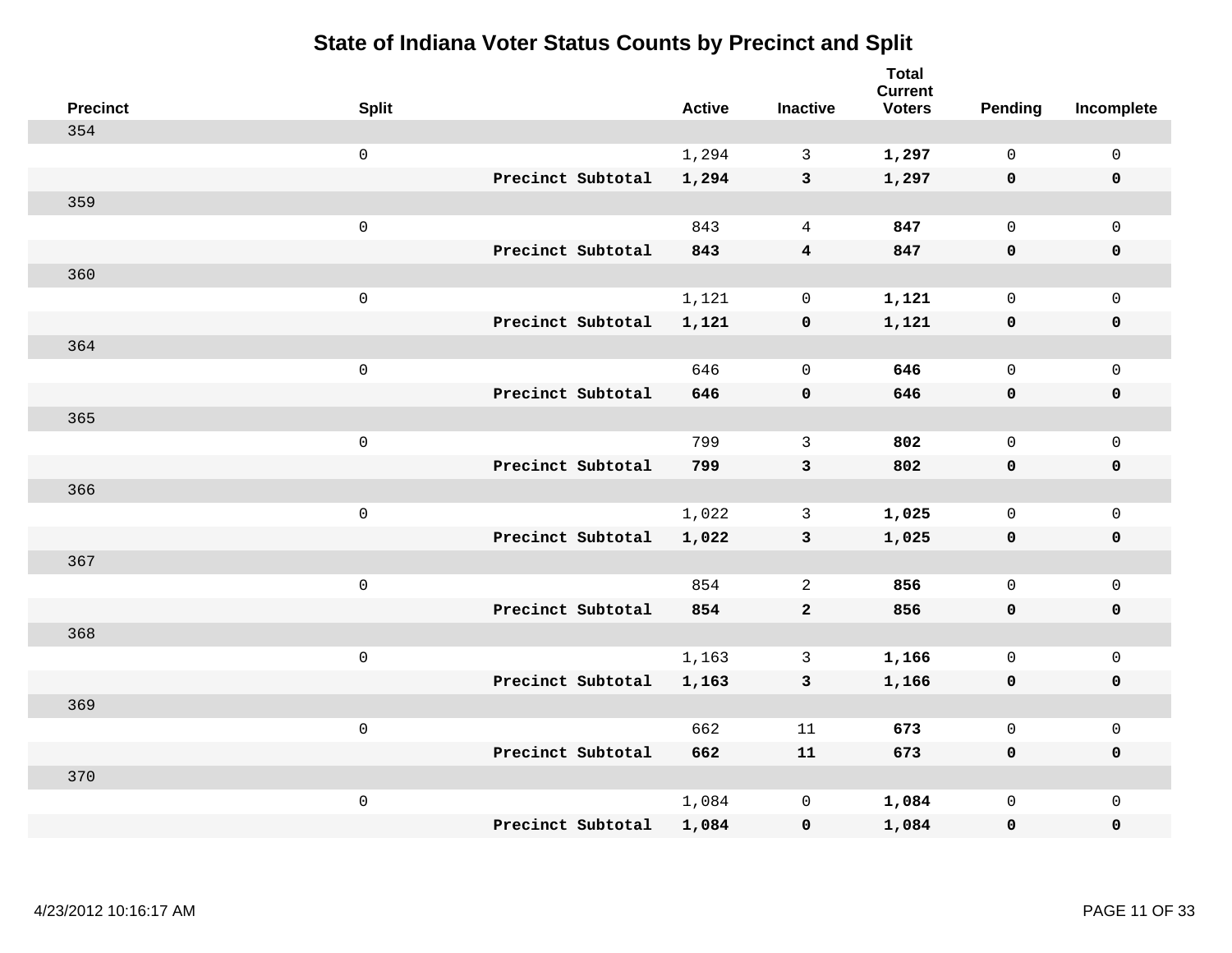| <b>Precinct</b> | <b>Split</b>        |                   | <b>Active</b> | <b>Inactive</b>         | <b>Total</b><br><b>Current</b><br><b>Voters</b> | <b>Pending</b> | Incomplete          |
|-----------------|---------------------|-------------------|---------------|-------------------------|-------------------------------------------------|----------------|---------------------|
| 354             |                     |                   |               |                         |                                                 |                |                     |
|                 | $\mathsf{O}\xspace$ |                   | 1,294         | $\mathbf{3}$            | 1,297                                           | $\mathbf 0$    | $\mathsf{O}\xspace$ |
|                 |                     | Precinct Subtotal | 1,294         | $\mathbf{3}$            | 1,297                                           | $\mathbf 0$    | $\mathbf 0$         |
| 359             |                     |                   |               |                         |                                                 |                |                     |
|                 | $\mathsf 0$         |                   | 843           | $\overline{4}$          | 847                                             | $\mathbf{0}$   | $\mathsf{O}$        |
|                 |                     | Precinct Subtotal | 843           | $\overline{\mathbf{4}}$ | 847                                             | $\mathbf 0$    | 0                   |
| 360             |                     |                   |               |                         |                                                 |                |                     |
|                 | $\mathsf 0$         |                   | 1,121         | $\mathbf 0$             | 1,121                                           | $\mathbf 0$    | $\mathsf{O}\xspace$ |
|                 |                     | Precinct Subtotal | 1,121         | $\pmb{0}$               | 1,121                                           | $\mathbf 0$    | $\pmb{0}$           |
| 364             |                     |                   |               |                         |                                                 |                |                     |
|                 | $\mathsf 0$         |                   | 646           | $\mathbf 0$             | 646                                             | $\mathsf{O}$   | $\mathsf{O}$        |
|                 |                     | Precinct Subtotal | 646           | $\mathbf 0$             | 646                                             | 0              | 0                   |
| 365             |                     |                   |               |                         |                                                 |                |                     |
|                 | $\mathsf 0$         |                   | 799           | 3                       | 802                                             | $\mathbf 0$    | $\mathsf{O}\xspace$ |
|                 |                     | Precinct Subtotal | 799           | 3                       | 802                                             | $\mathbf 0$    | 0                   |
| 366             |                     |                   |               |                         |                                                 |                |                     |
|                 | $\mathsf{O}\xspace$ |                   | 1,022         | 3                       | 1,025                                           | $\mathbf 0$    | $\mathsf{O}\xspace$ |
|                 |                     | Precinct Subtotal | 1,022         | $\mathbf{3}$            | 1,025                                           | $\mathbf 0$    | 0                   |
| 367             |                     |                   |               |                         |                                                 |                |                     |
|                 | $\mathsf 0$         |                   | 854           | 2                       | 856                                             | $\mathbf 0$    | $\mathsf{O}$        |
|                 |                     | Precinct Subtotal | 854           | $\mathbf{2}$            | 856                                             | 0              | 0                   |
| 368             |                     |                   |               |                         |                                                 |                |                     |
|                 | $\mathsf 0$         |                   | 1,163         | $\mathbf{3}$            | 1,166                                           | $\mathsf{O}$   | $\mathsf{O}\xspace$ |
|                 |                     | Precinct Subtotal | 1,163         | 3                       | 1,166                                           | 0              | 0                   |
| 369             |                     |                   |               |                         |                                                 |                |                     |
|                 | $\mathsf 0$         |                   | 662           | 11                      | 673                                             | $\mathbf{0}$   | $\mathsf{O}$        |
|                 |                     | Precinct Subtotal | 662           | 11                      | 673                                             | 0              | 0                   |
| 370             |                     |                   |               |                         |                                                 |                |                     |
|                 | $\mathsf 0$         |                   | 1,084         | $\mathbf 0$             | 1,084                                           | $\mathsf{O}$   | $\mathsf{O}$        |
|                 |                     | Precinct Subtotal | 1,084         | 0                       | 1,084                                           | 0              | 0                   |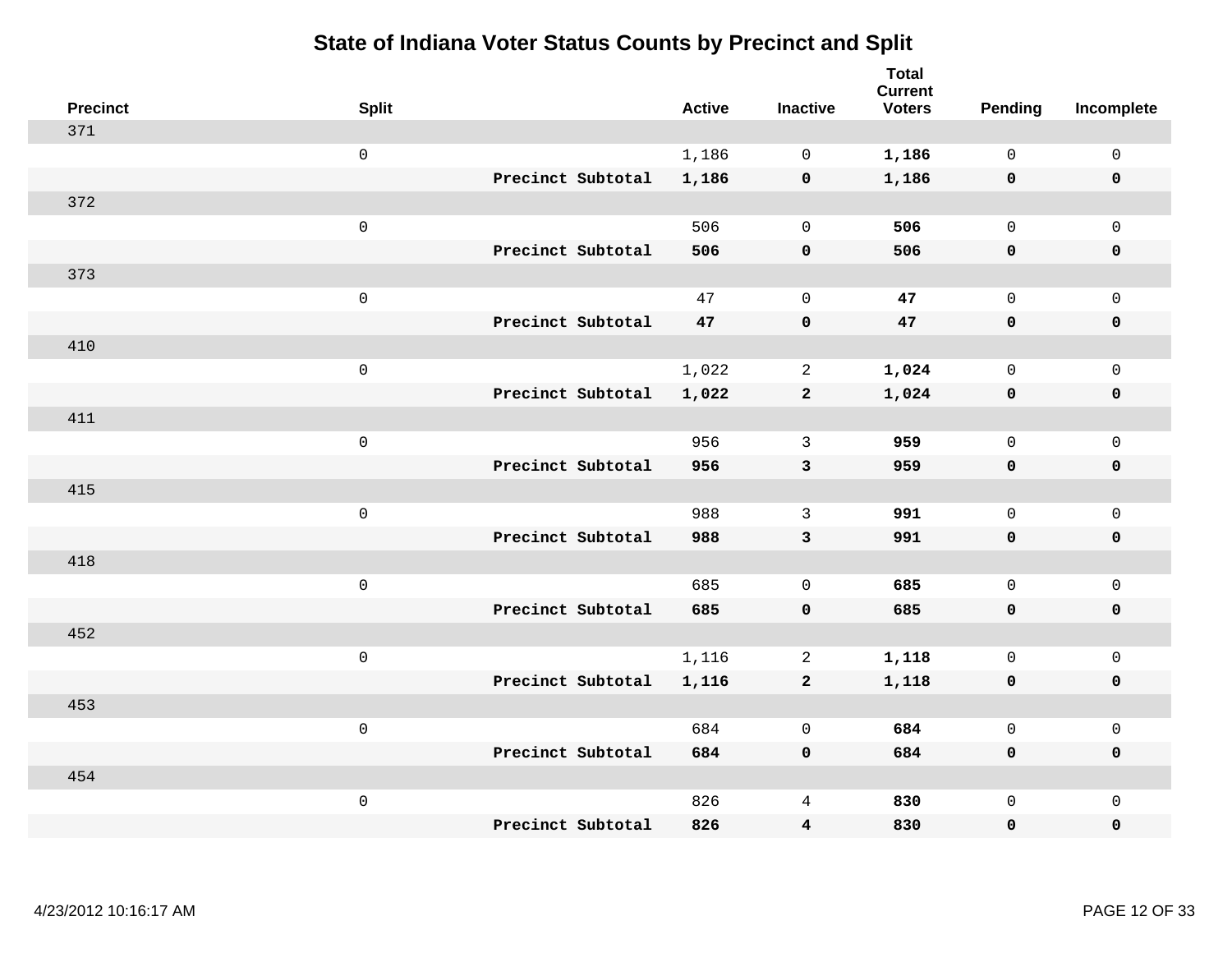| <b>Precinct</b> | <b>Split</b>                     | <b>Active</b> | <b>Inactive</b>         | <b>Total</b><br><b>Current</b><br><b>Voters</b> | <b>Pending</b> | Incomplete          |
|-----------------|----------------------------------|---------------|-------------------------|-------------------------------------------------|----------------|---------------------|
| 371             |                                  |               |                         |                                                 |                |                     |
|                 | $\mathsf 0$                      | 1,186         | $\mathbf 0$             | 1,186                                           | $\mathbf 0$    | $\mathsf 0$         |
|                 | Precinct Subtotal                | 1,186         | $\mathbf 0$             | 1,186                                           | $\mathbf 0$    | $\mathbf 0$         |
| 372             |                                  |               |                         |                                                 |                |                     |
|                 | $\mathsf 0$                      | 506           | $\mathbf 0$             | 506                                             | $\mathbf{0}$   | $\mathsf{O}$        |
|                 | Precinct Subtotal                | 506           | $\pmb{0}$               | 506                                             | $\mathbf 0$    | 0                   |
| 373             |                                  |               |                         |                                                 |                |                     |
|                 | $\mathsf 0$                      | 47            | $\mathbf 0$             | 47                                              | $\mathbf 0$    | $\mathsf{O}\xspace$ |
|                 | Precinct Subtotal                | 47            | $\pmb{0}$               | 47                                              | 0              | $\pmb{0}$           |
| 410             |                                  |               |                         |                                                 |                |                     |
|                 | $\mathsf 0$                      | 1,022         | $\overline{2}$          | 1,024                                           | $\mathbf 0$    | $\mathsf{O}$        |
|                 | Precinct Subtotal                | 1,022         | $\mathbf{2}$            | 1,024                                           | $\mathbf 0$    | 0                   |
| 411             |                                  |               |                         |                                                 |                |                     |
|                 | $\mathsf 0$                      | 956           | 3                       | 959                                             | $\mathbf 0$    | $\mathsf{O}\xspace$ |
|                 | Precinct Subtotal                | 956           | $\mathbf{3}$            | 959                                             | 0              | 0                   |
| 415             |                                  |               |                         |                                                 |                |                     |
|                 | $\mathsf{O}\xspace$              | 988           | $\mathbf{3}$            | 991                                             | $\mathbf 0$    | $\mathsf{O}\xspace$ |
|                 | Precinct Subtotal                | 988           | $\mathbf{3}$            | 991                                             | 0              | 0                   |
| 418             |                                  |               |                         |                                                 |                |                     |
|                 | $\mathsf 0$                      | 685           | $\mathbf 0$             | 685                                             | $\mathbf 0$    | $\mathsf{O}$        |
|                 | Precinct Subtotal                | 685           | $\mathbf 0$             | 685                                             | $\mathbf 0$    | 0                   |
| 452             |                                  |               |                         |                                                 |                |                     |
|                 | $\mathsf 0$                      | 1,116         | 2                       | 1,118                                           | $\mathsf{O}$   | $\mathsf{O}\xspace$ |
|                 | Precinct Subtotal                | 1,116         | $\mathbf{2}$            | 1,118                                           | 0              | 0                   |
| 453             |                                  |               |                         |                                                 |                |                     |
|                 | $\mathsf 0$                      | 684           | $\mathbf 0$             | 684                                             | $\mathbf{0}$   | $\mathsf{O}$        |
|                 | Precinct Subtotal                | 684           | $\mathbf 0$             | 684                                             | 0              | 0                   |
| 454             |                                  |               |                         |                                                 |                |                     |
|                 | $\mathsf 0$<br>Precinct Subtotal | 826           | 4                       | 830                                             | $\mathsf{O}$   | $\mathsf{O}$        |
|                 |                                  | 826           | $\overline{\mathbf{4}}$ | 830                                             | 0              | 0                   |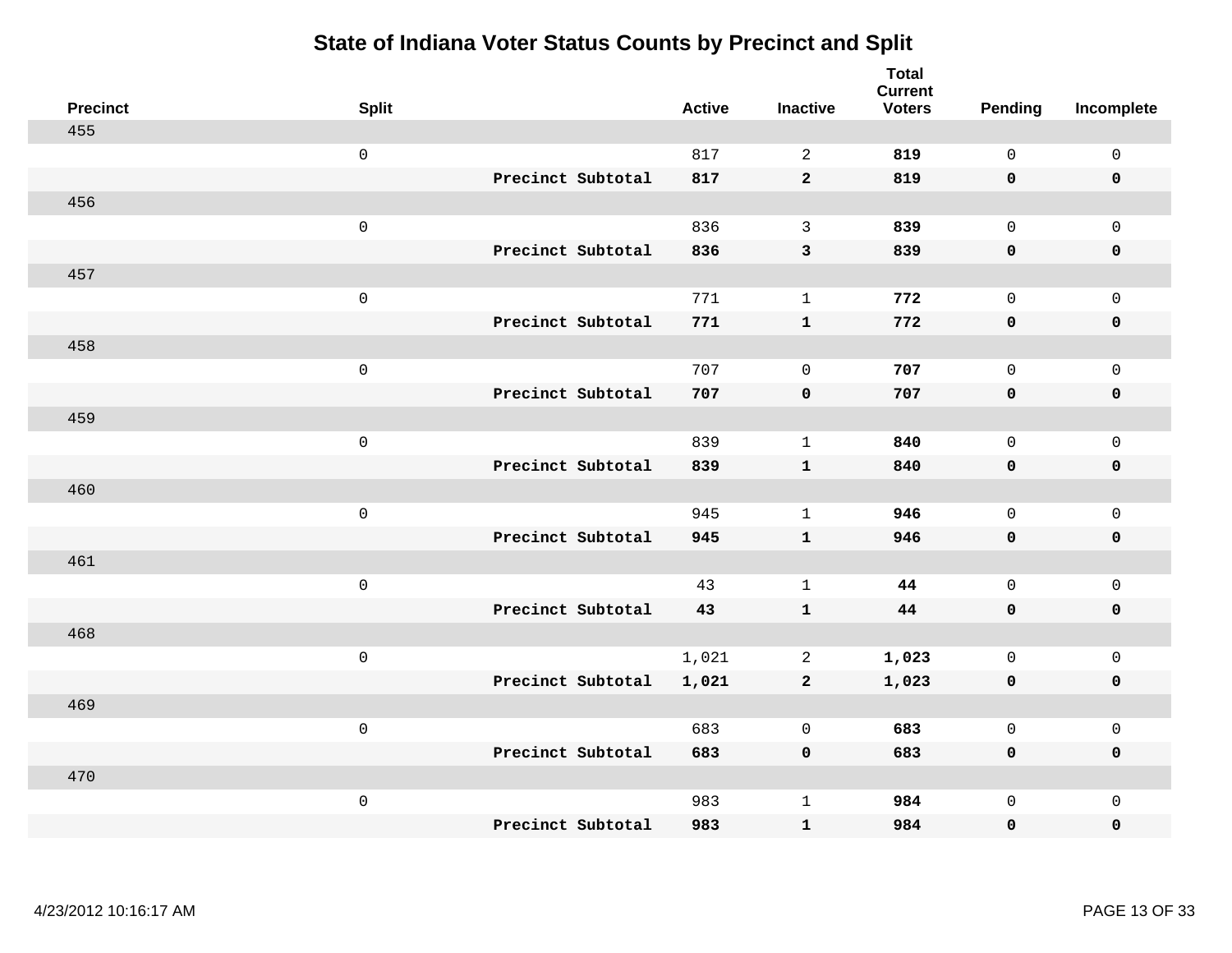| <b>Precinct</b> | <b>Split</b>        | <b>Active</b> | <b>Inactive</b> | <b>Total</b><br><b>Current</b><br><b>Voters</b> | <b>Pending</b> | Incomplete          |
|-----------------|---------------------|---------------|-----------------|-------------------------------------------------|----------------|---------------------|
| 455             |                     |               |                 |                                                 |                |                     |
|                 | $\mathsf 0$         | 817           | 2               | 819                                             | $\mathbf 0$    | $\mathsf 0$         |
|                 | Precinct Subtotal   | 817           | $\overline{2}$  | 819                                             | $\mathbf 0$    | $\mathbf 0$         |
| 456             |                     |               |                 |                                                 |                |                     |
|                 | $\mathsf{O}\xspace$ | 836           | $\mathbf{3}$    | 839                                             | $\mathbf{0}$   | $\mathsf{O}$        |
|                 | Precinct Subtotal   | 836           | $\mathsf 3$     | 839                                             | $\mathbf 0$    | 0                   |
| 457             |                     |               |                 |                                                 |                |                     |
|                 | $\mathsf 0$         | 771           | $\mathbf{1}$    | 772                                             | $\mathbf{0}$   | $\mathsf{O}\xspace$ |
|                 | Precinct Subtotal   | 771           | $\mathbf{1}$    | 772                                             | 0              | $\mathbf 0$         |
| 458             |                     |               |                 |                                                 |                |                     |
|                 | $\mathsf{O}\xspace$ | 707           | $\mathbf 0$     | 707                                             | $\mathbf 0$    | $\mathsf{O}$        |
|                 | Precinct Subtotal   | 707           | $\mathbf 0$     | 707                                             | $\mathbf 0$    | 0                   |
| 459             |                     |               |                 |                                                 |                |                     |
|                 | $\mathsf{O}\xspace$ | 839           | $\mathbf{1}$    | 840                                             | $\mathbf 0$    | $\mathsf{O}\xspace$ |
|                 | Precinct Subtotal   | 839           | $\mathbf{1}$    | 840                                             | 0              | 0                   |
| 460             |                     |               |                 |                                                 |                |                     |
|                 | $\mathsf 0$         | 945           | $\mathbf{1}$    | 946                                             | $\mathbf 0$    | $\mathsf{O}$        |
|                 | Precinct Subtotal   | 945           | $\mathbf{1}$    | 946                                             | 0              | 0                   |
| 461             |                     |               |                 |                                                 |                |                     |
|                 | $\mathsf 0$         | 43            | $\mathbf{1}$    | 44                                              | $\mathsf{O}$   | $\mathsf{O}$        |
|                 | Precinct Subtotal   | 43            | $\mathbf{1}$    | 44                                              | $\mathbf 0$    | 0                   |
| 468             |                     |               |                 |                                                 |                |                     |
|                 | $\mathsf 0$         | 1,021         | 2               | 1,023                                           | $\mathsf{O}$   | $\mathsf{O}$        |
|                 | Precinct Subtotal   | 1,021         | $\mathbf{2}$    | 1,023                                           | 0              | 0                   |
| 469             |                     |               |                 |                                                 |                |                     |
|                 | $\mathsf{O}\xspace$ | 683           | $\mathbf 0$     | 683                                             | $\mathbf 0$    | $\mathsf{O}$        |
|                 | Precinct Subtotal   | 683           | $\mathbf 0$     | 683                                             | 0              | 0                   |
| 470             |                     |               |                 |                                                 |                |                     |
|                 | $\mathsf 0$         | 983           | $\mathbf{1}$    | 984                                             | $\mathsf{O}$   | $\mathsf{O}$        |
|                 | Precinct Subtotal   | 983           | $\mathbf{1}$    | 984                                             | 0              | $\mathbf 0$         |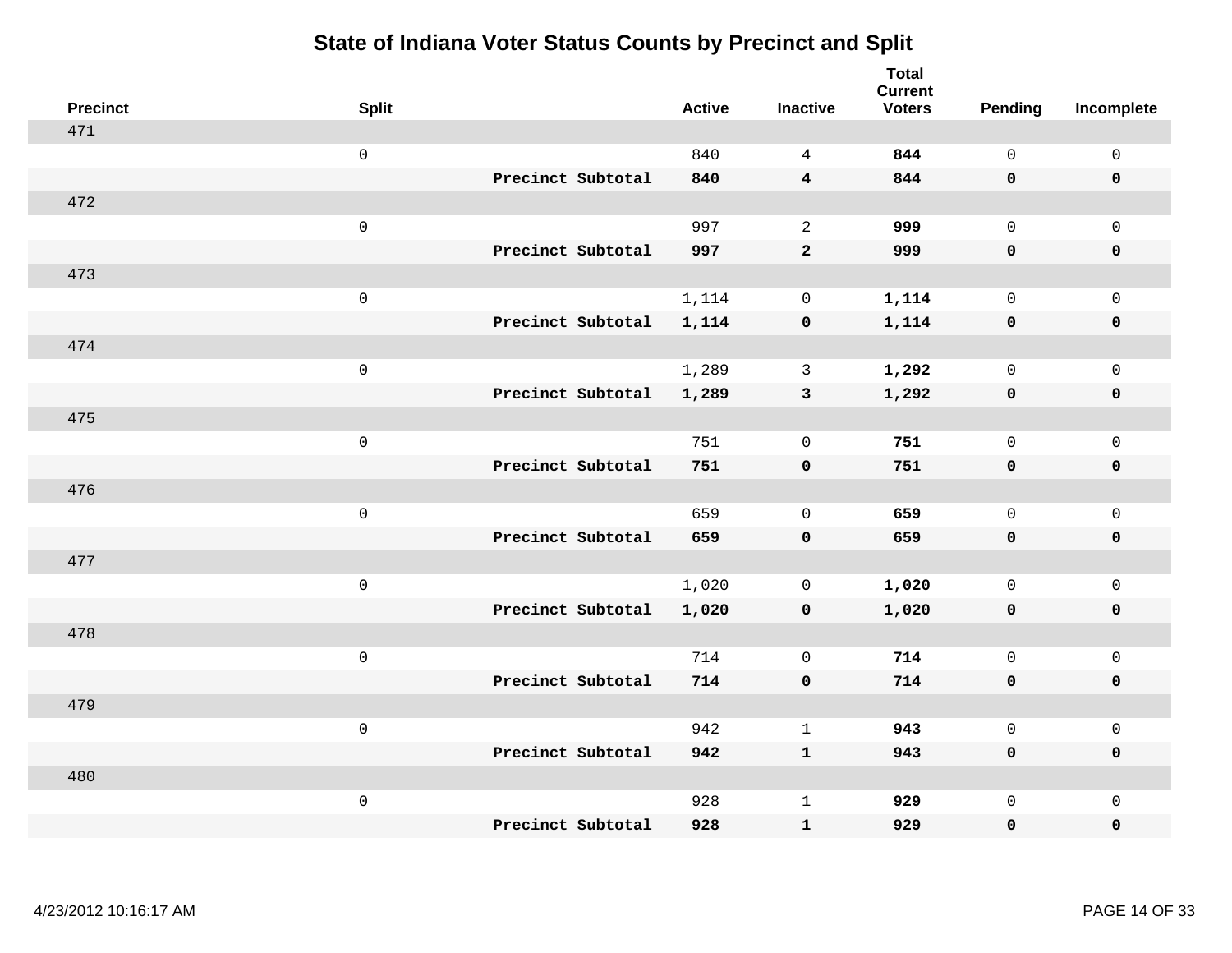| <b>Precinct</b> | <b>Split</b>        |                   | <b>Active</b> | <b>Inactive</b>         | <b>Total</b><br><b>Current</b><br><b>Voters</b> | Pending      | Incomplete          |
|-----------------|---------------------|-------------------|---------------|-------------------------|-------------------------------------------------|--------------|---------------------|
| 471             |                     |                   |               |                         |                                                 |              |                     |
|                 | $\mathsf{O}\xspace$ |                   | 840           | $\overline{4}$          | 844                                             | $\mathsf{O}$ | $\mathsf 0$         |
|                 |                     | Precinct Subtotal | 840           | $\overline{\mathbf{4}}$ | 844                                             | $\mathbf 0$  | $\mathbf 0$         |
| 472             |                     |                   |               |                         |                                                 |              |                     |
|                 | $\mathsf 0$         |                   | 997           | 2                       | 999                                             | $\mathbf 0$  | $\mathbf 0$         |
|                 |                     | Precinct Subtotal | 997           | $\overline{a}$          | 999                                             | $\mathbf 0$  | $\pmb{0}$           |
| 473             |                     |                   |               |                         |                                                 |              |                     |
|                 | $\mathsf 0$         |                   | 1,114         | $\mathbf 0$             | 1,114                                           | $\mathbf 0$  | $\mathbf 0$         |
|                 |                     | Precinct Subtotal | 1,114         | $\mathbf 0$             | 1,114                                           | $\mathbf 0$  | $\mathbf 0$         |
| 474             |                     |                   |               |                         |                                                 |              |                     |
|                 | $\mathsf 0$         |                   | 1,289         | $\mathbf{3}$            | 1,292                                           | $\mathsf{O}$ | $\mathbf 0$         |
|                 |                     | Precinct Subtotal | 1,289         | $\mathbf{3}$            | 1,292                                           | $\mathbf 0$  | $\mathbf 0$         |
| 475             |                     |                   |               |                         |                                                 |              |                     |
|                 | $\mathsf 0$         |                   | 751           | $\mathbf 0$             | 751                                             | $\mathbf 0$  | $\mathsf{O}\xspace$ |
|                 |                     | Precinct Subtotal | 751           | $\mathbf 0$             | 751                                             | $\mathbf 0$  | $\mathbf 0$         |
| 476             |                     |                   |               |                         |                                                 |              |                     |
|                 | $\mathsf 0$         |                   | 659           | $\mathbf 0$             | 659                                             | $\mathbf 0$  | $\mathsf{O}\xspace$ |
|                 |                     | Precinct Subtotal | 659           | $\mathbf 0$             | 659                                             | $\mathbf 0$  | $\mathbf 0$         |
| 477             |                     |                   |               |                         |                                                 |              |                     |
|                 | $\mathbf 0$         |                   | 1,020         | 0                       | 1,020                                           | $\mathsf{O}$ | $\mathbf 0$         |
|                 |                     | Precinct Subtotal | 1,020         | 0                       | 1,020                                           | 0            | 0                   |
| 478             |                     |                   |               |                         |                                                 |              |                     |
|                 | $\mathbf 0$         |                   | 714           | $\mathbf 0$             | 714                                             | $\mathbf 0$  | $\mathsf{O}\xspace$ |
|                 |                     | Precinct Subtotal | 714           | $\mathbf 0$             | 714                                             | $\mathbf 0$  | $\pmb{0}$           |
| 479             |                     |                   |               |                         |                                                 |              |                     |
|                 | $\mathbf 0$         |                   | 942           | $\mathbf{1}$            | 943                                             | $\mathbf 0$  | $\mathbf 0$         |
|                 |                     | Precinct Subtotal | 942           | $\mathbf{1}$            | 943                                             | 0            | $\mathbf 0$         |
| 480             |                     |                   |               |                         |                                                 |              |                     |
|                 | $\mathbf 0$         |                   | 928           | $\mathbf{1}$            | 929                                             | $\mathsf{O}$ | $\mathbf 0$         |
|                 |                     | Precinct Subtotal | 928           | ${\bf 1}$               | 929                                             | 0            | 0                   |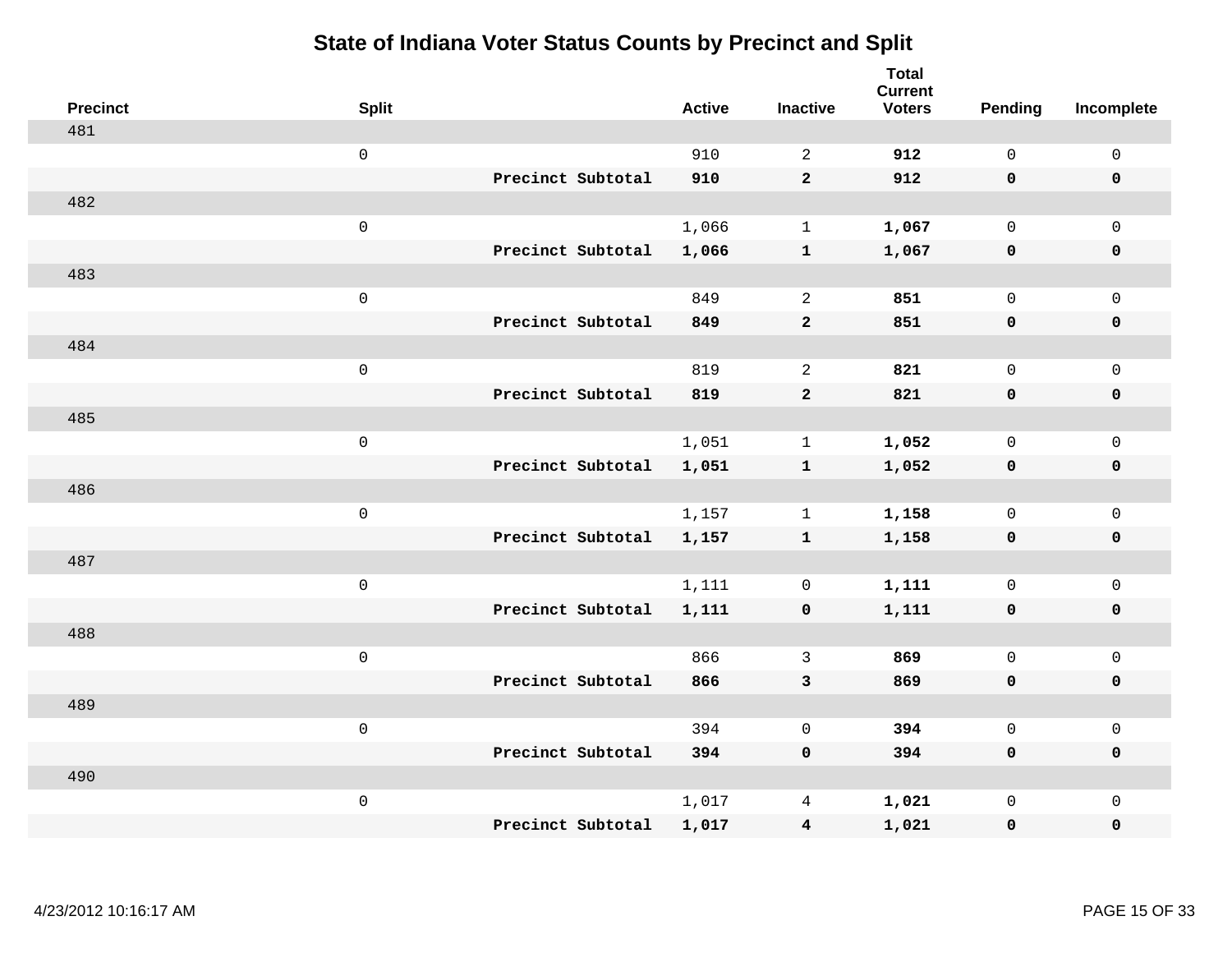| <b>Precinct</b> | <b>Split</b>        |                   | <b>Active</b> | <b>Inactive</b>         | <b>Total</b><br><b>Current</b><br><b>Voters</b> | <b>Pending</b> | Incomplete          |
|-----------------|---------------------|-------------------|---------------|-------------------------|-------------------------------------------------|----------------|---------------------|
| 481             |                     |                   |               |                         |                                                 |                |                     |
|                 | $\mathsf{O}\xspace$ |                   | 910           | 2                       | 912                                             | $\mathsf{O}$   | $\mathsf{O}\xspace$ |
|                 |                     | Precinct Subtotal | 910           | $\overline{2}$          | 912                                             | $\mathbf 0$    | $\mathbf 0$         |
| 482             |                     |                   |               |                         |                                                 |                |                     |
|                 | $\mathsf{O}\xspace$ |                   | 1,066         | $\mathbf{1}$            | 1,067                                           | $\mathbf 0$    | $\mathsf{O}$        |
|                 |                     | Precinct Subtotal | 1,066         | $\mathbf{1}$            | 1,067                                           | $\mathbf 0$    | 0                   |
| 483             |                     |                   |               |                         |                                                 |                |                     |
|                 | $\mathsf 0$         |                   | 849           | 2                       | 851                                             | $\mathbf 0$    | $\mathsf{O}\xspace$ |
|                 |                     | Precinct Subtotal | 849           | $\mathbf{2}$            | 851                                             | 0              | $\pmb{0}$           |
| 484             |                     |                   |               |                         |                                                 |                |                     |
|                 | $\mathsf{O}\xspace$ |                   | 819           | 2                       | 821                                             | $\mathbf 0$    | $\mathsf{O}$        |
|                 |                     | Precinct Subtotal | 819           | $\overline{a}$          | 821                                             | 0              | 0                   |
| 485             |                     |                   |               |                         |                                                 |                |                     |
|                 | $\mathsf{O}\xspace$ |                   | 1,051         | $\mathbf{1}$            | 1,052                                           | $\mathsf{O}$   | $\mathsf{O}\xspace$ |
|                 |                     | Precinct Subtotal | 1,051         | $\mathbf{1}$            | 1,052                                           | 0              | 0                   |
| 486             |                     |                   |               |                         |                                                 |                |                     |
|                 | $\mathsf 0$         |                   | 1,157         | $\mathbf{1}$            | 1,158                                           | $\mathbf 0$    | $\mathsf{O}\xspace$ |
|                 |                     | Precinct Subtotal | 1,157         | $\mathbf{1}$            | 1,158                                           | $\mathbf 0$    | 0                   |
| 487             |                     |                   |               |                         |                                                 |                |                     |
|                 | $\mathsf 0$         |                   | 1,111         | 0                       | 1,111                                           | $\mathsf{O}$   | $\mathsf{O}$        |
|                 |                     | Precinct Subtotal | 1,111         | 0                       | 1,111                                           | 0              | 0                   |
| 488             |                     |                   |               |                         |                                                 |                |                     |
|                 | $\mathsf 0$         |                   | 866           | $\mathbf{3}$            | 869                                             | $\mathsf{O}$   | $\mathsf{O}$        |
|                 |                     | Precinct Subtotal | 866           | 3                       | 869                                             | 0              | 0                   |
| 489             |                     |                   |               |                         |                                                 |                |                     |
|                 | $\mathsf 0$         |                   | 394           | $\mathbf 0$             | 394                                             | $\mathbf 0$    | $\mathsf{O}$        |
|                 |                     | Precinct Subtotal | 394           | $\mathbf 0$             | 394                                             | 0              | 0                   |
| 490             |                     |                   |               |                         |                                                 |                |                     |
|                 | $\mathsf 0$         |                   | 1,017         | 4                       | 1,021                                           | $\mathsf{O}$   | $\mathsf{O}$        |
|                 |                     | Precinct Subtotal | 1,017         | $\overline{\mathbf{4}}$ | 1,021                                           | 0              | 0                   |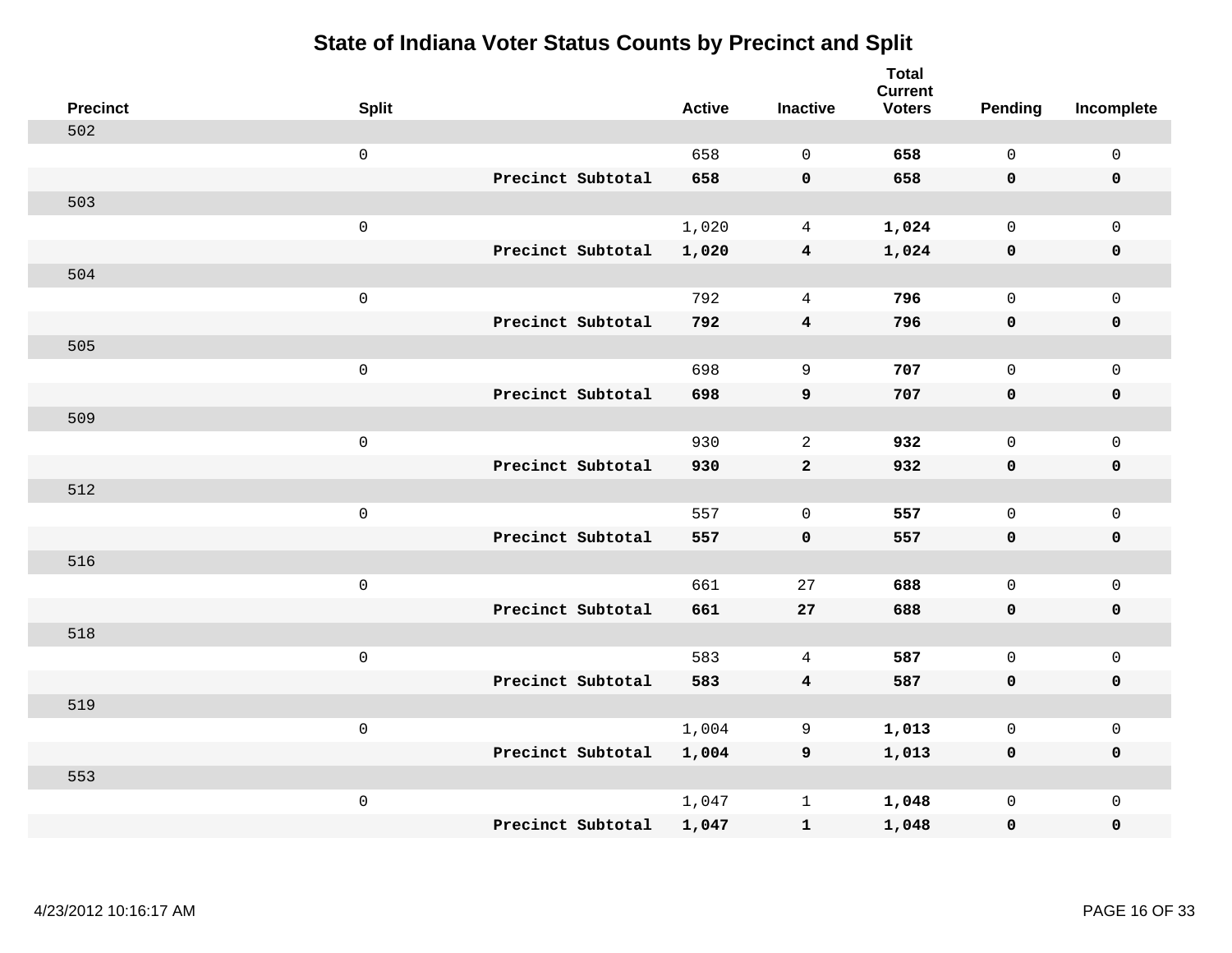| <b>Precinct</b> | <b>Split</b>      | <b>Active</b> | <b>Inactive</b>         | <b>Total</b><br><b>Current</b><br><b>Voters</b> | <b>Pending</b> | Incomplete          |
|-----------------|-------------------|---------------|-------------------------|-------------------------------------------------|----------------|---------------------|
| 502             |                   |               |                         |                                                 |                |                     |
|                 | $\mathsf 0$       | 658           | $\Omega$                | 658                                             | $\mathbf 0$    | $\mathbf 0$         |
|                 | Precinct Subtotal | 658           | $\mathbf 0$             | 658                                             | $\mathbf 0$    | $\mathbf 0$         |
| 503             |                   |               |                         |                                                 |                |                     |
|                 | $\mathsf 0$       | 1,020         | $\overline{4}$          | 1,024                                           | $\mathsf{O}$   | $\mathbf 0$         |
|                 | Precinct Subtotal | 1,020         | $\overline{\mathbf{4}}$ | 1,024                                           | $\mathbf 0$    | $\pmb{0}$           |
| 504             |                   |               |                         |                                                 |                |                     |
|                 | $\mathsf 0$       | 792           | $\overline{4}$          | 796                                             | $\mathbf 0$    | $\mathsf{O}\xspace$ |
|                 | Precinct Subtotal | 792           | $\overline{4}$          | 796                                             | $\mathbf 0$    | $\mathbf 0$         |
| 505             |                   |               |                         |                                                 |                |                     |
|                 | $\mathsf 0$       | 698           | $\overline{9}$          | 707                                             | $\mathbf 0$    | $\mathbf 0$         |
|                 | Precinct Subtotal | 698           | $\boldsymbol{9}$        | 707                                             | $\mathbf 0$    | $\pmb{0}$           |
| 509             |                   |               |                         |                                                 |                |                     |
|                 | $\mathsf 0$       | 930           | 2                       | 932                                             | $\Omega$       | $\mathbf{0}$        |
|                 | Precinct Subtotal | 930           | $\mathbf{2}$            | 932                                             | $\mathbf 0$    | $\mathbf 0$         |
| 512             |                   |               |                         |                                                 |                |                     |
|                 | $\mathsf 0$       | 557           | $\mathbf 0$             | 557                                             | $\mathsf{O}$   | $\mathsf{O}\xspace$ |
|                 | Precinct Subtotal | 557           | $\mathbf 0$             | 557                                             | $\mathbf 0$    | $\mathbf 0$         |
| 516             |                   |               |                         |                                                 |                |                     |
|                 | $\mathsf 0$       | 661           | 27                      | 688                                             | $\mathbf 0$    | $\mathsf{O}\xspace$ |
|                 | Precinct Subtotal | 661           | 27                      | 688                                             | 0              | $\mathbf 0$         |
| 518             |                   |               |                         |                                                 |                |                     |
|                 | $\mathsf 0$       | 583           | 4                       | 587                                             | $\mathbf 0$    | $\mathsf{O}\xspace$ |
|                 | Precinct Subtotal | 583           | $\overline{4}$          | 587                                             | $\mathbf 0$    | $\pmb{0}$           |
| 519             |                   |               |                         |                                                 |                |                     |
|                 | $\mathbf 0$       | 1,004         | 9                       | 1,013                                           | 0              | $\mathsf 0$         |
|                 | Precinct Subtotal | 1,004         | 9                       | 1,013                                           | $\mathbf 0$    | $\mathbf 0$         |
| 553             |                   |               |                         |                                                 |                |                     |
|                 | $\mathbf 0$       | 1,047         | $\mathbf 1$             | 1,048                                           | $\mathsf{O}$   | $\mathbf 0$         |
|                 | Precinct Subtotal | 1,047         | $\mathbf{1}$            | 1,048                                           | 0              | $\pmb{0}$           |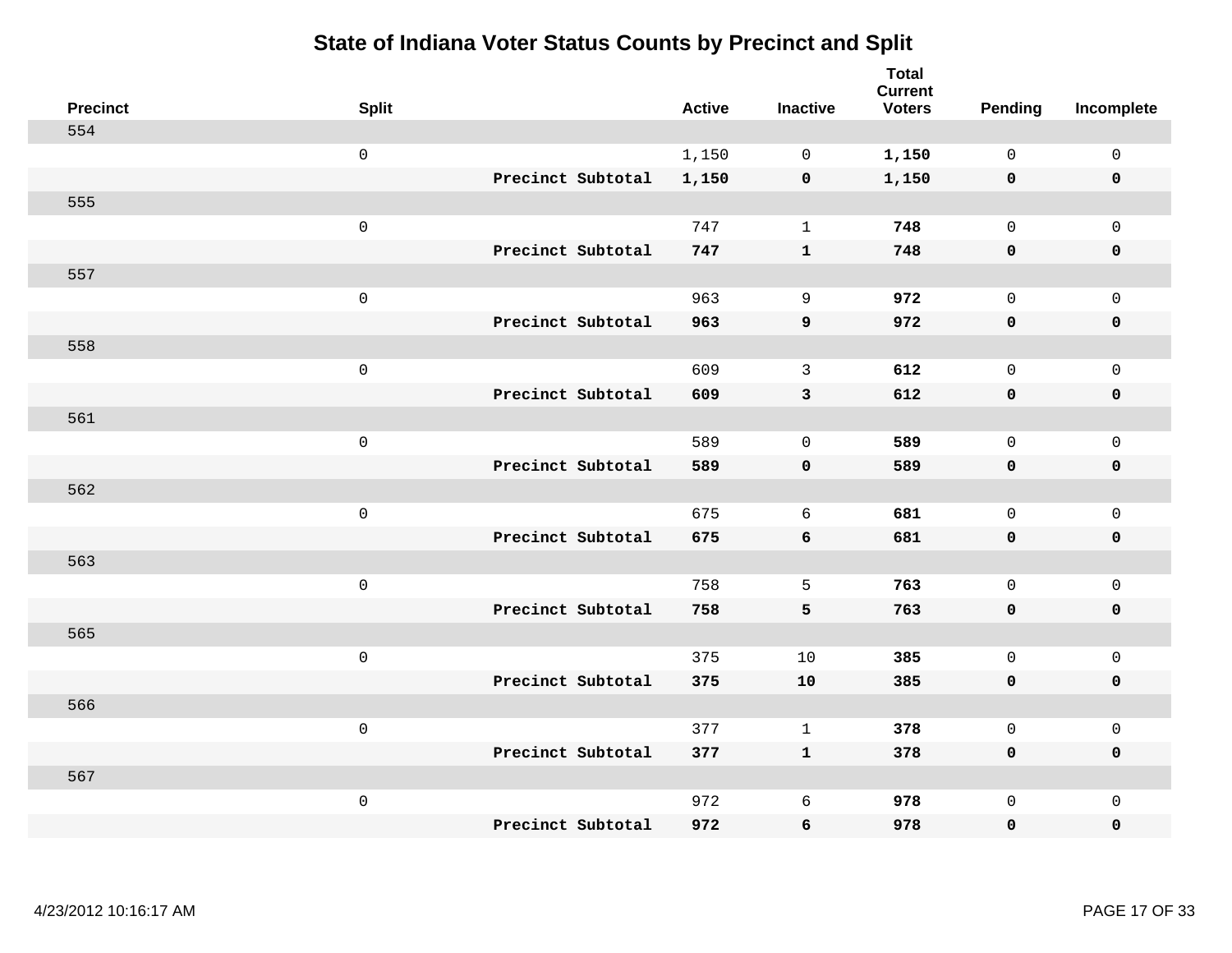| <b>Precinct</b> | <b>Split</b>        |                   | <b>Active</b> | <b>Inactive</b> | <b>Total</b><br><b>Current</b><br><b>Voters</b> | Pending      | Incomplete          |
|-----------------|---------------------|-------------------|---------------|-----------------|-------------------------------------------------|--------------|---------------------|
| 554             |                     |                   |               |                 |                                                 |              |                     |
|                 | $\mathsf{O}$        |                   | 1,150         | $\mathbf 0$     | 1,150                                           | $\mathbf 0$  | $\mathsf{O}$        |
|                 |                     | Precinct Subtotal | 1,150         | $\mathbf 0$     | 1,150                                           | $\mathbf 0$  | $\mathbf 0$         |
| 555             |                     |                   |               |                 |                                                 |              |                     |
|                 | $\mathsf 0$         |                   | 747           | $\mathbf{1}$    | 748                                             | $\mathbf 0$  | $\mathsf{O}$        |
|                 |                     | Precinct Subtotal | 747           | $\mathbf{1}$    | 748                                             | $\mathbf 0$  | 0                   |
| 557             |                     |                   |               |                 |                                                 |              |                     |
|                 | $\mathsf 0$         |                   | 963           | 9               | 972                                             | $\mathbf 0$  | $\mathsf{O}\xspace$ |
|                 |                     | Precinct Subtotal | 963           | 9               | 972                                             | $\mathbf 0$  | 0                   |
| 558             |                     |                   |               |                 |                                                 |              |                     |
|                 | $\mathsf{O}\xspace$ |                   | 609           | $\mathbf{3}$    | 612                                             | $\mathbf{0}$ | $\mathsf{O}\xspace$ |
|                 |                     | Precinct Subtotal | 609           | $\mathbf{3}$    | 612                                             | 0            | 0                   |
| 561             |                     |                   |               |                 |                                                 |              |                     |
|                 | $\mathsf{O}\xspace$ |                   | 589           | $\mathbf 0$     | 589                                             | $\mathbf{0}$ | $\mathbf 0$         |
|                 |                     | Precinct Subtotal | 589           | $\mathbf 0$     | 589                                             | 0            | 0                   |
| 562             |                     |                   |               |                 |                                                 |              |                     |
|                 | $\mathsf 0$         |                   | 675           | 6               | 681                                             | $\mathbf 0$  | $\mathsf{O}$        |
|                 |                     | Precinct Subtotal | 675           | 6               | 681                                             | 0            | 0                   |
| 563             |                     |                   |               |                 |                                                 |              |                     |
|                 | $\mathsf{O}\xspace$ |                   | 758           | 5               | 763                                             | $\mathsf{O}$ | $\mathsf{O}$        |
|                 |                     | Precinct Subtotal | 758           | 5               | 763                                             | 0            | 0                   |
| 565             |                     |                   |               |                 |                                                 |              |                     |
|                 | $\mathsf{O}\xspace$ |                   | 375           | 10              | 385                                             | $\mathsf{O}$ | $\mathsf{O}\xspace$ |
|                 |                     | Precinct Subtotal | 375           | 10              | 385                                             | 0            | 0                   |
| 566             |                     |                   |               |                 |                                                 |              |                     |
|                 | $\mathsf 0$         |                   | 377           | $\mathbf{1}$    | 378                                             | $\mathbf 0$  | $\mathbf 0$         |
|                 |                     | Precinct Subtotal | 377           | $\mathbf{1}$    | 378                                             | 0            | 0                   |
| 567             |                     |                   |               |                 |                                                 |              |                     |
|                 | $\mathsf 0$         |                   | 972           | 6               | 978                                             | $\mathsf{O}$ | $\mathsf{O}$        |
|                 |                     | Precinct Subtotal | 972           | 6               | 978                                             | 0            | $\mathbf 0$         |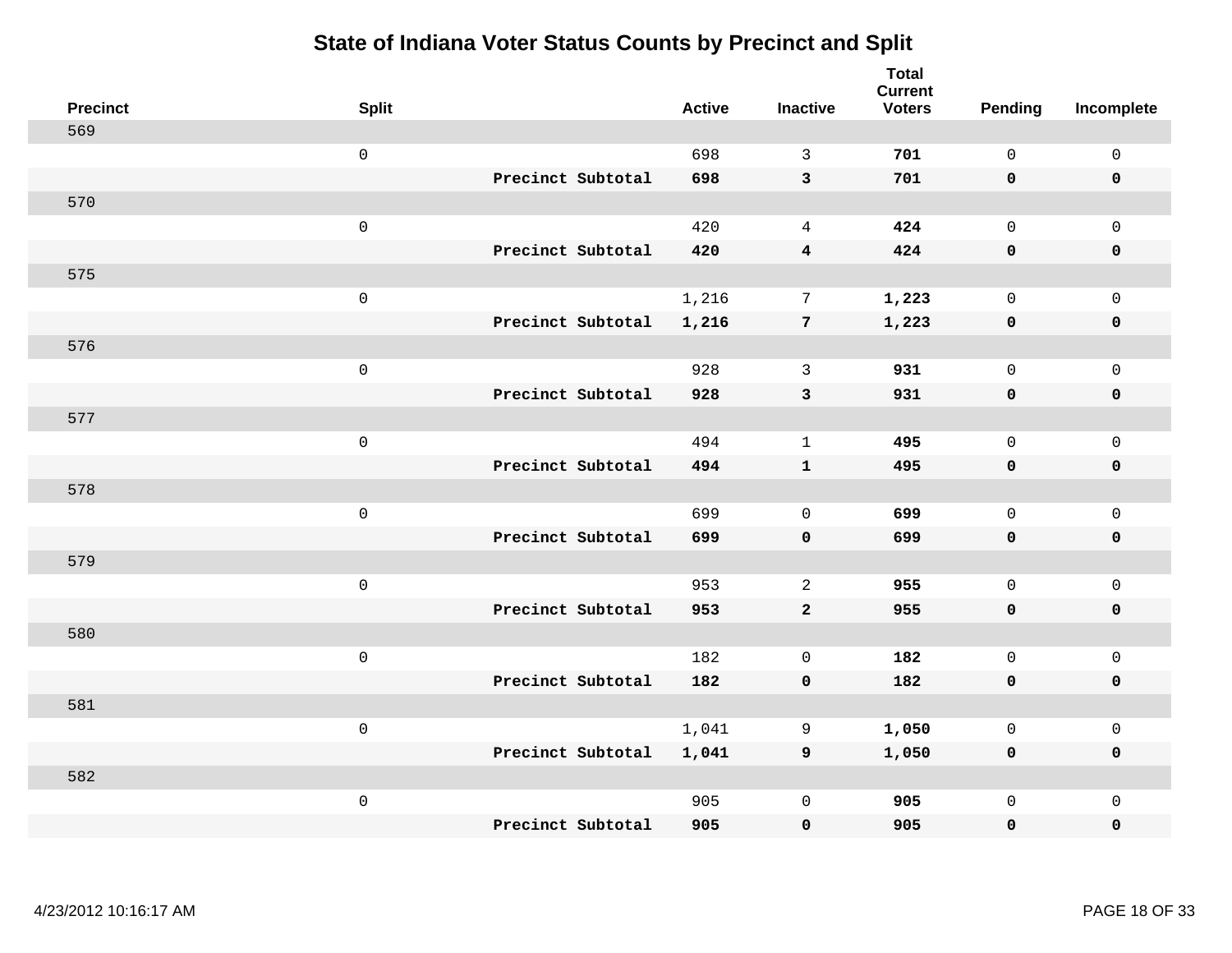| <b>Precinct</b> | <b>Split</b>        |                   | <b>Active</b> | <b>Inactive</b>  | <b>Total</b><br><b>Current</b><br><b>Voters</b> | <b>Pending</b> | Incomplete          |
|-----------------|---------------------|-------------------|---------------|------------------|-------------------------------------------------|----------------|---------------------|
| 569             |                     |                   |               |                  |                                                 |                |                     |
|                 | $\mathsf{O}$        |                   | 698           | 3                | 701                                             | $\mathbf 0$    | $\mathsf{O}\xspace$ |
|                 |                     | Precinct Subtotal | 698           | $\mathbf{3}$     | 701                                             | $\mathbf 0$    | $\mathbf 0$         |
| 570             |                     |                   |               |                  |                                                 |                |                     |
|                 | $\mathsf{O}$        |                   | 420           | $\overline{4}$   | 424                                             | $\mathbf{0}$   | $\mathsf{O}$        |
|                 |                     | Precinct Subtotal | 420           | $\boldsymbol{4}$ | 424                                             | $\mathbf 0$    | 0                   |
| 575             |                     |                   |               |                  |                                                 |                |                     |
|                 | $\mathsf 0$         |                   | 1,216         | $7\phantom{.0}$  | 1,223                                           | $\mathbf 0$    | $\mathsf{O}\xspace$ |
|                 |                     | Precinct Subtotal | 1,216         | $7\phantom{.0}$  | 1,223                                           | $\mathbf 0$    | $\pmb{0}$           |
| 576             |                     |                   |               |                  |                                                 |                |                     |
|                 | $\mathsf{O}\xspace$ |                   | 928           | $\mathbf{3}$     | 931                                             | $\mathbf 0$    | $\mathsf{O}$        |
|                 |                     | Precinct Subtotal | 928           | 3                | 931                                             | 0              | 0                   |
| 577             |                     |                   |               |                  |                                                 |                |                     |
|                 | $\mathbf 0$         |                   | 494           | $\mathbf{1}$     | 495                                             | $\mathbf 0$    | $\mathsf{O}$        |
|                 |                     | Precinct Subtotal | 494           | $\mathbf{1}$     | 495                                             | 0              | 0                   |
| 578             |                     |                   |               |                  |                                                 |                |                     |
|                 | $\mathsf{O}\xspace$ |                   | 699           | $\mathbf 0$      | 699                                             | $\mathbf 0$    | $\mathsf{O}\xspace$ |
|                 |                     | Precinct Subtotal | 699           | $\mathbf 0$      | 699                                             | 0              | 0                   |
| 579             |                     |                   |               |                  |                                                 |                |                     |
|                 | $\mathbf 0$         |                   | 953           | 2                | 955                                             | $\mathbf 0$    | $\mathsf{O}$        |
|                 |                     | Precinct Subtotal | 953           | $\overline{2}$   | 955                                             | 0              | 0                   |
| 580             |                     |                   |               |                  |                                                 |                |                     |
|                 | $\mathbf 0$         |                   | 182           | $\mathbf 0$      | 182                                             | $\mathsf{O}$   | $\mathsf{O}$        |
|                 |                     | Precinct Subtotal | 182           | $\mathbf 0$      | 182                                             | 0              | 0                   |
| 581             |                     |                   |               |                  |                                                 |                |                     |
|                 | $\mathbf 0$         |                   | 1,041         | 9                | 1,050                                           | $\mathbf 0$    | $\mathsf{O}$        |
|                 |                     | Precinct Subtotal | 1,041         | 9                | 1,050                                           | 0              | 0                   |
| 582             |                     |                   |               |                  |                                                 |                |                     |
|                 | $\mathbf 0$         |                   | 905           | $\mathbf 0$      | 905                                             | $\mathsf{O}$   | $\mathsf{O}$        |
|                 |                     | Precinct Subtotal | 905           | $\mathbf 0$      | 905                                             | 0              | 0                   |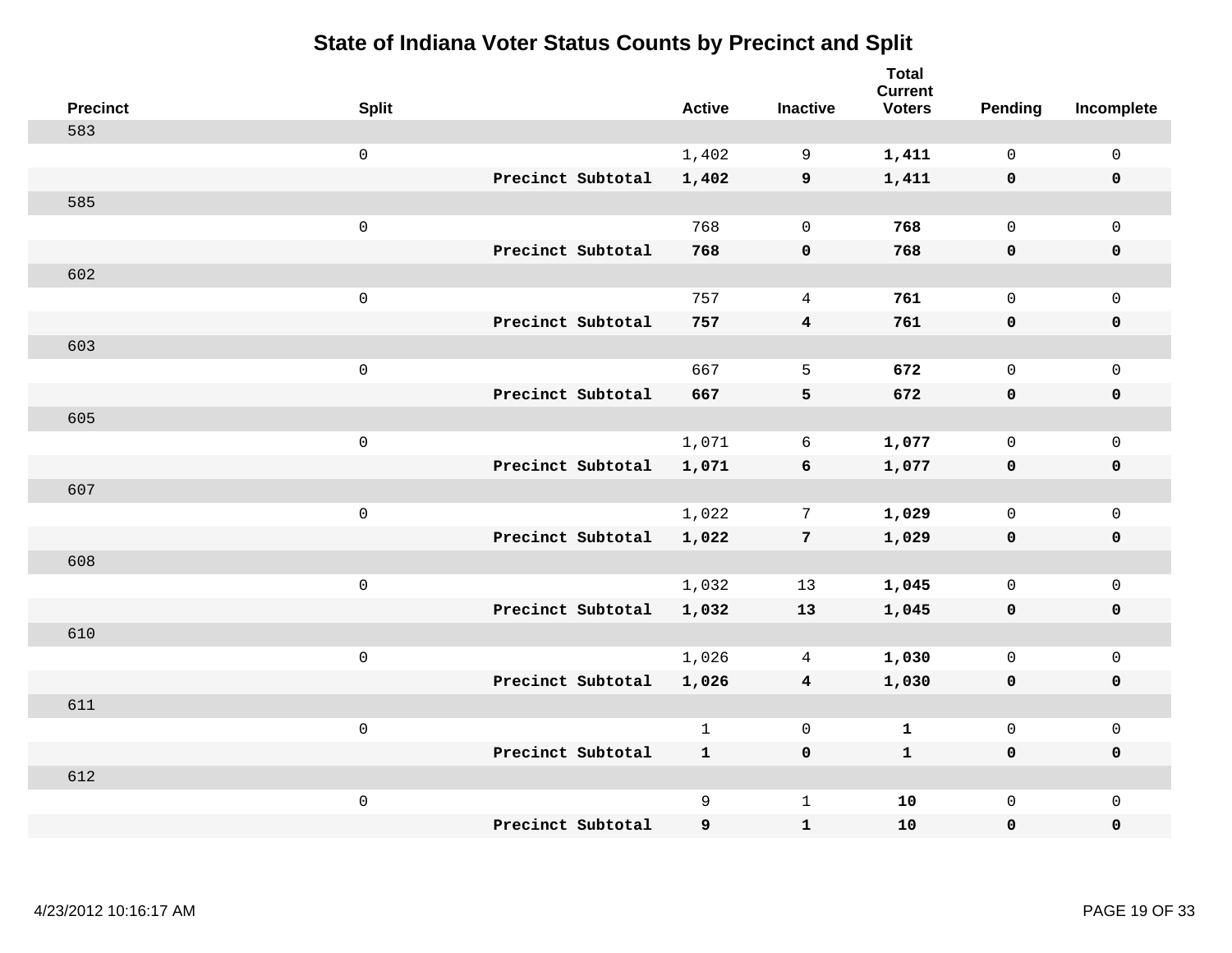| <b>Precinct</b> | <b>Split</b>        | <b>Active</b> | <b>Inactive</b>         | <b>Total</b><br><b>Current</b><br><b>Voters</b> | Pending      | Incomplete          |
|-----------------|---------------------|---------------|-------------------------|-------------------------------------------------|--------------|---------------------|
| 583             |                     |               |                         |                                                 |              |                     |
|                 | $\mathsf 0$         | 1,402         | 9                       | 1,411                                           | $\mathbf 0$  | $\mathsf 0$         |
|                 | Precinct Subtotal   | 1,402         | 9                       | 1,411                                           | $\mathbf 0$  | $\mathbf 0$         |
| 585             |                     |               |                         |                                                 |              |                     |
|                 | $\mathsf 0$         | 768           | $\mathbf 0$             | 768                                             | $\mathbf 0$  | $\mathsf{O}$        |
|                 | Precinct Subtotal   | 768           | $\pmb{0}$               | 768                                             | $\mathbf 0$  | 0                   |
| 602             |                     |               |                         |                                                 |              |                     |
|                 | $\mathsf 0$         | 757           | $\overline{4}$          | 761                                             | $\mathbf 0$  | $\mathsf{O}$        |
|                 | Precinct Subtotal   | 757           | $\overline{\mathbf{4}}$ | 761                                             | $\mathbf 0$  | 0                   |
| 603             |                     |               |                         |                                                 |              |                     |
|                 | $\mathsf 0$         | 667           | 5                       | 672                                             | $\mathbf{0}$ | $\mathsf{O}\xspace$ |
|                 | Precinct Subtotal   | 667           | 5                       | 672                                             | $\mathbf 0$  | $\pmb{0}$           |
| 605             |                     |               |                         |                                                 |              |                     |
|                 | $\mathsf 0$         | 1,071         | 6                       | 1,077                                           | $\mathbf 0$  | $\mathbf 0$         |
|                 | Precinct Subtotal   | 1,071         | 6                       | 1,077                                           | 0            | $\mathbf 0$         |
| 607             |                     |               |                         |                                                 |              |                     |
|                 | $\mathbf 0$         | 1,022         | 7                       | 1,029                                           | $\mathbf 0$  | $\mathsf{O}$        |
|                 | Precinct Subtotal   | 1,022         | $\overline{7}$          | 1,029                                           | 0            | 0                   |
| 608             |                     |               |                         |                                                 |              |                     |
|                 | $\mathbf 0$         | 1,032         | 13                      | 1,045                                           | $\mathbf 0$  | $\mathsf{O}\xspace$ |
|                 | Precinct Subtotal   | 1,032         | 13                      | 1,045                                           | 0            | 0                   |
| 610             |                     |               |                         |                                                 |              |                     |
|                 | $\mathsf{O}\xspace$ | 1,026         | 4                       | 1,030                                           | $\mathbf 0$  | $\mathsf{O}\xspace$ |
|                 | Precinct Subtotal   | 1,026         | $\overline{\mathbf{4}}$ | 1,030                                           | $\mathbf 0$  | 0                   |
| 611             |                     |               |                         |                                                 |              |                     |
|                 | $\mathsf 0$         | $\mathbf{1}$  | $\mathbf 0$             | $\mathbf{1}$                                    | $\mathbf 0$  | $\mathsf{O}\xspace$ |
|                 | Precinct Subtotal   | $\mathbf{1}$  | $\mathbf 0$             | $\mathbf{1}$                                    | 0            | 0                   |
| 612             |                     |               |                         |                                                 |              |                     |
|                 | $\mathbf 0$         | 9             | $\mathbf{1}$            | 10                                              | $\mathsf{O}$ | $\mathsf{O}$        |
|                 | Precinct Subtotal   | 9             | ${\bf 1}$               | 10                                              | 0            | 0                   |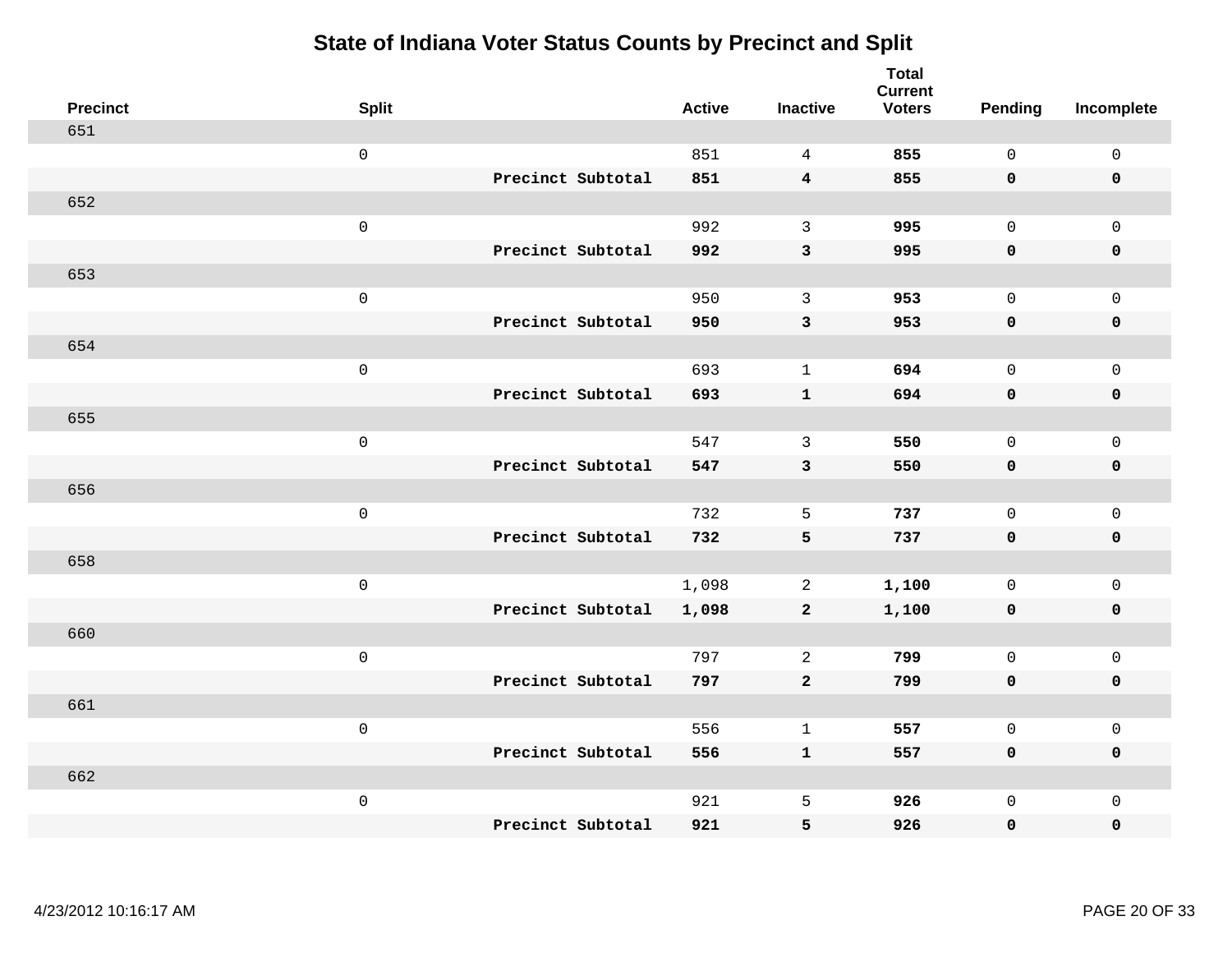| <b>Precinct</b> | <b>Split</b> |                   | <b>Active</b> | <b>Inactive</b>         | <b>Total</b><br><b>Current</b><br><b>Voters</b> | <b>Pending</b> | Incomplete          |
|-----------------|--------------|-------------------|---------------|-------------------------|-------------------------------------------------|----------------|---------------------|
| 651             |              |                   |               |                         |                                                 |                |                     |
|                 | $\mathsf 0$  |                   | 851           | $\overline{4}$          | 855                                             | $\mathsf{O}$   | $\mathsf 0$         |
|                 |              | Precinct Subtotal | 851           | $\overline{\mathbf{4}}$ | 855                                             | $\mathbf 0$    | $\mathbf 0$         |
| 652             |              |                   |               |                         |                                                 |                |                     |
|                 | $\mathsf 0$  |                   | 992           | $\mathbf{3}$            | 995                                             | $\mathbf 0$    | $\mathbf 0$         |
|                 |              | Precinct Subtotal | 992           | $\mathsf 3$             | 995                                             | $\mathbf 0$    | $\pmb{0}$           |
| 653             |              |                   |               |                         |                                                 |                |                     |
|                 | $\mbox{O}$   |                   | 950           | 3                       | 953                                             | $\mathbf 0$    | $\mathsf 0$         |
|                 |              | Precinct Subtotal | 950           | $\mathbf{3}$            | 953                                             | $\mathbf 0$    | $\mathbf 0$         |
| 654             |              |                   |               |                         |                                                 |                |                     |
|                 | $\mathsf 0$  |                   | 693           | $\mathbf{1}$            | 694                                             | $\mathbf 0$    | $\mathsf 0$         |
|                 |              | Precinct Subtotal | 693           | $\mathbf{1}$            | 694                                             | $\mathbf 0$    | $\pmb{0}$           |
| 655             |              |                   |               |                         |                                                 |                |                     |
|                 | $\mathsf 0$  |                   | 547           | 3                       | 550                                             | $\Omega$       | $\mathbf{0}$        |
|                 |              | Precinct Subtotal | 547           | $\mathbf{3}$            | 550                                             | $\mathbf 0$    | $\mathbf 0$         |
| 656             |              |                   |               |                         |                                                 |                |                     |
|                 | $\mathsf 0$  |                   | 732           | 5                       | 737                                             | $\mathbf 0$    | $\mathsf{O}\xspace$ |
|                 |              | Precinct Subtotal | 732           | $\overline{\mathbf{5}}$ | 737                                             | $\mathbf 0$    | $\mathbf 0$         |
| 658             |              |                   |               |                         |                                                 |                |                     |
|                 | $\mathsf 0$  |                   | 1,098         | 2                       | 1,100                                           | $\mathbf 0$    | $\mathbf 0$         |
|                 |              | Precinct Subtotal | 1,098         | $\mathbf{2}$            | 1,100                                           | $\mathbf 0$    | $\mathbf 0$         |
| 660             |              |                   |               |                         |                                                 |                |                     |
|                 | $\mathsf 0$  |                   | 797           | $\overline{c}$          | 799                                             | $\mathsf{O}$   | $\mathsf{O}\xspace$ |
|                 |              | Precinct Subtotal | 797           | $\mathbf{2}$            | 799                                             | $\mathbf 0$    | $\pmb{0}$           |
| 661             |              |                   |               |                         |                                                 |                |                     |
|                 | $\mathbf 0$  |                   | 556           | $\mathbf{1}$            | 557                                             | $\mathbf 0$    | $\mathsf{O}\xspace$ |
|                 |              | Precinct Subtotal | 556           | $\mathbf{1}$            | 557                                             | 0              | $\mathbf 0$         |
| 662             |              |                   |               |                         |                                                 |                |                     |
|                 | $\mathbf 0$  |                   | 921           | 5                       | 926                                             | $\mathsf{O}$   | $\mathbf 0$         |
|                 |              | Precinct Subtotal | 921           | 5                       | 926                                             | 0              | 0                   |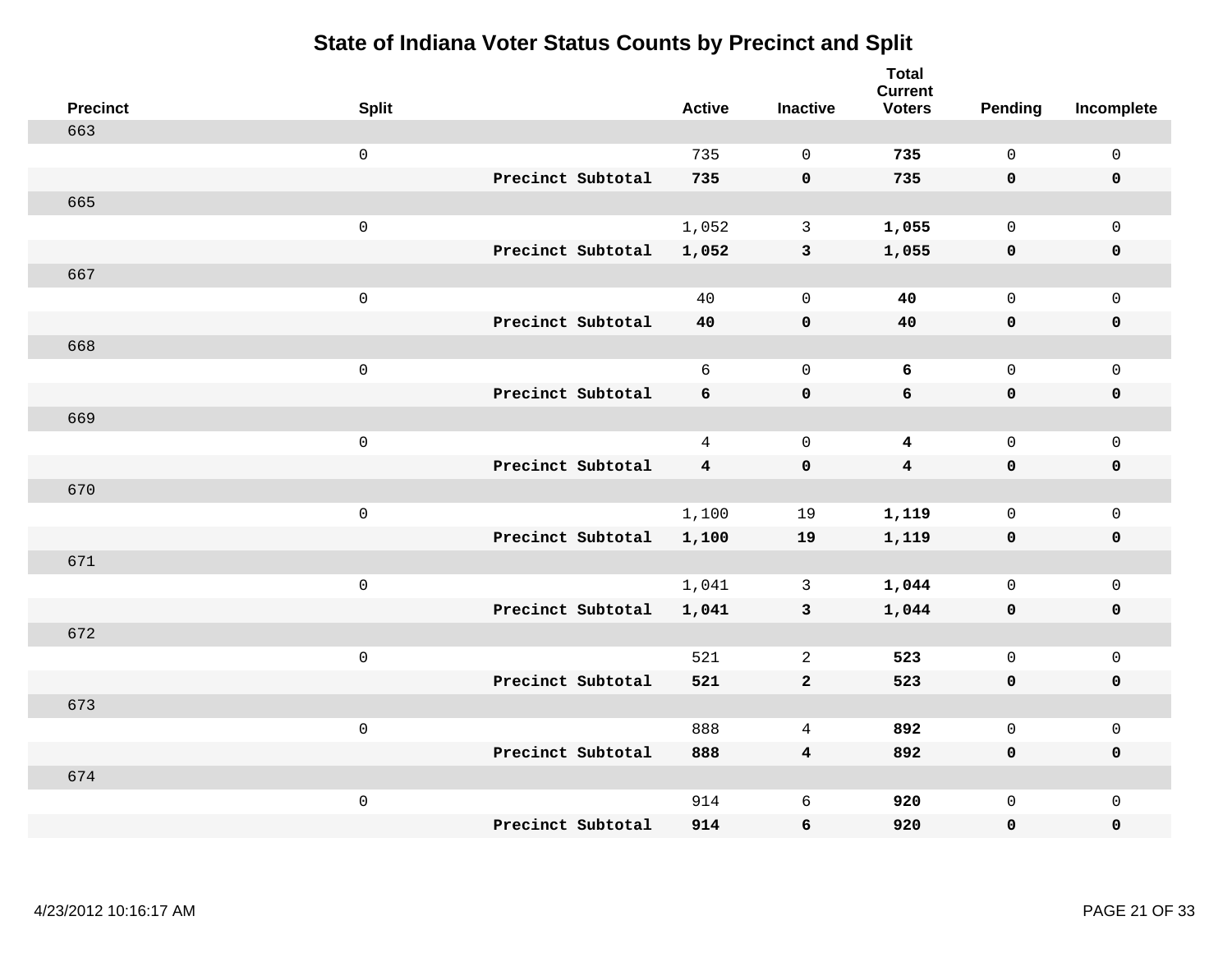| <b>Precinct</b> | <b>Split</b>        | <b>Active</b>  | <b>Inactive</b> | <b>Total</b><br><b>Current</b><br><b>Voters</b> | Pending      | Incomplete          |
|-----------------|---------------------|----------------|-----------------|-------------------------------------------------|--------------|---------------------|
| 663             |                     |                |                 |                                                 |              |                     |
|                 | $\mathsf{O}\xspace$ | 735            | $\mathbf 0$     | 735                                             | $\mathbf{0}$ | $\mathsf{O}\xspace$ |
|                 | Precinct Subtotal   | 735            | $\pmb{0}$       | 735                                             | $\mathbf 0$  | $\mathbf 0$         |
| 665             |                     |                |                 |                                                 |              |                     |
|                 | $\mathsf 0$         | 1,052          | $\mathbf{3}$    | 1,055                                           | $\mathbf 0$  | $\mathsf{O}$        |
|                 | Precinct Subtotal   | 1,052          | $\mathbf{3}$    | 1,055                                           | $\mathbf 0$  | 0                   |
| 667             |                     |                |                 |                                                 |              |                     |
|                 | $\mathsf 0$         | 40             | $\mathbf 0$     | 40                                              | $\mathbf{0}$ | $\mathsf{O}$        |
|                 | Precinct Subtotal   | 40             | $\mathbf 0$     | 40                                              | 0            | $\pmb{0}$           |
| 668             |                     |                |                 |                                                 |              |                     |
|                 | $\mathsf{O}\xspace$ | 6              | $\mathbf 0$     | 6                                               | $\mathbf 0$  | $\mathsf{O}\xspace$ |
|                 | Precinct Subtotal   | 6              | $\pmb{0}$       | $\epsilon$                                      | $\mathbf 0$  | $\pmb{0}$           |
| 669             |                     |                |                 |                                                 |              |                     |
|                 | $\mathsf 0$         | $\overline{4}$ | $\mathbf 0$     | $\overline{\mathbf{4}}$                         | $\mathbf 0$  | $\mathsf{O}\xspace$ |
|                 | Precinct Subtotal   | $\overline{4}$ | $\mathbf 0$     | $\overline{\mathbf{4}}$                         | $\mathbf 0$  | $\mathbf 0$         |
| 670             |                     |                |                 |                                                 |              |                     |
|                 | $\mathsf 0$         | 1,100          | 19              | 1,119                                           | $\mathsf{O}$ | $\mathsf{O}$        |
|                 | Precinct Subtotal   | 1,100          | 19              | 1,119                                           | 0            | 0                   |
| 671             |                     |                |                 |                                                 |              |                     |
|                 | $\mathsf 0$         | 1,041          | $\mathbf{3}$    | 1,044                                           | $\mathsf{O}$ | $\mathsf{O}\xspace$ |
|                 | Precinct Subtotal   | 1,041          | $\mathbf{3}$    | 1,044                                           | $\mathbf 0$  | 0                   |
| 672             |                     |                |                 |                                                 |              |                     |
|                 | $\mathsf{O}\xspace$ | 521            | $\overline{2}$  | 523                                             | $\mathbf 0$  | $\mathsf{O}\xspace$ |
|                 | Precinct Subtotal   | 521            | $\mathbf{2}$    | 523                                             | 0            | 0                   |
| 673             |                     |                |                 |                                                 |              |                     |
|                 | $\mathsf 0$         | 888            | $\overline{4}$  | 892                                             | $\mathbf 0$  | $\mathsf{O}\xspace$ |
|                 | Precinct Subtotal   | 888            | $\overline{4}$  | 892                                             | 0            | 0                   |
| 674             |                     |                |                 |                                                 |              |                     |
|                 | $\mathsf 0$         | 914            | 6               | 920                                             | $\mathsf{O}$ | $\mathsf{O}$        |
|                 | Precinct Subtotal   | 914            | 6               | 920                                             | 0            | 0                   |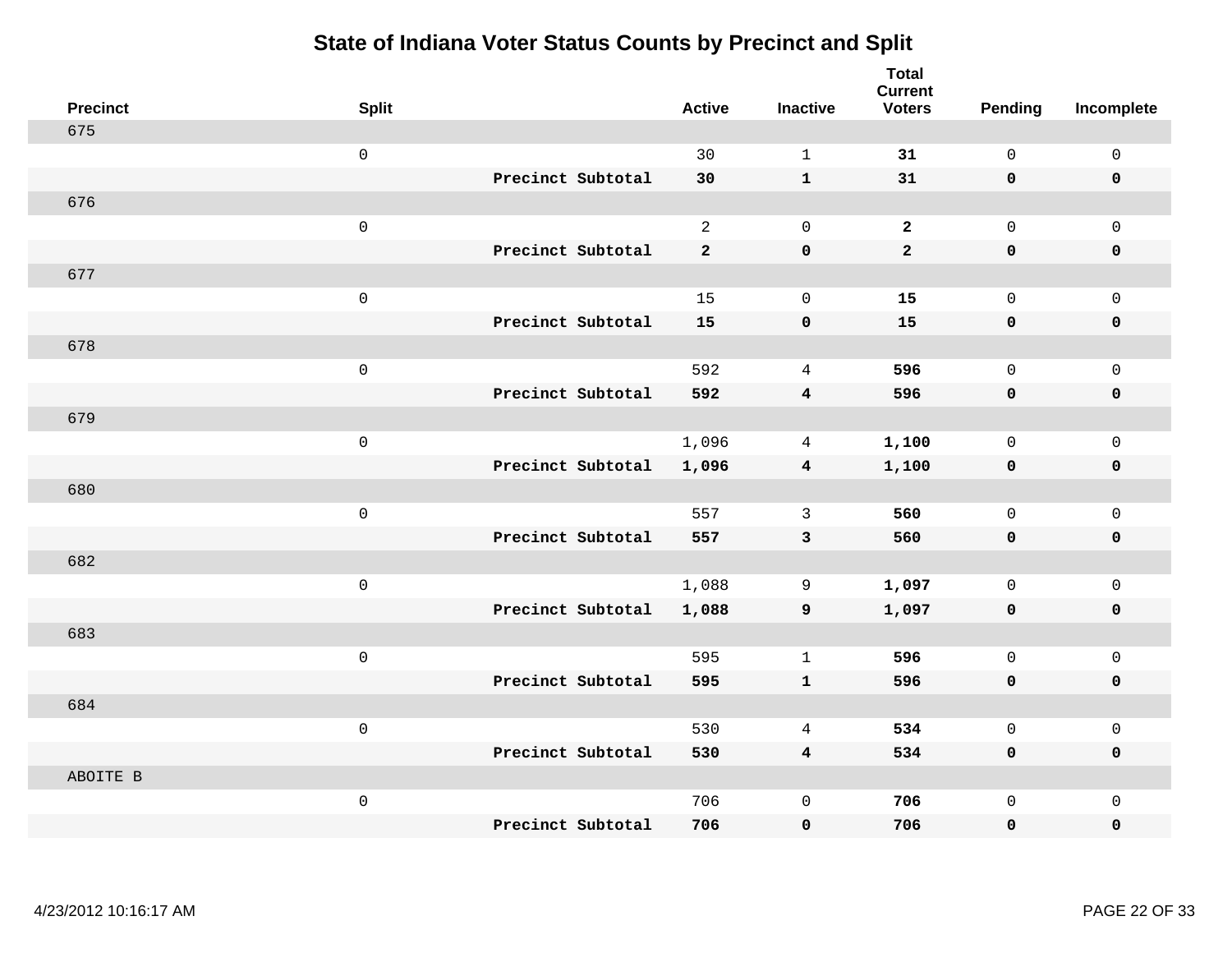| <b>Precinct</b> | <b>Split</b> |                   | <b>Active</b>  | <b>Inactive</b>         | <b>Total</b><br><b>Current</b><br><b>Voters</b> | <b>Pending</b> | Incomplete   |
|-----------------|--------------|-------------------|----------------|-------------------------|-------------------------------------------------|----------------|--------------|
| 675             |              |                   |                |                         |                                                 |                |              |
|                 | $\mbox{O}$   |                   | 30             | $\mathbf{1}$            | 31                                              | $\mathsf{O}$   | $\mathsf 0$  |
|                 |              | Precinct Subtotal | 30             | $\mathbf{1}$            | 31                                              | $\mathbf 0$    | $\mathbf 0$  |
| 676             |              |                   |                |                         |                                                 |                |              |
|                 | $\mbox{O}$   |                   | 2              | $\mathbf 0$             | $\overline{2}$                                  | $\mathbf 0$    | $\mathbf{0}$ |
|                 |              | Precinct Subtotal | $\overline{2}$ | $\pmb{0}$               | $\overline{a}$                                  | $\mathbf 0$    | 0            |
| 677             |              |                   |                |                         |                                                 |                |              |
|                 | $\mbox{O}$   |                   | 15             | $\mathbf 0$             | 15                                              | $\mathsf{O}$   | $\mathsf 0$  |
|                 |              | Precinct Subtotal | 15             | $\pmb{\mathsf{O}}$      | 15                                              | $\mathbf 0$    | $\mathbf 0$  |
| 678             |              |                   |                |                         |                                                 |                |              |
|                 | $\mathsf 0$  |                   | 592            | $\overline{4}$          | 596                                             | $\mathsf{O}$   | $\mathbf 0$  |
|                 |              | Precinct Subtotal | 592            | $\overline{\mathbf{4}}$ | 596                                             | $\mathbf 0$    | $\pmb{0}$    |
| 679             |              |                   |                |                         |                                                 |                |              |
|                 | $\mbox{O}$   |                   | 1,096          | $\overline{4}$          | 1,100                                           | $\mathbf 0$    | $\mathsf 0$  |
|                 |              | Precinct Subtotal | 1,096          | $\overline{\mathbf{4}}$ | 1,100                                           | $\mathbf 0$    | $\mathbf 0$  |
| 680             |              |                   |                |                         |                                                 |                |              |
|                 | $\mathsf 0$  |                   | 557            | $\mathbf{3}$            | 560                                             | $\mathsf{O}$   | $\mathbf 0$  |
|                 |              | Precinct Subtotal | 557            | $\mathbf{3}$            | 560                                             | $\mathbf 0$    | $\mathbf 0$  |
| 682             |              |                   |                |                         |                                                 |                |              |
|                 | $\mathsf 0$  |                   | 1,088          | 9                       | 1,097                                           | $\mathbf 0$    | $\mathsf 0$  |
|                 |              | Precinct Subtotal | 1,088          | 9                       | 1,097                                           | $\mathbf 0$    | $\mathbf 0$  |
| 683             |              |                   |                |                         |                                                 |                |              |
|                 | $\mathsf 0$  |                   | 595            | $\mathbf{1}$            | 596                                             | $\mathsf{O}$   | $\mathbf 0$  |
|                 |              | Precinct Subtotal | 595            | $\mathbf{1}$            | 596                                             | 0              | $\pmb{0}$    |
| 684             |              |                   |                |                         |                                                 |                |              |
|                 | $\mathbf 0$  |                   | 530            | 4                       | 534                                             | $\mathbf 0$    | $\mathbf 0$  |
|                 |              | Precinct Subtotal | 530            | $\overline{\mathbf{4}}$ | 534                                             | $\mathbf 0$    | $\mathbf 0$  |
| ABOITE B        |              |                   |                |                         |                                                 |                |              |
|                 | $\mathbf 0$  |                   | 706            | $\mathsf 0$             | 706                                             | $\mathsf{O}$   | $\mathbf 0$  |
|                 |              | Precinct Subtotal | 706            | $\mathbf 0$             | 706                                             | 0              | 0            |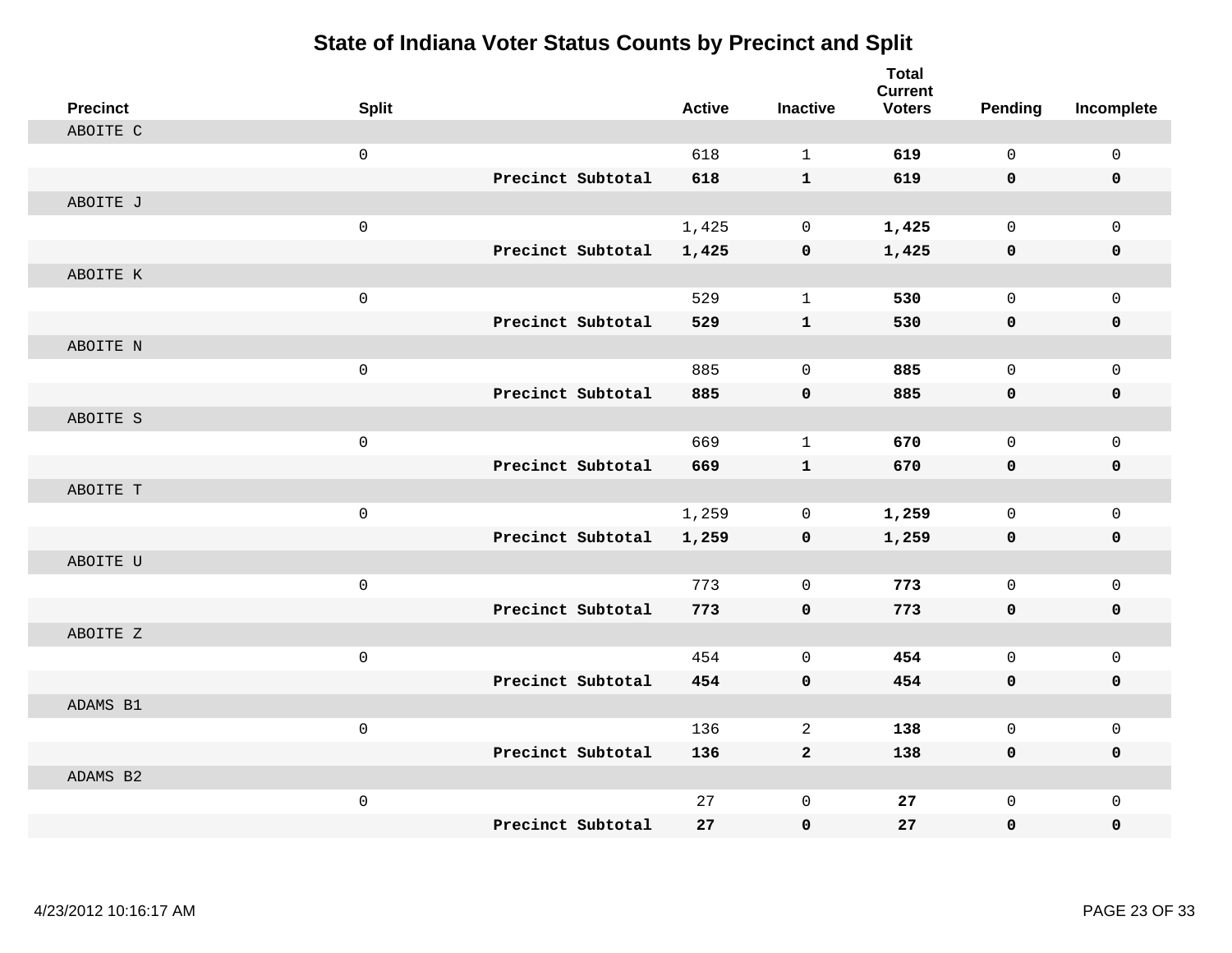| <b>Precinct</b> | <b>Split</b> |                   | <b>Active</b> | <b>Inactive</b> | <b>Total</b><br><b>Current</b><br><b>Voters</b> | Pending     | Incomplete   |
|-----------------|--------------|-------------------|---------------|-----------------|-------------------------------------------------|-------------|--------------|
| ABOITE C        |              |                   |               |                 |                                                 |             |              |
|                 | $\mathsf 0$  |                   | 618           | $\mathbf{1}$    | 619                                             | $\mathbf 0$ | $\mathsf 0$  |
|                 |              | Precinct Subtotal | 618           | $\mathbf{1}$    | 619                                             | 0           | $\mathbf 0$  |
| ABOITE J        |              |                   |               |                 |                                                 |             |              |
|                 | $\mathsf 0$  |                   | 1,425         | $\mathsf{O}$    | 1,425                                           | $\mathbf 0$ | $\mathsf{O}$ |
|                 |              | Precinct Subtotal | 1,425         | 0               | 1,425                                           | $\mathbf 0$ | 0            |
| ABOITE K        |              |                   |               |                 |                                                 |             |              |
|                 | $\mathsf 0$  |                   | 529           | $\mathbf{1}$    | 530                                             | $\mathbf 0$ | $\mathsf{O}$ |
|                 |              | Precinct Subtotal | 529           | $\mathbf{1}$    | 530                                             | 0           | 0            |
| ABOITE N        |              |                   |               |                 |                                                 |             |              |
|                 | $\mathbf 0$  |                   | 885           | $\mathbf 0$     | 885                                             | $\mathbf 0$ | $\mathsf{O}$ |
|                 |              | Precinct Subtotal | 885           | $\mathbf 0$     | 885                                             | 0           | $\mathbf 0$  |
| ABOITE S        |              |                   |               |                 |                                                 |             |              |
|                 | $\mathbf 0$  |                   | 669           | $\mathbf{1}$    | 670                                             | $\Omega$    | $\mathbf 0$  |
|                 |              | Precinct Subtotal | 669           | $\mathbf{1}$    | 670                                             | 0           | $\mathbf 0$  |
| ABOITE T        |              |                   |               |                 |                                                 |             |              |
|                 | $\mathsf{O}$ |                   | 1,259         | $\mathbf 0$     | 1,259                                           | $\mathbf 0$ | $\mathsf{O}$ |
|                 |              | Precinct Subtotal | 1,259         | 0               | 1,259                                           | 0           | 0            |
| ABOITE U        |              |                   |               |                 |                                                 |             |              |
|                 | $\mathsf 0$  |                   | 773           | $\mathbf 0$     | 773                                             | $\mathbf 0$ | $\mathbf 0$  |
|                 |              | Precinct Subtotal | 773           | $\mathbf 0$     | 773                                             | 0           | 0            |
| ABOITE Z        |              |                   |               |                 |                                                 |             |              |
|                 | $\mathbf 0$  |                   | 454           | $\mathbf 0$     | 454                                             | $\mathbf 0$ | $\mathsf{O}$ |
|                 |              | Precinct Subtotal | 454           | $\mathbf 0$     | 454                                             | $\mathbf 0$ | 0            |
| ADAMS B1        |              |                   |               |                 |                                                 |             |              |
|                 | $\mathsf 0$  |                   | 136           | 2               | 138                                             | $\mathbf 0$ | $\mathsf{O}$ |
|                 |              | Precinct Subtotal | 136           | $\overline{2}$  | 138                                             | 0           | 0            |
| ADAMS B2        |              |                   |               |                 |                                                 |             |              |
|                 | $\mathsf 0$  |                   | 27            | $\mathsf 0$     | 27                                              | $\mathbf 0$ | $\mathbf 0$  |
|                 |              | Precinct Subtotal | 27            | 0               | 27                                              | 0           | 0            |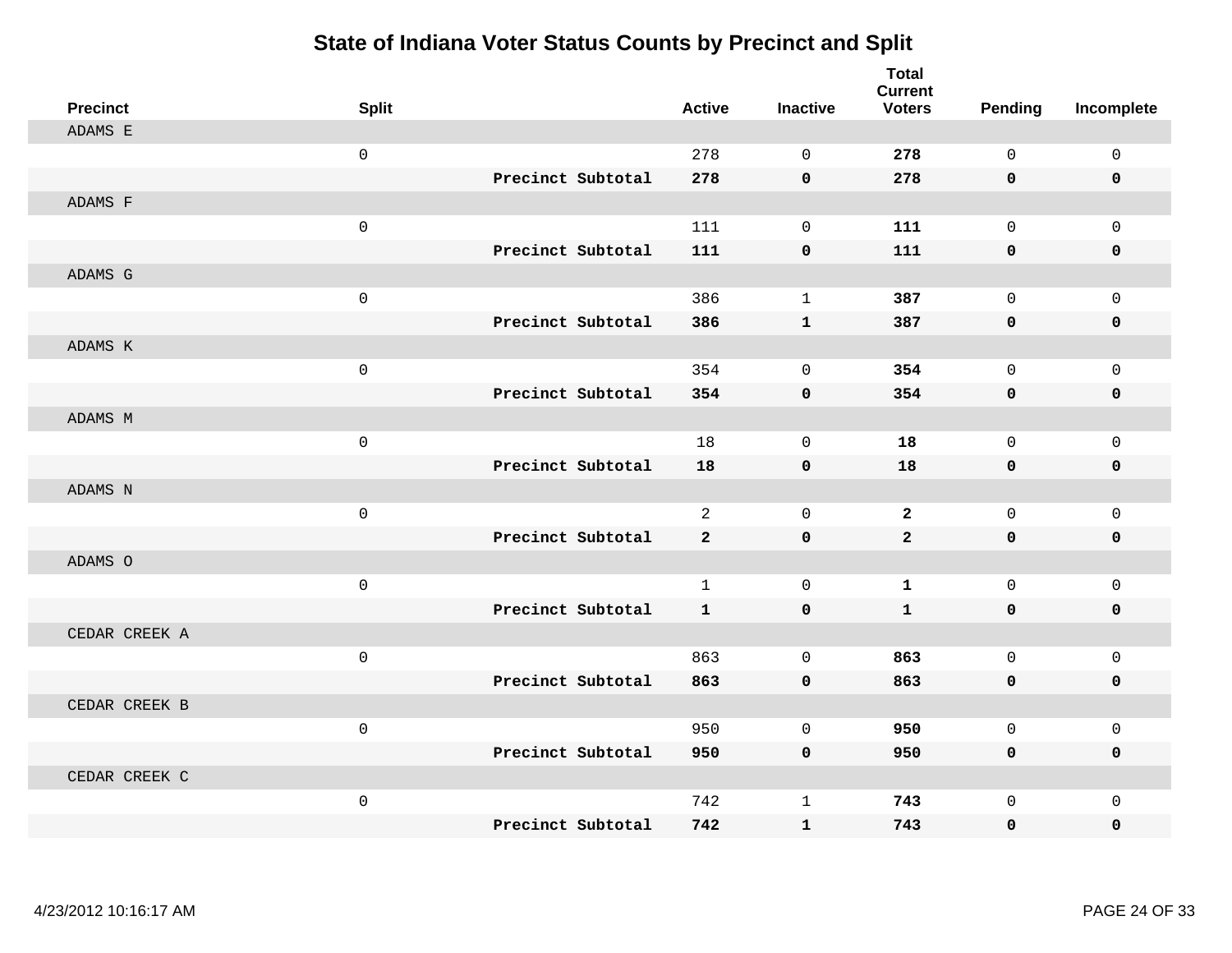| <b>Precinct</b> | <b>Split</b>        |                   | <b>Active</b>  | <b>Inactive</b> | <b>Total</b><br><b>Current</b><br><b>Voters</b> | <b>Pending</b> | Incomplete   |
|-----------------|---------------------|-------------------|----------------|-----------------|-------------------------------------------------|----------------|--------------|
| ADAMS E         |                     |                   |                |                 |                                                 |                |              |
|                 | $\mathsf{O}$        |                   | 278            | $\Omega$        | 278                                             | 0              | $\mathsf{O}$ |
|                 |                     | Precinct Subtotal | 278            | $\mathbf 0$     | 278                                             | 0              | 0            |
| ADAMS F         |                     |                   |                |                 |                                                 |                |              |
|                 | $\mathsf{O}$        |                   | 111            | $\mathbf 0$     | 111                                             | $\mathbf 0$    | $\mathbf{0}$ |
|                 |                     | Precinct Subtotal | 111            | $\pmb{0}$       | 111                                             | 0              | 0            |
| ADAMS G         |                     |                   |                |                 |                                                 |                |              |
|                 | $\mathsf{O}$        |                   | 386            | $\mathbf{1}$    | 387                                             | $\mathbf 0$    | $\mathsf{O}$ |
|                 |                     | Precinct Subtotal | 386            | $\mathbf{1}$    | 387                                             | 0              | 0            |
| ADAMS K         |                     |                   |                |                 |                                                 |                |              |
|                 | $\mathsf{O}$        |                   | 354            | $\mathbf 0$     | 354                                             | $\mathbf 0$    | $\mathsf{O}$ |
|                 |                     | Precinct Subtotal | 354            | $\mathbf 0$     | 354                                             | 0              | 0            |
| ADAMS M         |                     |                   |                |                 |                                                 |                |              |
|                 | $\mathsf{O}$        |                   | 18             | $\mathbf 0$     | 18                                              | $\mathbf 0$    | $\mathbf 0$  |
|                 |                     | Precinct Subtotal | 18             | $\mathbf 0$     | 18                                              | 0              | 0            |
| ADAMS N         |                     |                   |                |                 |                                                 |                |              |
|                 | $\mathbf 0$         |                   | $\overline{2}$ | $\mathbf 0$     | $\overline{2}$                                  | $\mathbf 0$    | $\mathsf{O}$ |
|                 |                     | Precinct Subtotal | $\overline{a}$ | $\mathbf 0$     | $\overline{a}$                                  | 0              | 0            |
| ADAMS O         |                     |                   |                |                 |                                                 |                |              |
|                 | $\mathbf 0$         |                   | $\mathbf{1}$   | $\mathbf 0$     | $\mathbf 1$                                     | 0              | $\mathsf{O}$ |
|                 |                     | Precinct Subtotal | $\mathbf{1}$   | $\mathbf 0$     | $\mathbf{1}$                                    | 0              | $\mathbf 0$  |
| CEDAR CREEK A   |                     |                   |                |                 |                                                 |                |              |
|                 | $\mathsf{O}\xspace$ |                   | 863            | $\mathbf 0$     | 863                                             | $\mathbf 0$    | $\mathbf 0$  |
|                 |                     | Precinct Subtotal | 863            | $\mathbf 0$     | 863                                             | 0              | 0            |
| CEDAR CREEK B   |                     |                   |                |                 |                                                 |                |              |
|                 | $\mathbf 0$         |                   | 950            | $\mathbf 0$     | 950                                             | $\mathbf 0$    | $\mathbf 0$  |
|                 |                     | Precinct Subtotal | 950            | $\mathbf 0$     | 950                                             | 0              | 0            |
| CEDAR CREEK C   |                     |                   |                |                 |                                                 |                |              |
|                 | $\mathsf{O}$        |                   | 742            | $\mathbf 1$     | 743                                             | 0              | $\mathbf 0$  |
|                 |                     | Precinct Subtotal | 742            | $\mathbf{1}$    | 743                                             | 0              | $\mathbf 0$  |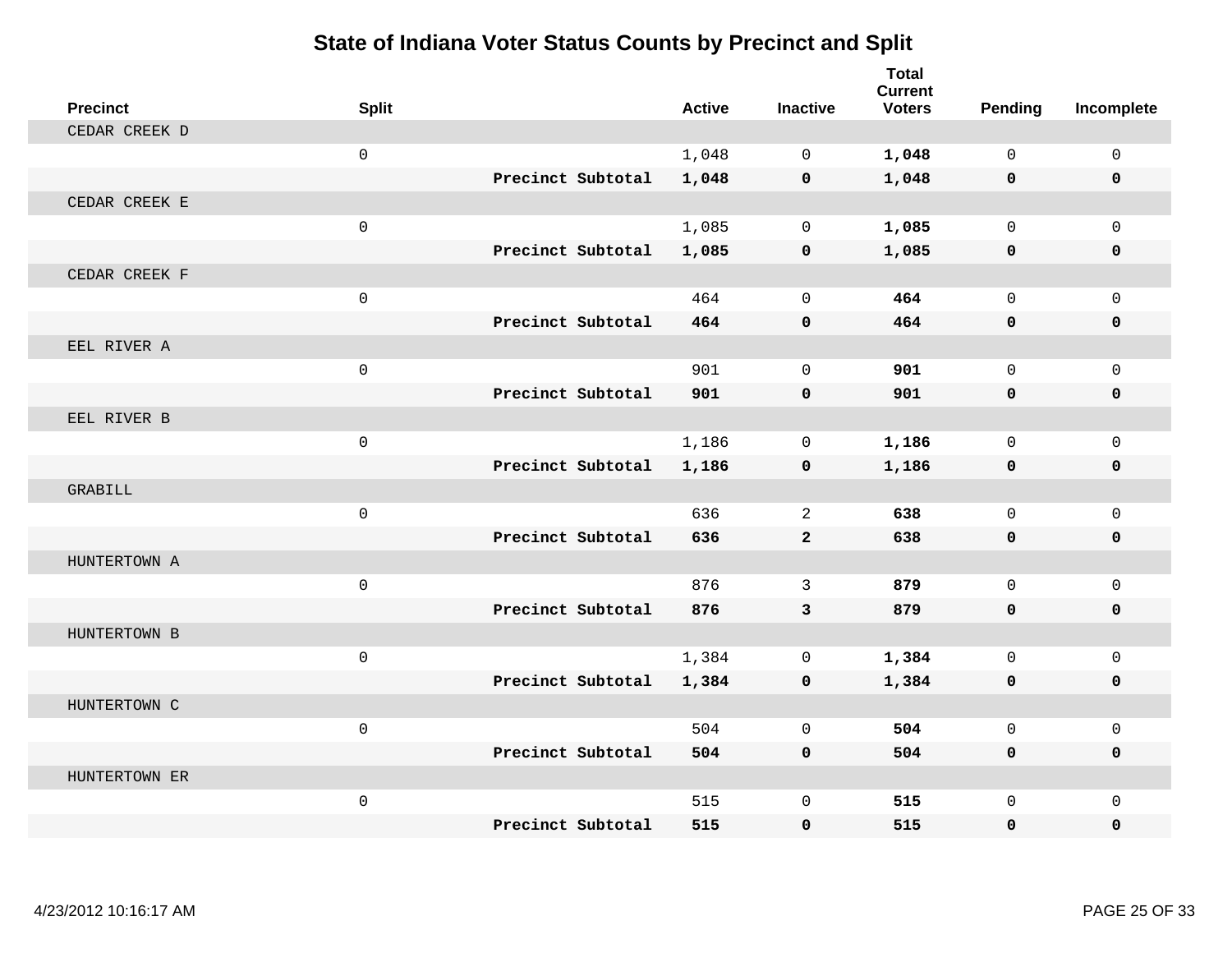| <b>Precinct</b> | <b>Split</b>        |                   | <b>Active</b> | <b>Inactive</b> | <b>Total</b><br><b>Current</b><br><b>Voters</b> | Pending      | Incomplete   |
|-----------------|---------------------|-------------------|---------------|-----------------|-------------------------------------------------|--------------|--------------|
| CEDAR CREEK D   |                     |                   |               |                 |                                                 |              |              |
|                 | $\mathbf 0$         |                   | 1,048         | $\Omega$        | 1,048                                           | $\Omega$     | $\mathsf{O}$ |
|                 |                     | Precinct Subtotal | 1,048         | $\mathbf 0$     | 1,048                                           | $\mathbf 0$  | 0            |
| CEDAR CREEK E   |                     |                   |               |                 |                                                 |              |              |
|                 | $\mathbf 0$         |                   | 1,085         | $\mathbf 0$     | 1,085                                           | $\mathbf 0$  | $\mathbf{0}$ |
|                 |                     | Precinct Subtotal | 1,085         | $\mathbf 0$     | 1,085                                           | 0            | 0            |
| CEDAR CREEK F   |                     |                   |               |                 |                                                 |              |              |
|                 | $\mathbf 0$         |                   | 464           | $\Omega$        | 464                                             | $\Omega$     | $\Omega$     |
|                 |                     | Precinct Subtotal | 464           | $\mathbf 0$     | 464                                             | $\mathbf 0$  | 0            |
| EEL RIVER A     |                     |                   |               |                 |                                                 |              |              |
|                 | $\mathsf{O}\xspace$ |                   | 901           | $\mathbf 0$     | 901                                             | $\mathbf 0$  | $\mathbf{0}$ |
|                 |                     | Precinct Subtotal | 901           | $\mathbf 0$     | 901                                             | $\mathbf{0}$ | 0            |
| EEL RIVER B     |                     |                   |               |                 |                                                 |              |              |
|                 | $\mathbf{0}$        |                   | 1,186         | $\mathbf 0$     | 1,186                                           | $\mathbf 0$  | $\mathbf 0$  |
|                 |                     | Precinct Subtotal | 1,186         | $\mathbf 0$     | 1,186                                           | $\mathbf 0$  | 0            |
| GRABILL         |                     |                   |               |                 |                                                 |              |              |
|                 | $\mathbf 0$         |                   | 636           | 2               | 638                                             | $\Omega$     | $\mathbf 0$  |
|                 |                     | Precinct Subtotal | 636           | $\overline{2}$  | 638                                             | $\mathbf 0$  | 0            |
| HUNTERTOWN A    |                     |                   |               |                 |                                                 |              |              |
|                 | $\mathbf 0$         |                   | 876           | 3               | 879                                             | $\mathbf 0$  | $\mathbf 0$  |
|                 |                     | Precinct Subtotal | 876           | 3               | 879                                             | $\mathbf{0}$ | $\mathbf 0$  |
| HUNTERTOWN B    |                     |                   |               |                 |                                                 |              |              |
|                 | $\mathbf 0$         |                   | 1,384         | $\mathbf 0$     | 1,384                                           | $\mathbf 0$  | $\mathbf 0$  |
|                 |                     | Precinct Subtotal | 1,384         | $\mathbf 0$     | 1,384                                           | 0            | 0            |
| HUNTERTOWN C    |                     |                   |               |                 |                                                 |              |              |
|                 | $\mathbf{0}$        |                   | 504           | $\Omega$        | 504                                             | $\Omega$     | $\mathbf 0$  |
|                 |                     | Precinct Subtotal | 504           | $\mathbf 0$     | 504                                             | 0            | $\mathbf 0$  |
| HUNTERTOWN ER   |                     |                   |               |                 |                                                 |              |              |
|                 | $\mathbf 0$         |                   | 515           | $\mathbf 0$     | 515                                             | $\mathbf 0$  | $\mathbf 0$  |
|                 |                     | Precinct Subtotal | 515           | $\mathbf 0$     | 515                                             | 0            | $\mathbf{0}$ |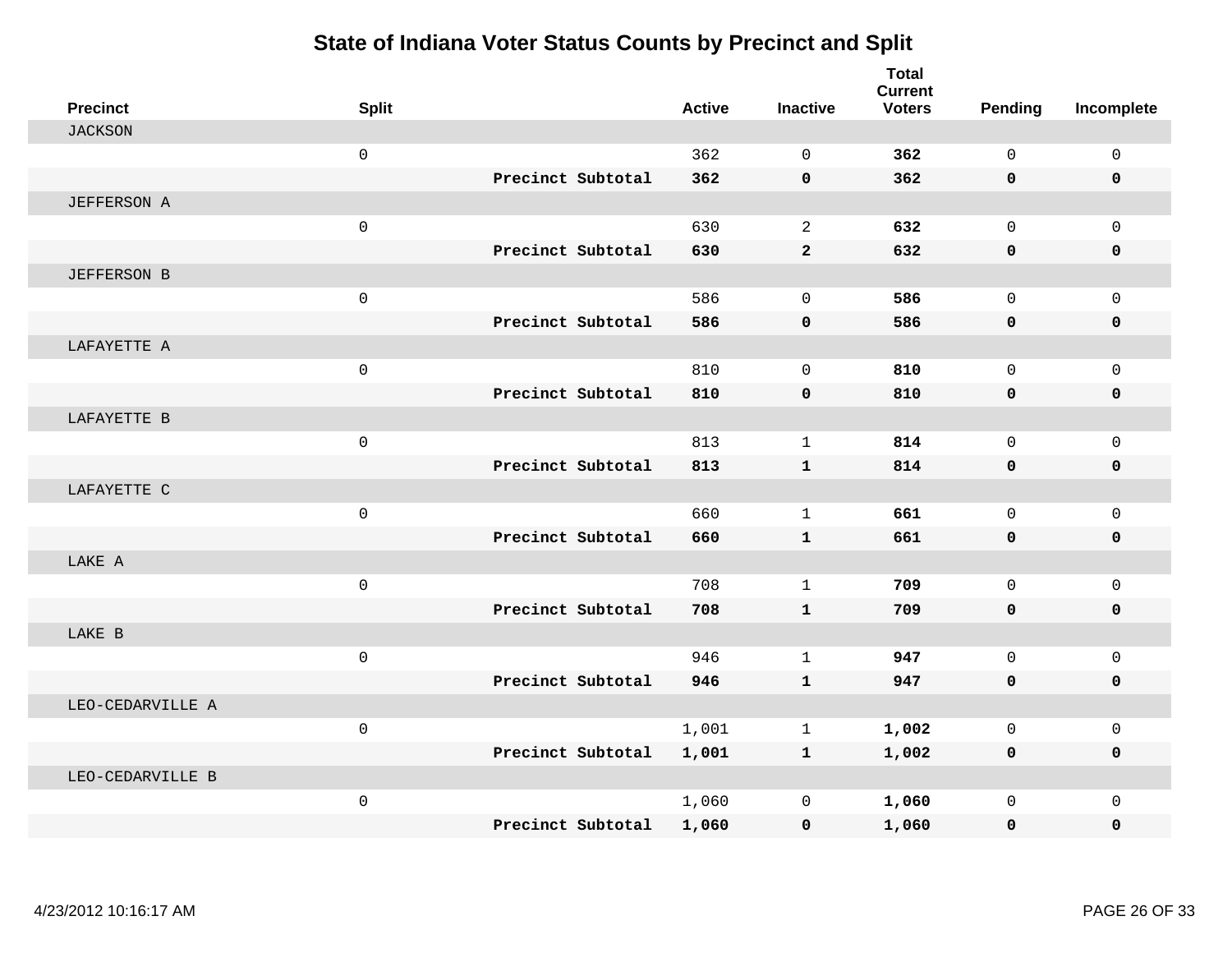| <b>Precinct</b>    | <b>Split</b>        |                   | <b>Active</b> | <b>Inactive</b> | <b>Total</b><br><b>Current</b><br><b>Voters</b> | Pending      | Incomplete   |
|--------------------|---------------------|-------------------|---------------|-----------------|-------------------------------------------------|--------------|--------------|
| <b>JACKSON</b>     |                     |                   |               |                 |                                                 |              |              |
|                    | $\mathbf 0$         |                   | 362           | $\Omega$        | 362                                             | $\Omega$     | $\mathsf{O}$ |
|                    |                     | Precinct Subtotal | 362           | $\mathbf 0$     | 362                                             | 0            | 0            |
| <b>JEFFERSON A</b> |                     |                   |               |                 |                                                 |              |              |
|                    | $\mathsf 0$         |                   | 630           | 2               | 632                                             | $\mathbf 0$  | $\mathbf 0$  |
|                    |                     | Precinct Subtotal | 630           | $\mathbf{2}$    | 632                                             | 0            | 0            |
| <b>JEFFERSON B</b> |                     |                   |               |                 |                                                 |              |              |
|                    | $\mathsf{O}$        |                   | 586           | $\Omega$        | 586                                             | $\Omega$     | $\mathsf{O}$ |
|                    |                     | Precinct Subtotal | 586           | $\mathbf 0$     | 586                                             | 0            | 0            |
| LAFAYETTE A        |                     |                   |               |                 |                                                 |              |              |
|                    | $\mathsf{O}\xspace$ |                   | 810           | $\mathbf 0$     | 810                                             | $\mathbf 0$  | $\mathbf 0$  |
|                    |                     | Precinct Subtotal | 810           | $\mathbf 0$     | 810                                             | 0            | 0            |
| LAFAYETTE B        |                     |                   |               |                 |                                                 |              |              |
|                    | $\mathsf 0$         |                   | 813           | $\mathbf 1$     | 814                                             | $\mathbf 0$  | $\mathbf 0$  |
|                    |                     | Precinct Subtotal | 813           | $\mathbf{1}$    | 814                                             | 0            | 0            |
| LAFAYETTE C        |                     |                   |               |                 |                                                 |              |              |
|                    | $\mathbf 0$         |                   | 660           | $\mathbf{1}$    | 661                                             | $\Omega$     | $\mathsf{O}$ |
|                    |                     | Precinct Subtotal | 660           | $\mathbf{1}$    | 661                                             | 0            | 0            |
| LAKE A             |                     |                   |               |                 |                                                 |              |              |
|                    | $\mathsf 0$         |                   | 708           | $\mathbf 1$     | 709                                             | $\mathbf 0$  | $\mathsf{O}$ |
|                    |                     | Precinct Subtotal | 708           | $\mathbf{1}$    | 709                                             | $\mathbf 0$  | $\mathbf 0$  |
| LAKE B             |                     |                   |               |                 |                                                 |              |              |
|                    | $\mathsf{O}\xspace$ |                   | 946           | $\mathbf{1}$    | 947                                             | $\mathbf 0$  | $\mathbf 0$  |
|                    |                     | Precinct Subtotal | 946           | $\mathbf{1}$    | 947                                             | 0            | 0            |
| LEO-CEDARVILLE A   |                     |                   |               |                 |                                                 |              |              |
|                    | $\mathbf 0$         |                   | 1,001         | $\mathbf{1}$    | 1,002                                           | $\mathbf 0$  | $\mathbf 0$  |
|                    |                     | Precinct Subtotal | 1,001         | $\mathbf{1}$    | 1,002                                           | 0            | $\mathbf 0$  |
| LEO-CEDARVILLE B   |                     |                   |               |                 |                                                 |              |              |
|                    | $\mathsf 0$         |                   | 1,060         | $\mathbf 0$     | 1,060                                           | $\mathbf{0}$ | $\mathbf 0$  |
|                    |                     | Precinct Subtotal | 1,060         | $\mathbf 0$     | 1,060                                           | 0            | $\mathbf 0$  |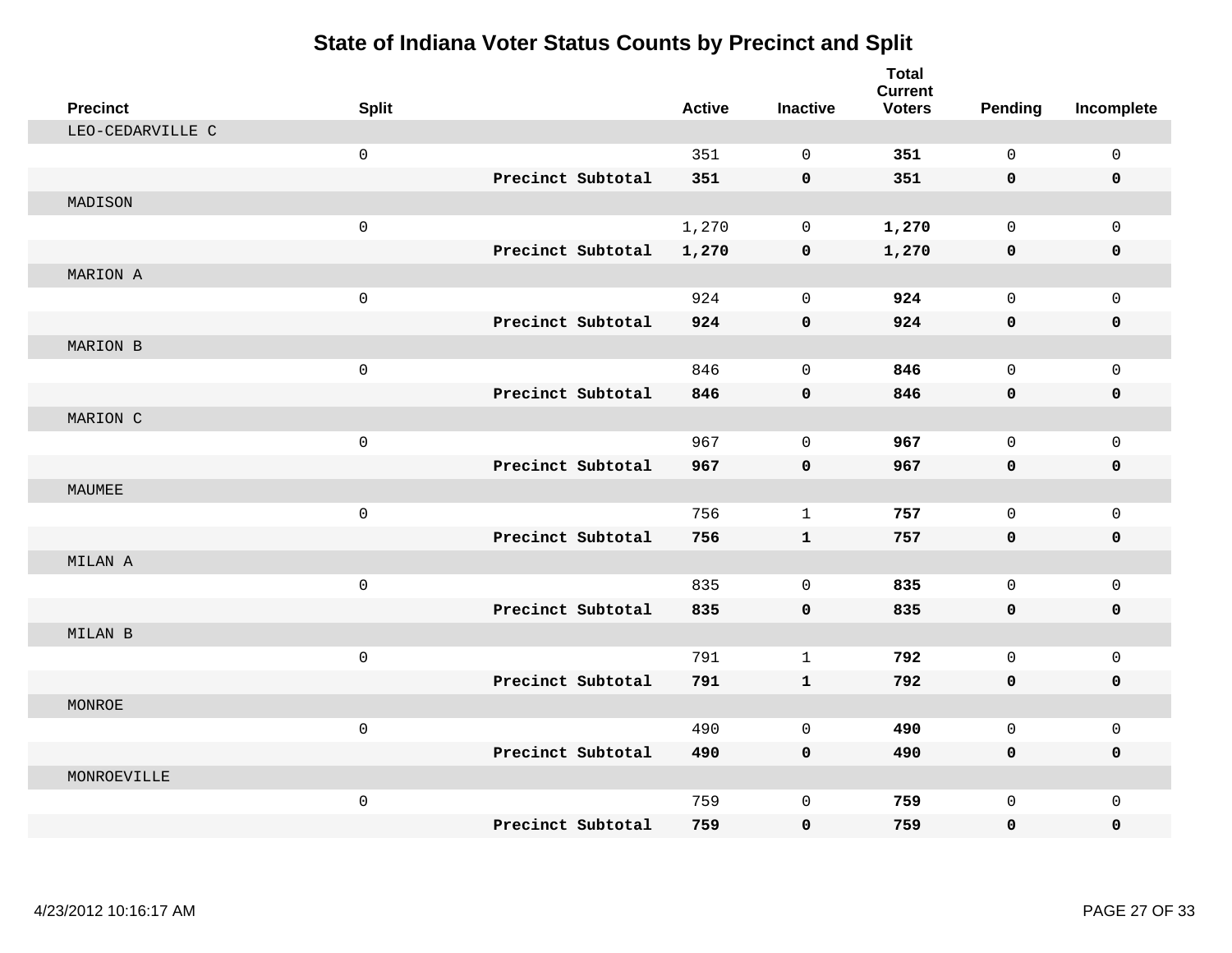| <b>Precinct</b>  | <b>Split</b> |                   | <b>Active</b> | <b>Inactive</b> | <b>Total</b><br><b>Current</b><br><b>Voters</b> | <b>Pending</b>      | Incomplete   |
|------------------|--------------|-------------------|---------------|-----------------|-------------------------------------------------|---------------------|--------------|
| LEO-CEDARVILLE C |              |                   |               |                 |                                                 |                     |              |
|                  | $\mathsf 0$  |                   | 351           | $\mathbf 0$     | 351                                             | $\mathbf 0$         | $\mathsf{O}$ |
|                  |              | Precinct Subtotal | 351           | $\mathbf 0$     | 351                                             | 0                   | 0            |
| MADISON          |              |                   |               |                 |                                                 |                     |              |
|                  | $\mathsf 0$  |                   | 1,270         | $\mathbf 0$     | 1,270                                           | $\mathbf 0$         | $\mathsf{O}$ |
|                  |              | Precinct Subtotal | 1,270         | $\pmb{0}$       | 1,270                                           | $\mathbf 0$         | 0            |
| MARION A         |              |                   |               |                 |                                                 |                     |              |
|                  | $\mathsf 0$  |                   | 924           | $\mathbf 0$     | 924                                             | $\mathbf 0$         | $\mathsf{O}$ |
|                  |              | Precinct Subtotal | 924           | $\mathbf 0$     | 924                                             | 0                   | 0            |
| MARION B         |              |                   |               |                 |                                                 |                     |              |
|                  | $\mathsf 0$  |                   | 846           | $\mathbf 0$     | 846                                             | $\mathbf 0$         | $\mathsf{O}$ |
|                  |              | Precinct Subtotal | 846           | $\mathbf 0$     | 846                                             | 0                   | 0            |
| MARION C         |              |                   |               |                 |                                                 |                     |              |
|                  | $\mathbf 0$  |                   | 967           | $\Omega$        | 967                                             | $\Omega$            | $\mathbf 0$  |
|                  |              | Precinct Subtotal | 967           | $\mathbf 0$     | 967                                             | 0                   | $\mathbf 0$  |
| MAUMEE           |              |                   |               |                 |                                                 |                     |              |
|                  | $\mathsf 0$  |                   | 756           | $\mathbf{1}$    | 757                                             | $\mathbf 0$         | $\mathbf 0$  |
|                  |              | Precinct Subtotal | 756           | ${\bf 1}$       | 757                                             | $\mathbf 0$         | 0            |
| MILAN A          |              |                   |               |                 |                                                 |                     |              |
|                  | $\mathsf 0$  |                   | 835           | $\mathbf 0$     | 835                                             | $\mathbf 0$         | $\mathbf 0$  |
|                  |              | Precinct Subtotal | 835           | $\mathbf 0$     | 835                                             | $\mathbf 0$         | 0            |
| MILAN B          |              |                   |               |                 |                                                 |                     |              |
|                  | $\mathsf 0$  |                   | 791           | $\mathbf{1}$    | 792                                             | $\mathbf 0$         | $\mathsf{O}$ |
|                  |              | Precinct Subtotal | 791           | $\mathbf{1}$    | 792                                             | $\mathbf 0$         | 0            |
| MONROE           |              |                   |               |                 |                                                 |                     |              |
|                  | $\mathsf 0$  |                   | 490           | $\mathbf 0$     | 490                                             | $\mathsf{O}\xspace$ | $\mathbf 0$  |
|                  |              | Precinct Subtotal | 490           | $\mathbf 0$     | 490                                             | 0                   | 0            |
| MONROEVILLE      |              |                   |               |                 |                                                 |                     |              |
|                  | $\mathsf 0$  |                   | 759           | $\mathbf 0$     | 759                                             | $\mathbf 0$         | $\mathbf 0$  |
|                  |              | Precinct Subtotal | 759           | 0               | 759                                             | 0                   | $\mathbf 0$  |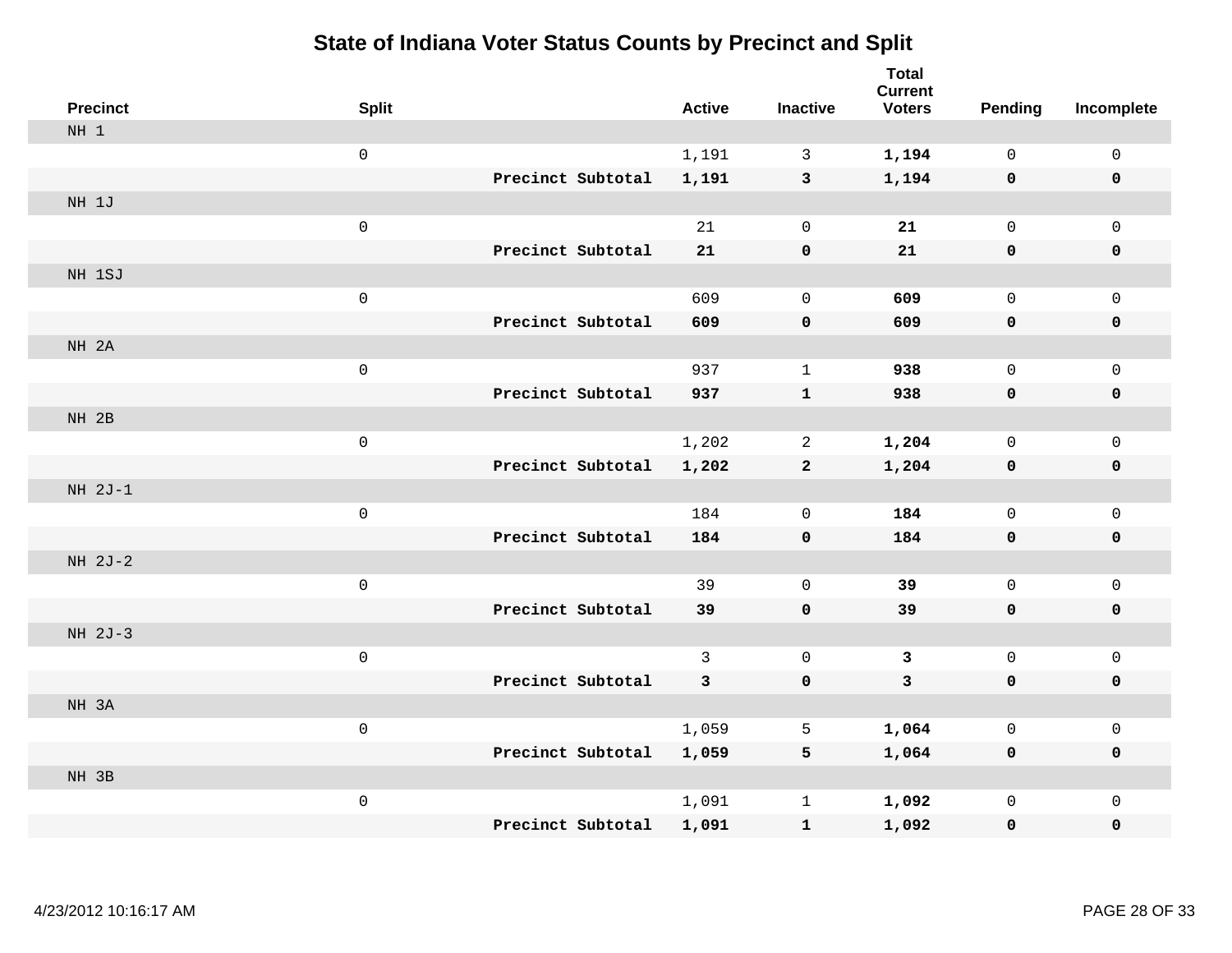| <b>Precinct</b> | <b>Split</b> |                   | <b>Active</b> | <b>Inactive</b>     | <b>Total</b><br><b>Current</b><br><b>Voters</b> | <b>Pending</b>      | Incomplete          |
|-----------------|--------------|-------------------|---------------|---------------------|-------------------------------------------------|---------------------|---------------------|
| NH <sub>1</sub> |              |                   |               |                     |                                                 |                     |                     |
|                 | $\mathsf 0$  |                   | 1,191         | $\mathbf{3}$        | 1,194                                           | $\mathbf 0$         | $\mathsf{O}\xspace$ |
|                 |              | Precinct Subtotal | 1,191         | $\mathbf{3}$        | 1,194                                           | $\mathbf 0$         | $\mathbf 0$         |
| NH 1J           |              |                   |               |                     |                                                 |                     |                     |
|                 | $\mathsf 0$  |                   | 21            | $\mathsf{O}\xspace$ | 21                                              | $\mathbf 0$         | $\mathsf{O}$        |
|                 |              | Precinct Subtotal | 21            | $\pmb{0}$           | 21                                              | $\mathbf 0$         | 0                   |
| NH 1SJ          |              |                   |               |                     |                                                 |                     |                     |
|                 | $\mathsf 0$  |                   | 609           | $\mathbf 0$         | 609                                             | $\mathbf 0$         | $\mathsf{O}\xspace$ |
|                 |              | Precinct Subtotal | 609           | $\pmb{0}$           | 609                                             | 0                   | $\pmb{0}$           |
| NH 2A           |              |                   |               |                     |                                                 |                     |                     |
|                 | $\mathsf 0$  |                   | 937           | $\mathbf{1}$        | 938                                             | $\mathsf{O}$        | $\mathsf{O}$        |
|                 |              | Precinct Subtotal | 937           | $\mathbf{1}$        | 938                                             | $\mathbf 0$         | 0                   |
| NH 2B           |              |                   |               |                     |                                                 |                     |                     |
|                 | $\mathsf 0$  |                   | 1,202         | $\overline{2}$      | 1,204                                           | $\mathbf 0$         | $\mathsf{O}\xspace$ |
|                 |              | Precinct Subtotal | 1,202         | $\mathbf{2}$        | 1,204                                           | $\mathbf 0$         | 0                   |
| $NH 2J-1$       |              |                   |               |                     |                                                 |                     |                     |
|                 | $\mathsf 0$  |                   | 184           | $\mathbf 0$         | 184                                             | $\mathsf{O}\xspace$ | $\mathsf{O}\xspace$ |
|                 |              | Precinct Subtotal | 184           | $\pmb{0}$           | 184                                             | $\mathbf 0$         | 0                   |
| NH 2J-2         |              |                   |               |                     |                                                 |                     |                     |
|                 | $\mathsf 0$  |                   | 39            | $\mathsf{O}\xspace$ | 39                                              | $\mathbf 0$         | $\mathsf{O}$        |
|                 |              | Precinct Subtotal | 39            | $\mathbf 0$         | 39                                              | 0                   | 0                   |
| NH 2J-3         |              |                   |               |                     |                                                 |                     |                     |
|                 | $\mathsf 0$  |                   | 3             | $\mathbf 0$         | 3                                               | $\mathbf 0$         | $\mathsf{O}\xspace$ |
|                 |              | Precinct Subtotal | $\mathbf{3}$  | $\pmb{0}$           | $\mathbf{3}$                                    | $\mathbf 0$         | 0                   |
| NH 3A           |              |                   |               |                     |                                                 |                     |                     |
|                 | $\mathsf 0$  |                   | 1,059         | 5                   | 1,064                                           | $\mathbf 0$         | $\mathsf{O}$        |
|                 |              | Precinct Subtotal | 1,059         | 5                   | 1,064                                           | 0                   | 0                   |
| NH 3B           |              |                   |               |                     |                                                 |                     |                     |
|                 | $\mathsf 0$  |                   | 1,091         | $\mathbf 1$         | 1,092                                           | $\mathbf 0$         | $\mathsf{O}$        |
|                 |              | Precinct Subtotal | 1,091         | $\mathbf{1}$        | 1,092                                           | 0                   | $\mathbf 0$         |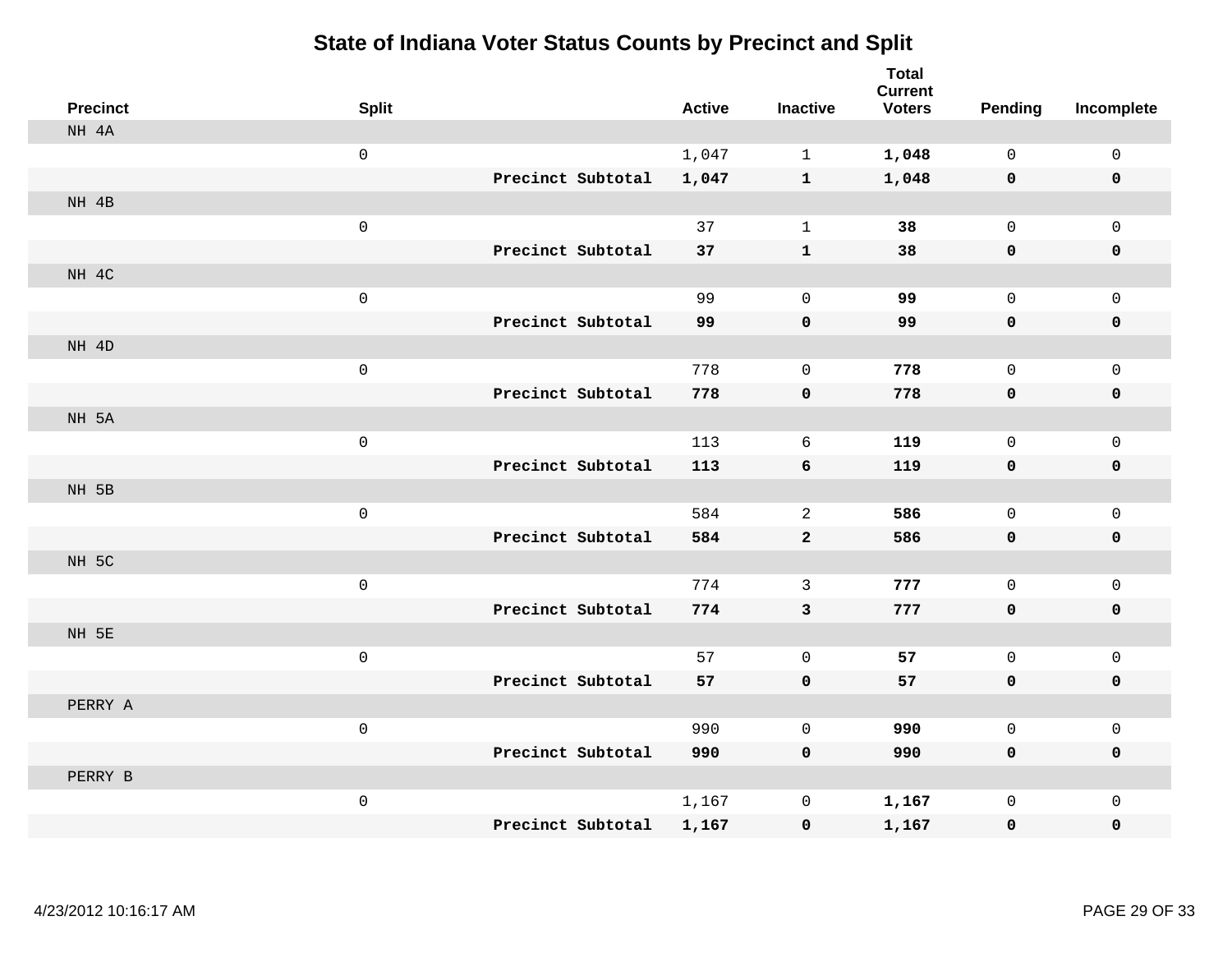| <b>Precinct</b> | <b>Split</b>        |                   | <b>Active</b> | <b>Inactive</b> | <b>Total</b><br><b>Current</b><br><b>Voters</b> | <b>Pending</b> | Incomplete   |
|-----------------|---------------------|-------------------|---------------|-----------------|-------------------------------------------------|----------------|--------------|
| NH 4A           |                     |                   |               |                 |                                                 |                |              |
|                 | $\mathsf{O}\xspace$ |                   | 1,047         | $\mathbf 1$     | 1,048                                           | $\mathsf{O}$   | $\mathsf{O}$ |
|                 |                     | Precinct Subtotal | 1,047         | $\mathbf{1}$    | 1,048                                           | $\mathbf 0$    | $\mathbf 0$  |
| NH 4B           |                     |                   |               |                 |                                                 |                |              |
|                 | $\mathsf{O}\xspace$ |                   | 37            | $\mathbf{1}$    | 38                                              | $\mathsf{O}$   | $\mathbf 0$  |
|                 |                     | Precinct Subtotal | 37            | ${\bf 1}$       | 38                                              | $\mathbf 0$    | $\mathbf 0$  |
| NH 4C           |                     |                   |               |                 |                                                 |                |              |
|                 | $\mathsf{O}\xspace$ |                   | 99            | $\mathbf 0$     | 99                                              | 0              | $\mathbf 0$  |
|                 |                     | Precinct Subtotal | 99            | 0               | 99                                              | $\mathbf 0$    | $\mathbf 0$  |
| NH 4D           |                     |                   |               |                 |                                                 |                |              |
|                 | $\mathsf{O}\xspace$ |                   | 778           | $\mathbf 0$     | 778                                             | 0              | $\mathsf{O}$ |
|                 |                     | Precinct Subtotal | 778           | 0               | 778                                             | $\mathbf 0$    | $\pmb{0}$    |
| NH 5A           |                     |                   |               |                 |                                                 |                |              |
|                 | $\mathsf{O}\xspace$ |                   | 113           | 6               | 119                                             | 0              | $\mathbf 0$  |
|                 |                     | Precinct Subtotal | 113           | 6               | 119                                             | $\mathbf 0$    | $\mathbf 0$  |
| NH 5B           |                     |                   |               |                 |                                                 |                |              |
|                 | $\mathsf{O}\xspace$ |                   | 584           | $\overline{a}$  | 586                                             | 0              | $\mathbf 0$  |
|                 |                     | Precinct Subtotal | 584           | $\mathbf{2}$    | 586                                             | $\mathbf 0$    | $\mathbf 0$  |
| NH 5C           |                     |                   |               |                 |                                                 |                |              |
|                 | $\mathsf{O}\xspace$ |                   | 774           | 3               | 777                                             | $\mathsf{O}$   | $\mathsf{O}$ |
|                 |                     | Precinct Subtotal | 774           | $\mathbf{3}$    | 777                                             | $\mathbf 0$    | 0            |
| NH 5E           |                     |                   |               |                 |                                                 |                |              |
|                 | $\mathsf{O}\xspace$ |                   | 57            | $\mathbf{0}$    | 57                                              | 0              | $\mathsf{O}$ |
|                 |                     | Precinct Subtotal | 57            | 0               | 57                                              | $\mathbf 0$    | $\mathbf 0$  |
| PERRY A         |                     |                   |               |                 |                                                 |                |              |
|                 | $\mathbf 0$         |                   | 990           | $\mathbf 0$     | 990                                             | 0              | $\mathsf{O}$ |
|                 |                     | Precinct Subtotal | 990           | $\mathbf 0$     | 990                                             | 0              | $\mathbf 0$  |
| PERRY B         |                     |                   |               |                 |                                                 |                |              |
|                 | $\mathsf{O}\xspace$ |                   | 1,167         | 0               | 1,167                                           | 0              | $\mathsf{O}$ |
|                 |                     | Precinct Subtotal | 1,167         | $\mathbf 0$     | 1,167                                           | 0              | $\mathbf 0$  |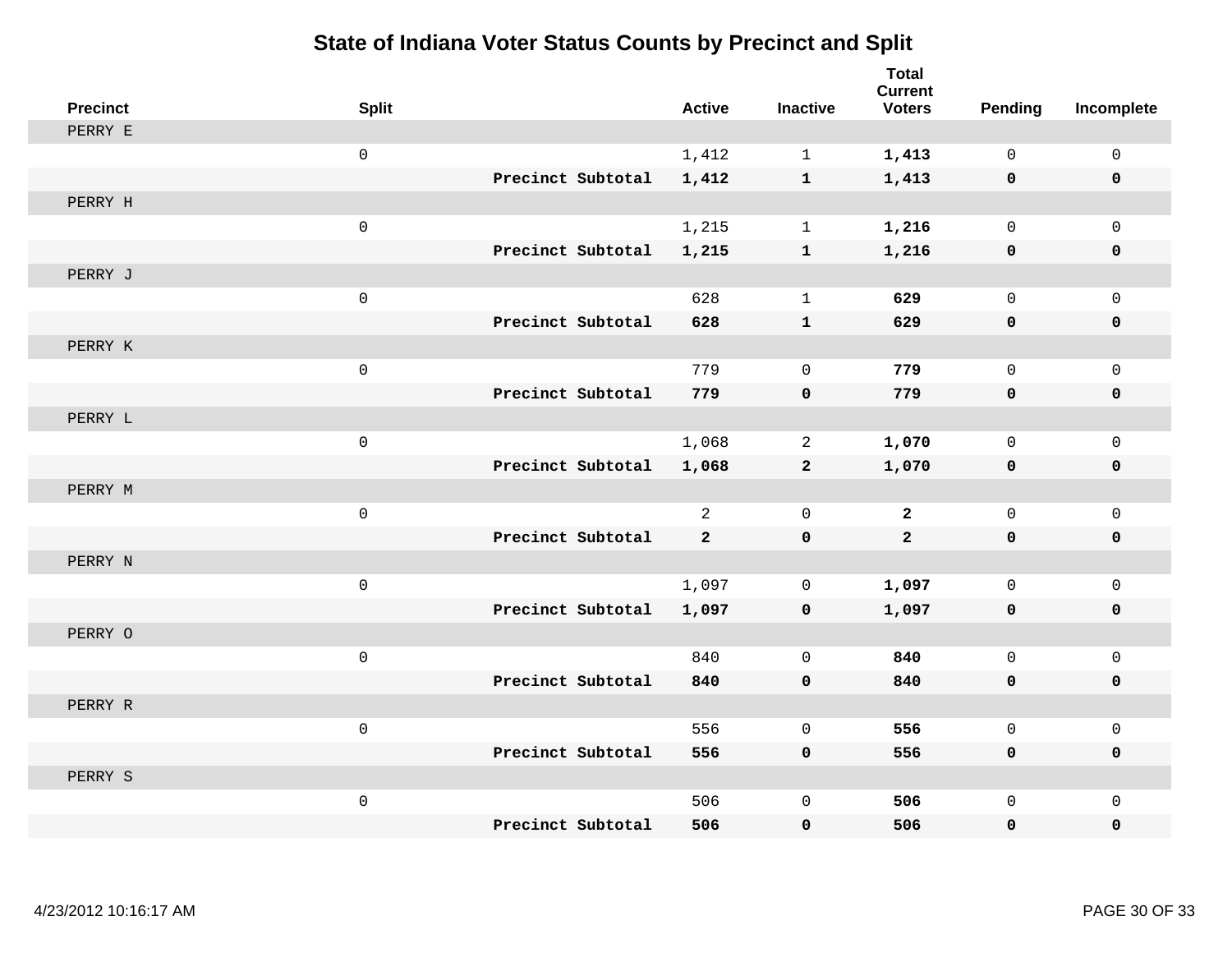| <b>Precinct</b> | <b>Split</b>        | <b>Active</b>  | <b>Inactive</b> | <b>Total</b><br><b>Current</b><br><b>Voters</b> | Pending      | Incomplete   |
|-----------------|---------------------|----------------|-----------------|-------------------------------------------------|--------------|--------------|
| PERRY E         |                     |                |                 |                                                 |              |              |
|                 | $\mathsf{O}\xspace$ | 1,412          | $\mathbf{1}$    | 1,413                                           | $\mathbf 0$  | $\mathbf 0$  |
|                 | Precinct Subtotal   | 1,412          | $\mathbf{1}$    | 1,413                                           | $\mathbf 0$  | $\mathbf 0$  |
| PERRY H         |                     |                |                 |                                                 |              |              |
|                 | $\mathsf 0$         | 1,215          | $\mathbf{1}$    | 1,216                                           | $\mathbf 0$  | $\mathbf 0$  |
|                 | Precinct Subtotal   | 1,215          | ${\bf 1}$       | 1,216                                           | $\mathbf 0$  | 0            |
| PERRY J         |                     |                |                 |                                                 |              |              |
|                 | $\mathsf 0$         | 628            | $\mathbf 1$     | 629                                             | $\Omega$     | $\mathbf 0$  |
|                 | Precinct Subtotal   | 628            | $\mathbf{1}$    | 629                                             | $\mathbf 0$  | 0            |
| PERRY K         |                     |                |                 |                                                 |              |              |
|                 | $\mathsf 0$         | 779            | $\mathbf 0$     | 779                                             | $\mathbf 0$  | $\mathbf 0$  |
|                 | Precinct Subtotal   | 779            | $\mathbf 0$     | 779                                             | $\mathbf 0$  | 0            |
| PERRY L         |                     |                |                 |                                                 |              |              |
|                 | $\mathbf 0$         | 1,068          | $\overline{a}$  | 1,070                                           | $\mathbf 0$  | $\mathsf 0$  |
|                 | Precinct Subtotal   | 1,068          | $\mathbf{2}$    | 1,070                                           | 0            | 0            |
| PERRY M         |                     |                |                 |                                                 |              |              |
|                 | $\mathsf 0$         | $\overline{2}$ | $\mathbf 0$     | $\overline{2}$                                  | $\mathbf 0$  | $\mathbf 0$  |
|                 | Precinct Subtotal   | $\mathbf{2}$   | $\mathbf 0$     | $\overline{a}$                                  | 0            | 0            |
| PERRY N         |                     |                |                 |                                                 |              |              |
|                 | $\mathsf 0$         | 1,097          | $\mathbf 0$     | 1,097                                           | $\mathbf 0$  | $\mathbf 0$  |
|                 | Precinct Subtotal   | 1,097          | $\mathbf 0$     | 1,097                                           | 0            | 0            |
| PERRY O         |                     |                |                 |                                                 |              |              |
|                 | $\mathsf 0$         | 840            | $\mathbf 0$     | 840                                             | $\mathbf 0$  | $\mathbf{0}$ |
|                 | Precinct Subtotal   | 840            | $\mathbf 0$     | 840                                             | 0            | 0            |
| PERRY R         |                     |                |                 |                                                 |              |              |
|                 | $\mathsf 0$         | 556            | $\mathbf 0$     | 556                                             | $\mathsf{O}$ | $\mathbf 0$  |
|                 | Precinct Subtotal   | 556            | $\mathbf 0$     | 556                                             | $\mathbf 0$  | 0            |
| PERRY S         |                     |                |                 |                                                 |              |              |
|                 | $\mathsf 0$         | 506            | $\mathbf 0$     | 506                                             | $\mathbf 0$  | $\mathbf{0}$ |
|                 | Precinct Subtotal   | 506            | 0               | 506                                             | 0            | 0            |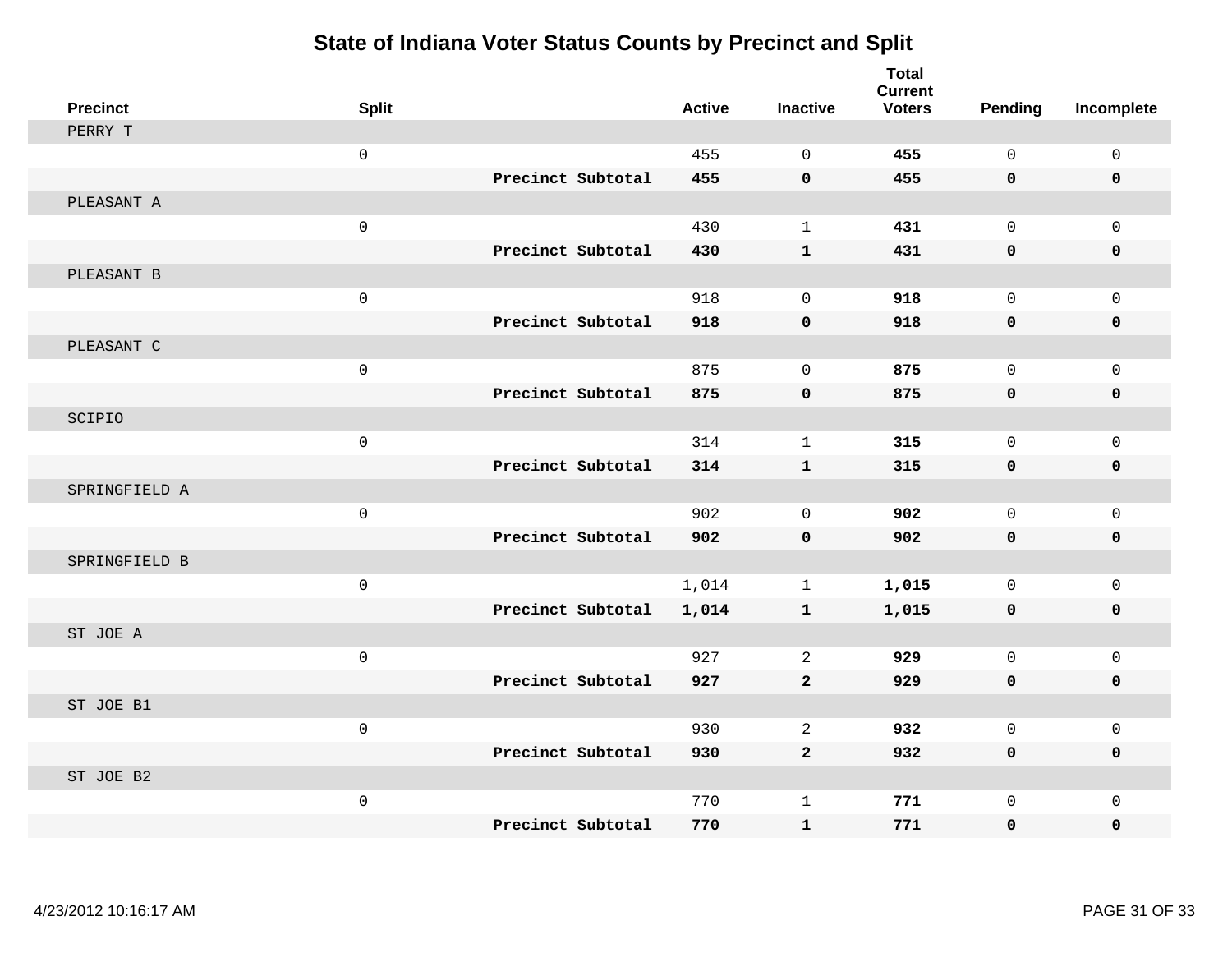| <b>Precinct</b> | <b>Split</b> |                   | <b>Active</b> | <b>Inactive</b> | <b>Total</b><br><b>Current</b><br><b>Voters</b> | Pending     | Incomplete   |
|-----------------|--------------|-------------------|---------------|-----------------|-------------------------------------------------|-------------|--------------|
| PERRY T         |              |                   |               |                 |                                                 |             |              |
|                 | $\mathbf 0$  |                   | 455           | $\Omega$        | 455                                             | $\Omega$    | $\mathsf 0$  |
|                 |              | Precinct Subtotal | 455           | $\mathbf 0$     | 455                                             | $\mathbf 0$ | $\mathbf 0$  |
| PLEASANT A      |              |                   |               |                 |                                                 |             |              |
|                 | $\mathsf 0$  |                   | 430           | $\mathbf{1}$    | 431                                             | $\mathbf 0$ | $\mathbf{0}$ |
|                 |              | Precinct Subtotal | 430           | $\mathbf{1}$    | 431                                             | $\mathbf 0$ | $\mathbf 0$  |
| PLEASANT B      |              |                   |               |                 |                                                 |             |              |
|                 | $\mathsf 0$  |                   | 918           | $\Omega$        | 918                                             | $\Omega$    | $\mathbf 0$  |
|                 |              | Precinct Subtotal | 918           | $\mathbf 0$     | 918                                             | $\mathbf 0$ | $\mathbf 0$  |
| PLEASANT C      |              |                   |               |                 |                                                 |             |              |
|                 | $\mathsf 0$  |                   | 875           | $\mathbf 0$     | 875                                             | $\mathbf 0$ | $\mathbf{0}$ |
|                 |              | Precinct Subtotal | 875           | $\mathbf 0$     | 875                                             | $\mathbf 0$ | $\mathbf 0$  |
| SCIPIO          |              |                   |               |                 |                                                 |             |              |
|                 | $\mathsf 0$  |                   | 314           | $\mathbf{1}$    | 315                                             | $\mathbf 0$ | $\mathbf 0$  |
|                 |              | Precinct Subtotal | 314           | $\mathbf{1}$    | 315                                             | $\mathbf 0$ | $\mathbf 0$  |
| SPRINGFIELD A   |              |                   |               |                 |                                                 |             |              |
|                 | $\mathsf 0$  |                   | 902           | $\mathbf 0$     | 902                                             | $\mathbf 0$ | $\mathbf 0$  |
|                 |              | Precinct Subtotal | 902           | $\mathbf 0$     | 902                                             | $\mathbf 0$ | 0            |
| SPRINGFIELD B   |              |                   |               |                 |                                                 |             |              |
|                 | $\mathsf 0$  |                   | 1,014         | $\mathbf 1$     | 1,015                                           | $\mathbf 0$ | $\mathsf 0$  |
|                 |              | Precinct Subtotal | 1,014         | $\mathbf{1}$    | 1,015                                           | $\mathbf 0$ | $\mathbf 0$  |
| ST JOE A        |              |                   |               |                 |                                                 |             |              |
|                 | $\mathsf 0$  |                   | 927           | 2               | 929                                             | $\mathbf 0$ | $\mathbf{0}$ |
|                 |              | Precinct Subtotal | 927           | $\mathbf{2}$    | 929                                             | $\mathbf 0$ | 0            |
| ST JOE B1       |              |                   |               |                 |                                                 |             |              |
|                 | $\mathbf{0}$ |                   | 930           | 2               | 932                                             | $\mathbf 0$ | $\mathbf 0$  |
|                 |              | Precinct Subtotal | 930           | $\overline{a}$  | 932                                             | $\mathbf 0$ | 0            |
| ST JOE B2       |              |                   |               |                 |                                                 |             |              |
|                 | $\mathsf 0$  |                   | 770           | $\mathbf{1}$    | 771                                             | $\mathbf 0$ | $\mathbf 0$  |
|                 |              | Precinct Subtotal | 770           | $\mathbf{1}$    | 771                                             | $\mathbf 0$ | 0            |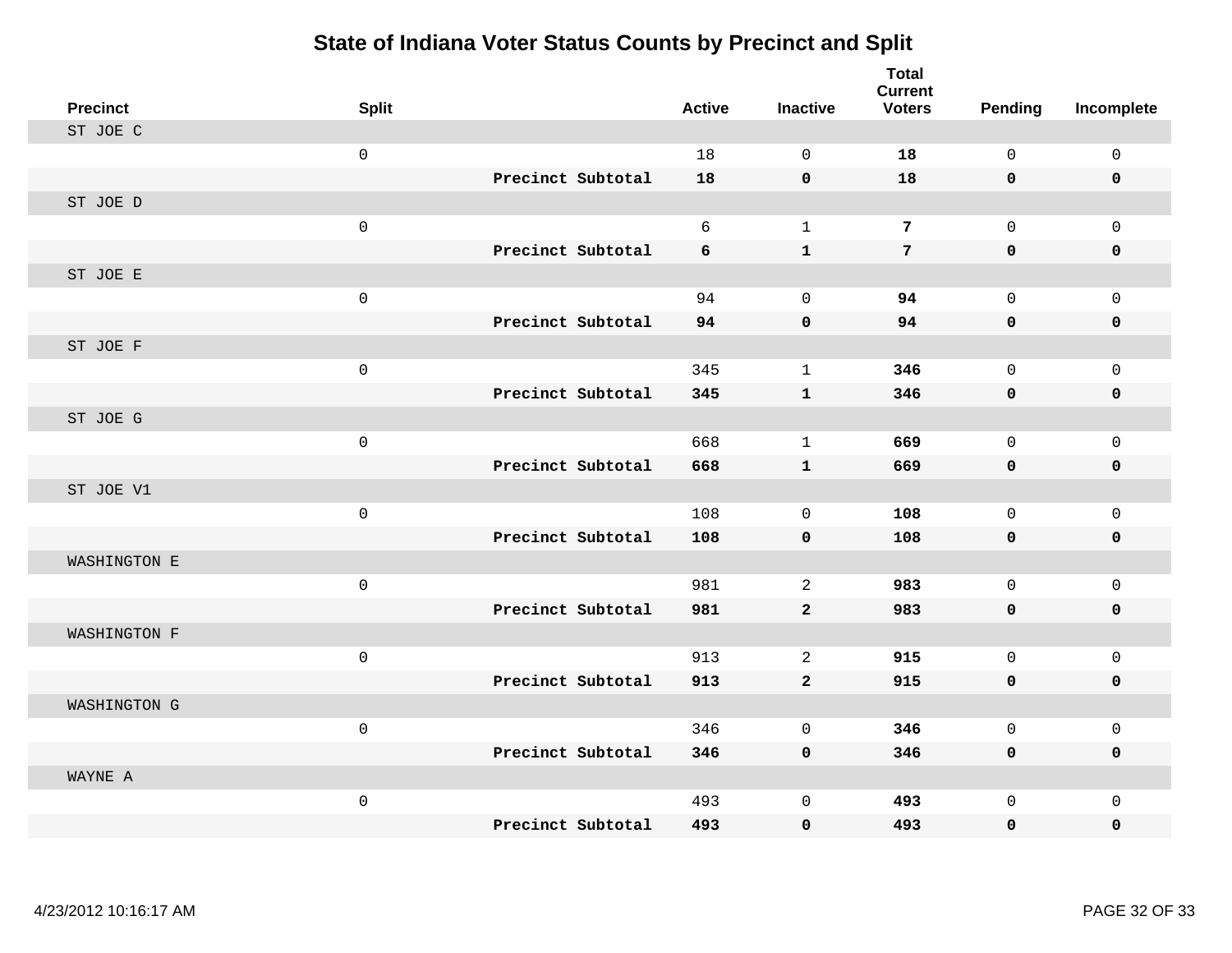| <b>Precinct</b> | <b>Split</b> |                   | <b>Active</b> | <b>Inactive</b> | <b>Total</b><br><b>Current</b><br><b>Voters</b> | Pending     | Incomplete   |
|-----------------|--------------|-------------------|---------------|-----------------|-------------------------------------------------|-------------|--------------|
| ST JOE C        |              |                   |               |                 |                                                 |             |              |
|                 | $\mathsf 0$  |                   | 18            | $\Omega$        | 18                                              | $\Omega$    | $\mathsf 0$  |
|                 |              | Precinct Subtotal | 18            | $\mathbf 0$     | 18                                              | $\mathbf 0$ | $\mathbf 0$  |
| ST JOE D        |              |                   |               |                 |                                                 |             |              |
|                 | $\mathsf 0$  |                   | 6             | $\mathbf{1}$    | 7                                               | $\mathbf 0$ | $\mathbf{0}$ |
|                 |              | Precinct Subtotal | 6             | $\mathbf{1}$    | $\overline{7}$                                  | $\mathbf 0$ | $\mathbf 0$  |
| ST JOE E        |              |                   |               |                 |                                                 |             |              |
|                 | $\mathbf 0$  |                   | 94            | $\Omega$        | 94                                              | $\Omega$    | $\mathbf 0$  |
|                 |              | Precinct Subtotal | 94            | $\pmb{0}$       | 94                                              | $\mathbf 0$ | $\mathbf 0$  |
| ST JOE F        |              |                   |               |                 |                                                 |             |              |
|                 | $\mathsf 0$  |                   | 345           | $\mathbf{1}$    | 346                                             | $\mathbf 0$ | $\mathbf{0}$ |
|                 |              | Precinct Subtotal | 345           | $\mathbf{1}$    | 346                                             | $\mathbf 0$ | $\mathbf 0$  |
| ST JOE G        |              |                   |               |                 |                                                 |             |              |
|                 | $\mathsf 0$  |                   | 668           | $\mathbf{1}$    | 669                                             | $\mathbf 0$ | $\mathbf 0$  |
|                 |              | Precinct Subtotal | 668           | $\mathbf{1}$    | 669                                             | $\mathbf 0$ | $\mathbf 0$  |
| ST JOE V1       |              |                   |               |                 |                                                 |             |              |
|                 | $\mathsf{O}$ |                   | 108           | $\mathbf 0$     | 108                                             | $\mathbf 0$ | $\mathbf 0$  |
|                 |              | Precinct Subtotal | 108           | $\mathbf 0$     | 108                                             | $\mathbf 0$ | $\mathbf 0$  |
| WASHINGTON E    |              |                   |               |                 |                                                 |             |              |
|                 | $\mathsf 0$  |                   | 981           | 2               | 983                                             | $\mathbf 0$ | $\mathsf 0$  |
|                 |              | Precinct Subtotal | 981           | $\overline{2}$  | 983                                             | $\mathbf 0$ | $\mathbf 0$  |
| WASHINGTON F    |              |                   |               |                 |                                                 |             |              |
|                 | $\mathsf 0$  |                   | 913           | 2               | 915                                             | $\mathbf 0$ | $\mathbf{0}$ |
|                 |              | Precinct Subtotal | 913           | $\mathbf{2}$    | 915                                             | $\mathbf 0$ | $\mathbf 0$  |
| WASHINGTON G    |              |                   |               |                 |                                                 |             |              |
|                 | $\mathbf 0$  |                   | 346           | $\mathbf 0$     | 346                                             | $\mathbf 0$ | $\mathbf 0$  |
|                 |              | Precinct Subtotal | 346           | $\mathbf 0$     | 346                                             | $\mathbf 0$ | 0            |
| WAYNE A         |              |                   |               |                 |                                                 |             |              |
|                 | $\mathsf 0$  |                   | 493           | $\mathbf 0$     | 493                                             | $\mathbf 0$ | $\mathbf 0$  |
|                 |              | Precinct Subtotal | 493           | $\mathbf 0$     | 493                                             | $\mathbf 0$ | 0            |